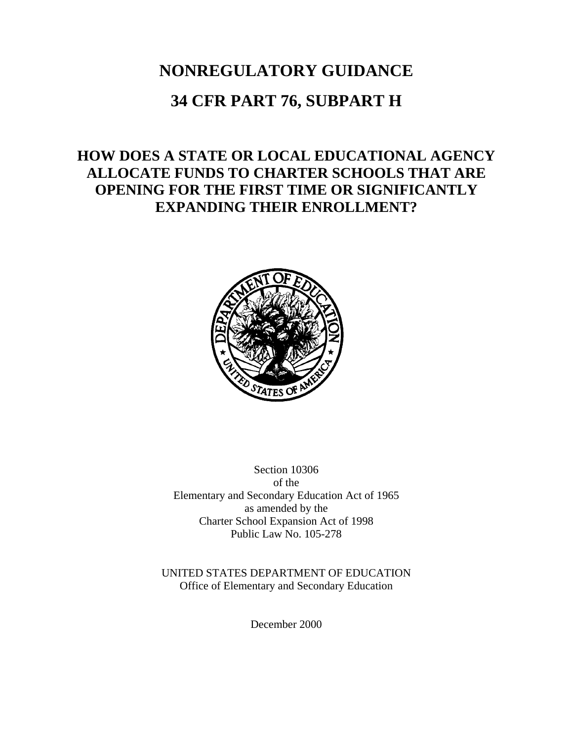## **NONREGULATORY GUIDANCE**

## **34 CFR PART 76, SUBPART H**

## **HOW DOES A STATE OR LOCAL EDUCATIONAL AGENCY ALLOCATE FUNDS TO CHARTER SCHOOLS THAT ARE OPENING FOR THE FIRST TIME OR SIGNIFICANTLY EXPANDING THEIR ENROLLMENT?**



Section 10306 of the Elementary and Secondary Education Act of 1965 as amended by the Charter School Expansion Act of 1998 Public Law No. 105-278

UNITED STATES DEPARTMENT OF EDUCATION Office of Elementary and Secondary Education

December 2000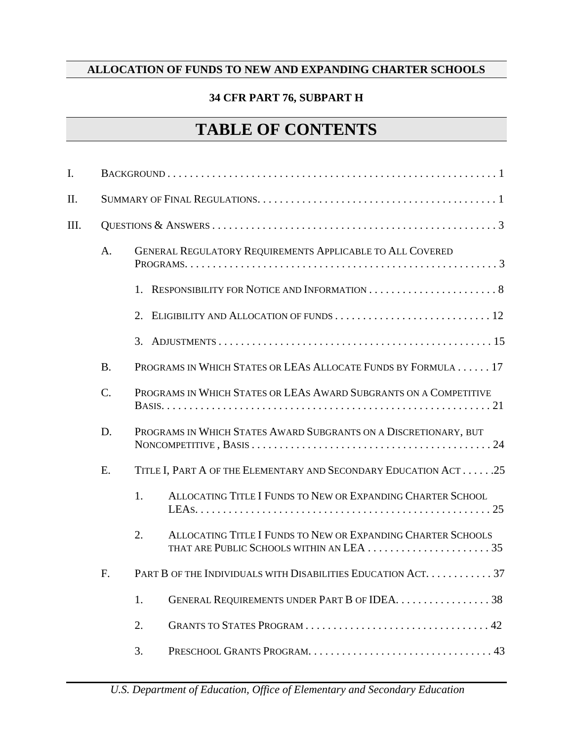#### **34 CFR PART 76, SUBPART H**

# **TABLE OF CONTENTS**

| I.   |           |                                                                    |
|------|-----------|--------------------------------------------------------------------|
| Π.   |           |                                                                    |
| III. |           |                                                                    |
|      | A.        | <b>GENERAL REGULATORY REQUIREMENTS APPLICABLE TO ALL COVERED</b>   |
|      |           |                                                                    |
|      |           | 2.                                                                 |
|      |           | 3.                                                                 |
|      | <b>B.</b> | PROGRAMS IN WHICH STATES OR LEAS ALLOCATE FUNDS BY FORMULA 17      |
|      | $C$ .     | PROGRAMS IN WHICH STATES OR LEAS AWARD SUBGRANTS ON A COMPETITIVE  |
|      | D.        | PROGRAMS IN WHICH STATES AWARD SUBGRANTS ON A DISCRETIONARY, BUT   |
|      | E.        | TITLE I, PART A OF THE ELEMENTARY AND SECONDARY EDUCATION ACT25    |
|      |           | 1.<br>ALLOCATING TITLE I FUNDS TO NEW OR EXPANDING CHARTER SCHOOL  |
|      |           | 2.<br>ALLOCATING TITLE I FUNDS TO NEW OR EXPANDING CHARTER SCHOOLS |
|      | F.        | PART B OF THE INDIVIDUALS WITH DISABILITIES EDUCATION ACT. 37      |
|      |           | 1.<br>GENERAL REQUIREMENTS UNDER PART B OF IDEA. 38                |
|      |           | 2.                                                                 |
|      |           | 3.                                                                 |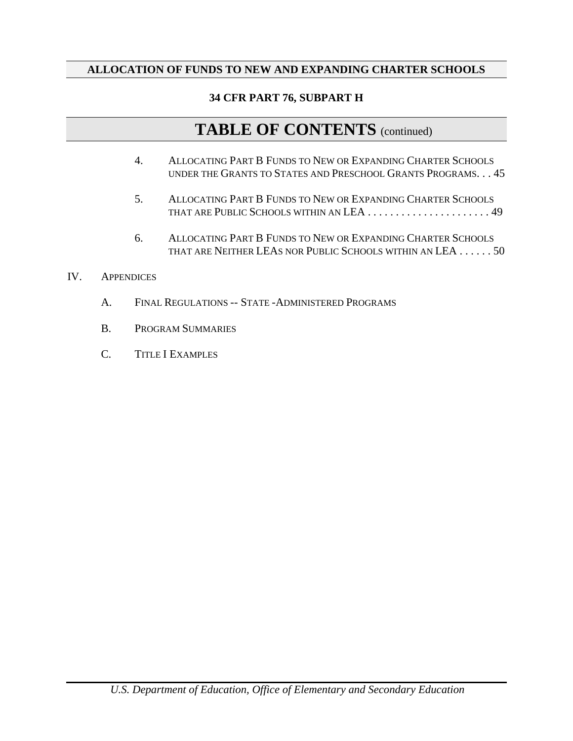#### **34 CFR PART 76, SUBPART H**

## **TABLE OF CONTENTS** (continued)

- 4. ALLOCATING PART B FUNDS TO NEW OR EXPANDING CHARTER SCHOOLS UNDER THE GRANTS TO STATES AND PRESCHOOL GRANTS PROGRAMS. . . 45
- 5. ALLOCATING PART B FUNDS TO NEW OR EXPANDING CHARTER SCHOOLS THAT ARE PUBLIC SCHOOLS WITHIN AN LEA . . . . . . . . . . . . . . . . . . . . . . 49
- 6. ALLOCATING PART B FUNDS TO NEW OR EXPANDING CHARTER SCHOOLS THAT ARE NEITHER LEAS NOR PUBLIC SCHOOLS WITHIN AN LEA . . . . . . 50
- IV. APPENDICES
	- A. FINAL REGULATIONS -- STATE -ADMINISTERED PROGRAMS
	- B. PROGRAM SUMMARIES
	- C. TITLE I EXAMPLES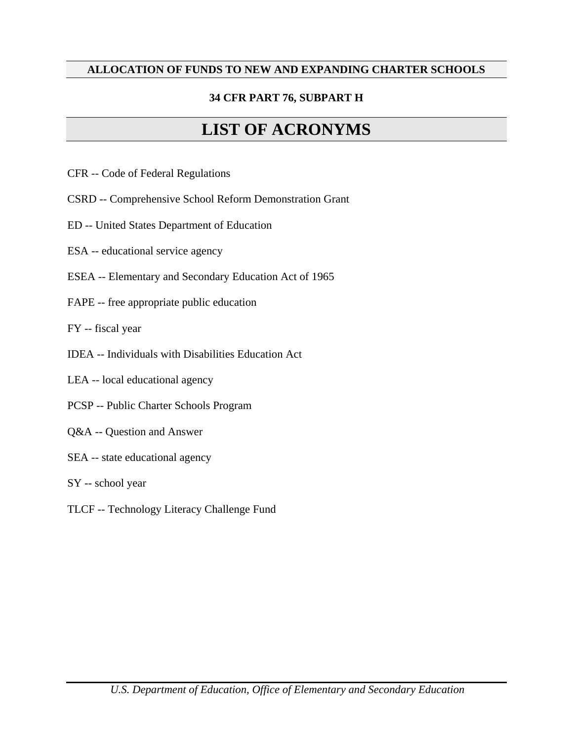#### **34 CFR PART 76, SUBPART H**

# **LIST OF ACRONYMS**

- CFR -- Code of Federal Regulations
- CSRD -- Comprehensive School Reform Demonstration Grant
- ED -- United States Department of Education
- ESA -- educational service agency
- ESEA -- Elementary and Secondary Education Act of 1965
- FAPE -- free appropriate public education
- FY -- fiscal year
- IDEA -- Individuals with Disabilities Education Act
- LEA -- local educational agency
- PCSP -- Public Charter Schools Program
- Q&A -- Question and Answer
- SEA -- state educational agency
- SY -- school year
- TLCF -- Technology Literacy Challenge Fund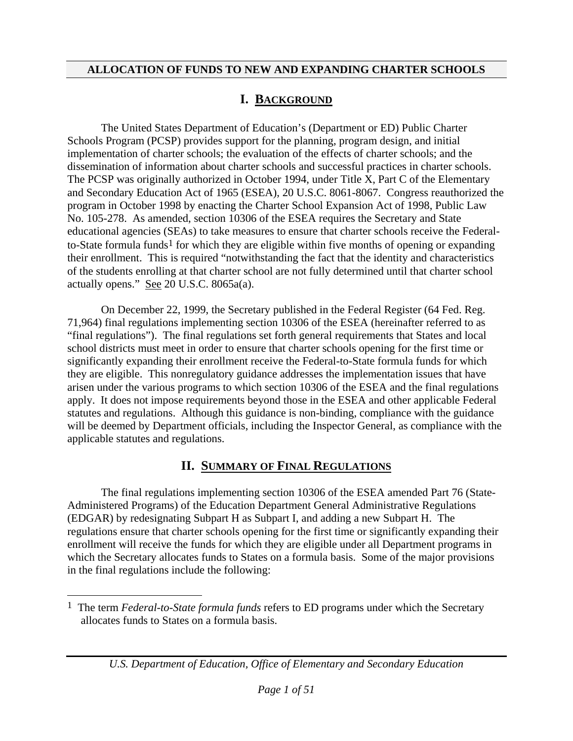#### **I. BACKGROUND**

The United States Department of Education's (Department or ED) Public Charter Schools Program (PCSP) provides support for the planning, program design, and initial implementation of charter schools; the evaluation of the effects of charter schools; and the dissemination of information about charter schools and successful practices in charter schools. The PCSP was originally authorized in October 1994, under Title X, Part C of the Elementary and Secondary Education Act of 1965 (ESEA), 20 U.S.C. 8061-8067. Congress reauthorized the program in October 1998 by enacting the Charter School Expansion Act of 1998, Public Law No. 105-278. As amended, section 10306 of the ESEA requires the Secretary and State educational agencies (SEAs) to take measures to ensure that charter schools receive the Federal-to-State formula funds<sup>[1](#page-4-0)</sup> for which they are eligible within five months of opening or expanding their enrollment. This is required "notwithstanding the fact that the identity and characteristics of the students enrolling at that charter school are not fully determined until that charter school actually opens." See 20 U.S.C. 8065a(a).

On December 22, 1999, the Secretary published in the Federal Register (64 Fed. Reg. 71,964) final regulations implementing section 10306 of the ESEA (hereinafter referred to as "final regulations"). The final regulations set forth general requirements that States and local school districts must meet in order to ensure that charter schools opening for the first time or significantly expanding their enrollment receive the Federal-to-State formula funds for which they are eligible. This nonregulatory guidance addresses the implementation issues that have arisen under the various programs to which section 10306 of the ESEA and the final regulations apply. It does not impose requirements beyond those in the ESEA and other applicable Federal statutes and regulations. Although this guidance is non-binding, compliance with the guidance will be deemed by Department officials, including the Inspector General, as compliance with the applicable statutes and regulations.

#### **II. SUMMARY OF FINAL REGULATIONS**

The final regulations implementing section 10306 of the ESEA amended Part 76 (State-Administered Programs) of the Education Department General Administrative Regulations (EDGAR) by redesignating Subpart H as Subpart I, and adding a new Subpart H. The regulations ensure that charter schools opening for the first time or significantly expanding their enrollment will receive the funds for which they are eligible under all Department programs in which the Secretary allocates funds to States on a formula basis. Some of the major provisions in the final regulations include the following:

 $\overline{\phantom{a}}$ 

*U.S. Department of Education, Office of Elementary and Secondary Education* 

<span id="page-4-0"></span><sup>1</sup> The term *Federal-to-State formula funds* refers to ED programs under which the Secretary allocates funds to States on a formula basis.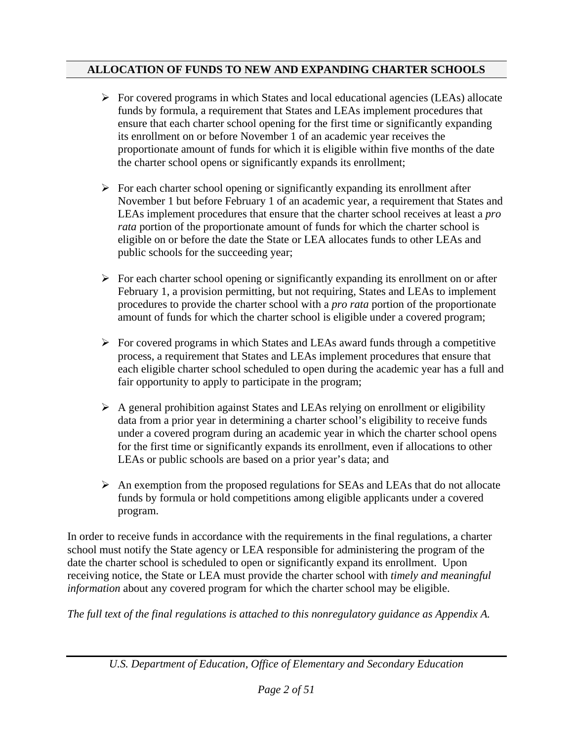- $\triangleright$  For covered programs in which States and local educational agencies (LEAs) allocate funds by formula, a requirement that States and LEAs implement procedures that ensure that each charter school opening for the first time or significantly expanding its enrollment on or before November 1 of an academic year receives the proportionate amount of funds for which it is eligible within five months of the date the charter school opens or significantly expands its enrollment;
- $\triangleright$  For each charter school opening or significantly expanding its enrollment after November 1 but before February 1 of an academic year, a requirement that States and LEAs implement procedures that ensure that the charter school receives at least a *pro rata* portion of the proportionate amount of funds for which the charter school is eligible on or before the date the State or LEA allocates funds to other LEAs and public schools for the succeeding year;
- $\triangleright$  For each charter school opening or significantly expanding its enrollment on or after February 1, a provision permitting, but not requiring, States and LEAs to implement procedures to provide the charter school with a *pro rata* portion of the proportionate amount of funds for which the charter school is eligible under a covered program;
- $\triangleright$  For covered programs in which States and LEAs award funds through a competitive process, a requirement that States and LEAs implement procedures that ensure that each eligible charter school scheduled to open during the academic year has a full and fair opportunity to apply to participate in the program;
- $\triangleright$  A general prohibition against States and LEAs relying on enrollment or eligibility data from a prior year in determining a charter school's eligibility to receive funds under a covered program during an academic year in which the charter school opens for the first time or significantly expands its enrollment, even if allocations to other LEAs or public schools are based on a prior year's data; and
- $\triangleright$  An exemption from the proposed regulations for SEAs and LEAs that do not allocate funds by formula or hold competitions among eligible applicants under a covered program.

In order to receive funds in accordance with the requirements in the final regulations, a charter school must notify the State agency or LEA responsible for administering the program of the date the charter school is scheduled to open or significantly expand its enrollment. Upon receiving notice, the State or LEA must provide the charter school with *timely and meaningful information* about any covered program for which the charter school may be eligible.

*The full text of the final regulations is attached to this nonregulatory guidance as Appendix A.*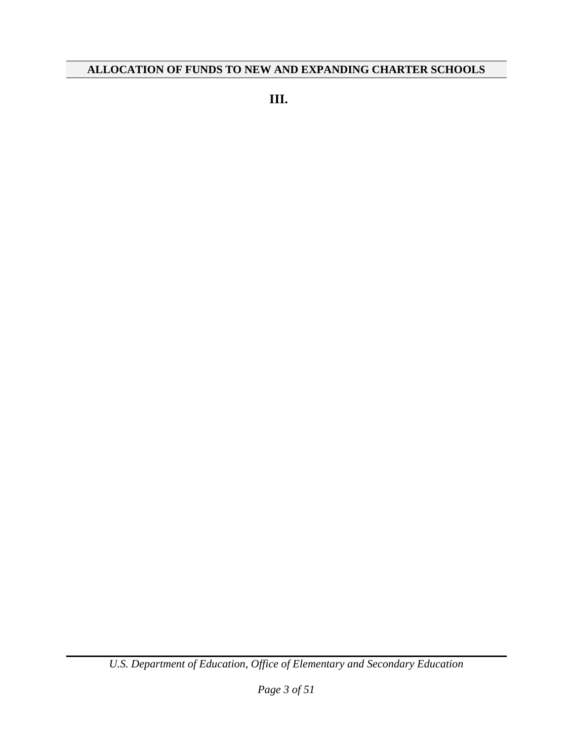**III.**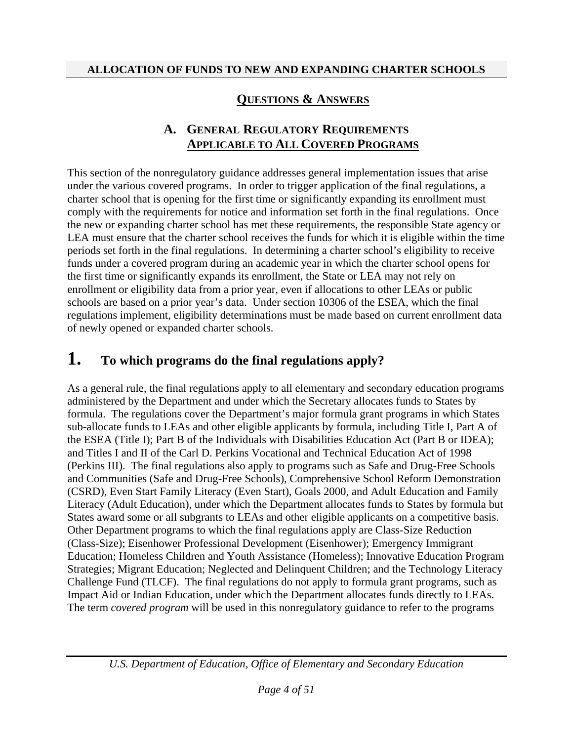#### **QUESTIONS & ANSWERS**

#### **A. GENERAL REGULATORY REQUIREMENTS APPLICABLE TO ALL COVERED PROGRAMS**

This section of the nonregulatory guidance addresses general implementation issues that arise under the various covered programs. In order to trigger application of the final regulations, a charter school that is opening for the first time or significantly expanding its enrollment must comply with the requirements for notice and information set forth in the final regulations. Once the new or expanding charter school has met these requirements, the responsible State agency or LEA must ensure that the charter school receives the funds for which it is eligible within the time periods set forth in the final regulations. In determining a charter school's eligibility to receive funds under a covered program during an academic year in which the charter school opens for the first time or significantly expands its enrollment, the State or LEA may not rely on enrollment or eligibility data from a prior year, even if allocations to other LEAs or public schools are based on a prior year's data. Under section 10306 of the ESEA, which the final regulations implement, eligibility determinations must be made based on current enrollment data of newly opened or expanded charter schools.

## **1. To which programs do the final regulations apply?**

As a general rule, the final regulations apply to all elementary and secondary education programs administered by the Department and under which the Secretary allocates funds to States by formula. The regulations cover the Department's major formula grant programs in which States sub-allocate funds to LEAs and other eligible applicants by formula, including Title I, Part A of the ESEA (Title I); Part B of the Individuals with Disabilities Education Act (Part B or IDEA); and Titles I and II of the Carl D. Perkins Vocational and Technical Education Act of 1998 (Perkins III). The final regulations also apply to programs such as Safe and Drug-Free Schools and Communities (Safe and Drug-Free Schools), Comprehensive School Reform Demonstration (CSRD), Even Start Family Literacy (Even Start), Goals 2000, and Adult Education and Family Literacy (Adult Education), under which the Department allocates funds to States by formula but States award some or all subgrants to LEAs and other eligible applicants on a competitive basis. Other Department programs to which the final regulations apply are Class-Size Reduction (Class-Size); Eisenhower Professional Development (Eisenhower); Emergency Immigrant Education; Homeless Children and Youth Assistance (Homeless); Innovative Education Program Strategies; Migrant Education; Neglected and Delinquent Children; and the Technology Literacy Challenge Fund (TLCF). The final regulations do not apply to formula grant programs, such as Impact Aid or Indian Education, under which the Department allocates funds directly to LEAs. The term *covered program* will be used in this nonregulatory guidance to refer to the programs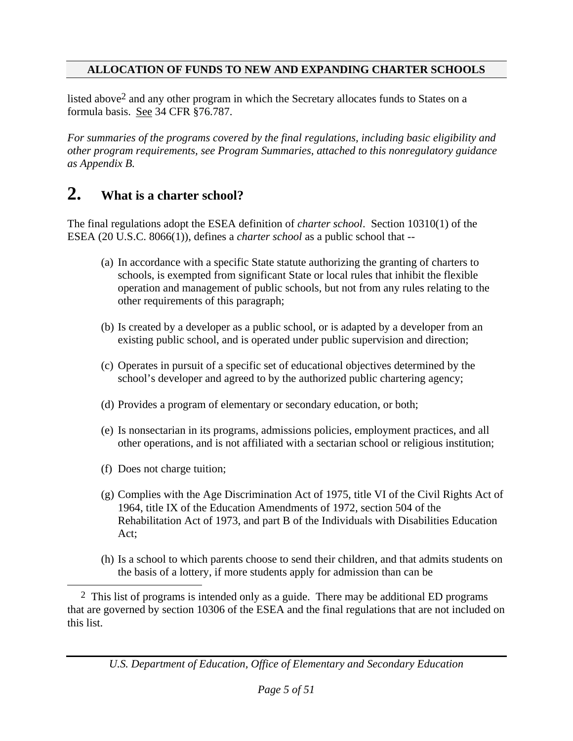listed above2 and any other program in which the Secretary allocates funds to States on a formula basis. See 34 CFR §76.787.

*For summaries of the programs covered by the final regulations, including basic eligibility and other program requirements, see Program Summaries, attached to this nonregulatory guidance as Appendix B.* 

### **2. What is a charter school?**

The final regulations adopt the ESEA definition of *charter school*. Section 10310(1) of the ESEA (20 U.S.C. 8066(1)), defines a *charter school* as a public school that --

- (a) In accordance with a specific State statute authorizing the granting of charters to schools, is exempted from significant State or local rules that inhibit the flexible operation and management of public schools, but not from any rules relating to the other requirements of this paragraph;
- (b) Is created by a developer as a public school, or is adapted by a developer from an existing public school, and is operated under public supervision and direction;
- (c) Operates in pursuit of a specific set of educational objectives determined by the school's developer and agreed to by the authorized public chartering agency;
- (d) Provides a program of elementary or secondary education, or both;
- (e) Is nonsectarian in its programs, admissions policies, employment practices, and all other operations, and is not affiliated with a sectarian school or religious institution;
- (f) Does not charge tuition;
- (g) Complies with the Age Discrimination Act of 1975, title VI of the Civil Rights Act of 1964, title IX of the Education Amendments of 1972, section 504 of the Rehabilitation Act of 1973, and part B of the Individuals with Disabilities Education Act;
- (h) Is a school to which parents choose to send their children, and that admits students on the basis of a lottery, if more students apply for admission than can be

2 This list of programs is intended only as a guide. There may be additional ED programs that are governed by section 10306 of the ESEA and the final regulations that are not included on this list.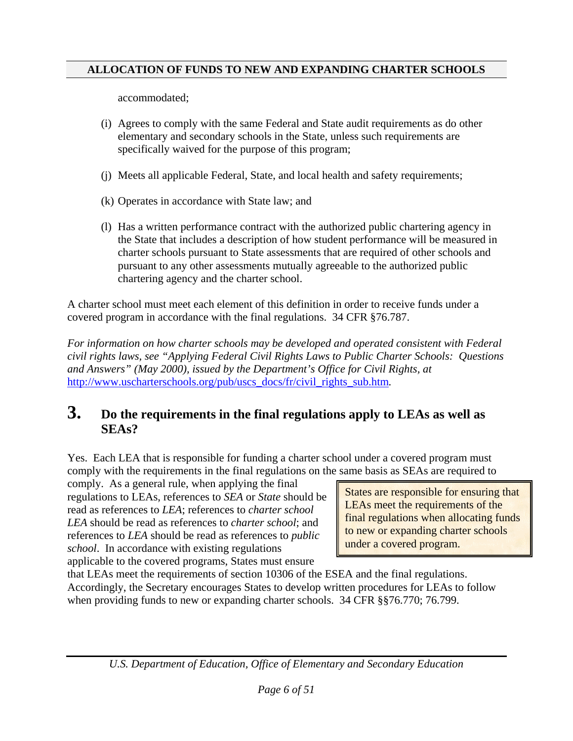accommodated;

- (i) Agrees to comply with the same Federal and State audit requirements as do other elementary and secondary schools in the State, unless such requirements are specifically waived for the purpose of this program;
- (j) Meets all applicable Federal, State, and local health and safety requirements;
- (k) Operates in accordance with State law; and
- (l) Has a written performance contract with the authorized public chartering agency in the State that includes a description of how student performance will be measured in charter schools pursuant to State assessments that are required of other schools and pursuant to any other assessments mutually agreeable to the authorized public chartering agency and the charter school.

A charter school must meet each element of this definition in order to receive funds under a covered program in accordance with the final regulations. 34 CFR §76.787.

*For information on how charter schools may be developed and operated consistent with Federal civil rights laws, see "Applying Federal Civil Rights Laws to Public Charter Schools: Questions and Answers" (May 2000), issued by the Department's Office for Civil Rights, at*  [http://www.uscharterschools.org/pub/uscs\\_docs/fr/civil\\_rights\\_sub.htm](http://www.uscharterschools.org/pub/uscs_docs/fr/civil_rights_sub.htm)*.* 

### **3. Do the requirements in the final regulations apply to LEAs as well as SEAs?**

Yes. Each LEA that is responsible for funding a charter school under a covered program must comply with the requirements in the final regulations on the same basis as SEAs are required to

comply. As a general rule, when applying the final regulations to LEAs, references to *SEA* or *State* should be read as references to *LEA*; references to *charter school LEA* should be read as references to *charter school*; and references to *LEA* should be read as references to *public school*. In accordance with existing regulations applicable to the covered programs, States must ensure

States are responsible for ensuring that LEAs meet the requirements of the final regulations when allocating funds to new or expanding charter schools under a covered program.

that LEAs meet the requirements of section 10306 of the ESEA and the final regulations. Accordingly, the Secretary encourages States to develop written procedures for LEAs to follow when providing funds to new or expanding charter schools. 34 CFR §§76.770; 76.799.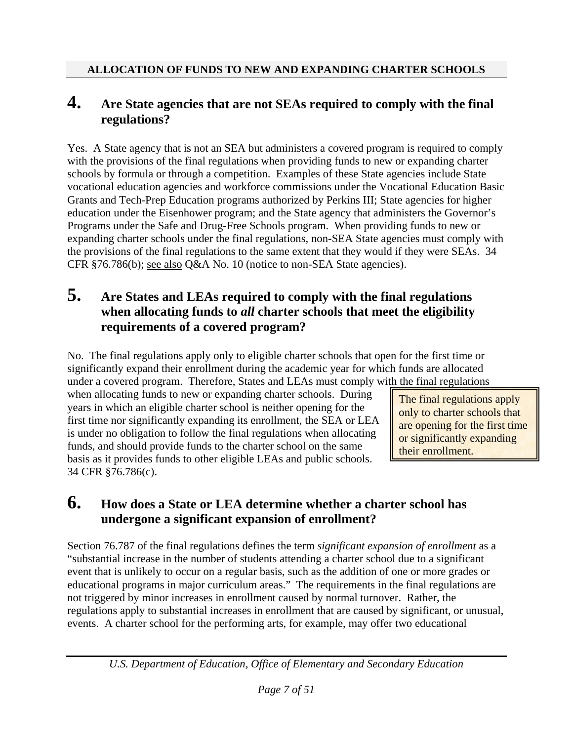### **4. Are State agencies that are not SEAs required to comply with the final regulations?**

Yes. A State agency that is not an SEA but administers a covered program is required to comply with the provisions of the final regulations when providing funds to new or expanding charter schools by formula or through a competition. Examples of these State agencies include State vocational education agencies and workforce commissions under the Vocational Education Basic Grants and Tech-Prep Education programs authorized by Perkins III; State agencies for higher education under the Eisenhower program; and the State agency that administers the Governor's Programs under the Safe and Drug-Free Schools program. When providing funds to new or expanding charter schools under the final regulations, non-SEA State agencies must comply with the provisions of the final regulations to the same extent that they would if they were SEAs. 34 CFR §76.786(b); see also Q&A No. 10 (notice to non-SEA State agencies).

### **5. Are States and LEAs required to comply with the final regulations when allocating funds to** *all* **charter schools that meet the eligibility requirements of a covered program?**

No. The final regulations apply only to eligible charter schools that open for the first time or significantly expand their enrollment during the academic year for which funds are allocated under a covered program. Therefore, States and LEAs must comply with the final regulations

when allocating funds to new or expanding charter schools. During years in which an eligible charter school is neither opening for the first time nor significantly expanding its enrollment, the SEA or LEA is under no obligation to follow the final regulations when allocating funds, and should provide funds to the charter school on the same basis as it provides funds to other eligible LEAs and public schools. 34 CFR §76.786(c).

The final regulations apply only to charter schools that are opening for the first time or significantly expanding their enrollment.

### **6. How does a State or LEA determine whether a charter school has undergone a significant expansion of enrollment?**

Section 76.787 of the final regulations defines the term *significant expansion of enrollment* as a "substantial increase in the number of students attending a charter school due to a significant event that is unlikely to occur on a regular basis, such as the addition of one or more grades or educational programs in major curriculum areas." The requirements in the final regulations are not triggered by minor increases in enrollment caused by normal turnover. Rather, the regulations apply to substantial increases in enrollment that are caused by significant, or unusual, events. A charter school for the performing arts, for example, may offer two educational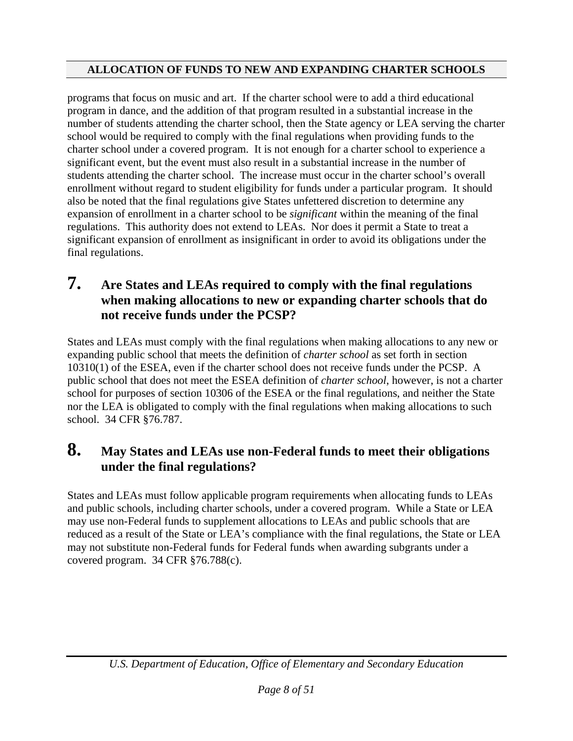programs that focus on music and art. If the charter school were to add a third educational program in dance, and the addition of that program resulted in a substantial increase in the number of students attending the charter school, then the State agency or LEA serving the charter school would be required to comply with the final regulations when providing funds to the charter school under a covered program. It is not enough for a charter school to experience a significant event, but the event must also result in a substantial increase in the number of students attending the charter school. The increase must occur in the charter school's overall enrollment without regard to student eligibility for funds under a particular program. It should also be noted that the final regulations give States unfettered discretion to determine any expansion of enrollment in a charter school to be *significant* within the meaning of the final regulations. This authority does not extend to LEAs. Nor does it permit a State to treat a significant expansion of enrollment as insignificant in order to avoid its obligations under the final regulations.

### **7. Are States and LEAs required to comply with the final regulations when making allocations to new or expanding charter schools that do not receive funds under the PCSP?**

States and LEAs must comply with the final regulations when making allocations to any new or expanding public school that meets the definition of *charter school* as set forth in section 10310(1) of the ESEA, even if the charter school does not receive funds under the PCSP. A public school that does not meet the ESEA definition of *charter school*, however, is not a charter school for purposes of section 10306 of the ESEA or the final regulations, and neither the State nor the LEA is obligated to comply with the final regulations when making allocations to such school. 34 CFR §76.787.

### **8. May States and LEAs use non-Federal funds to meet their obligations under the final regulations?**

States and LEAs must follow applicable program requirements when allocating funds to LEAs and public schools, including charter schools, under a covered program. While a State or LEA may use non-Federal funds to supplement allocations to LEAs and public schools that are reduced as a result of the State or LEA's compliance with the final regulations, the State or LEA may not substitute non-Federal funds for Federal funds when awarding subgrants under a covered program. 34 CFR §76.788(c).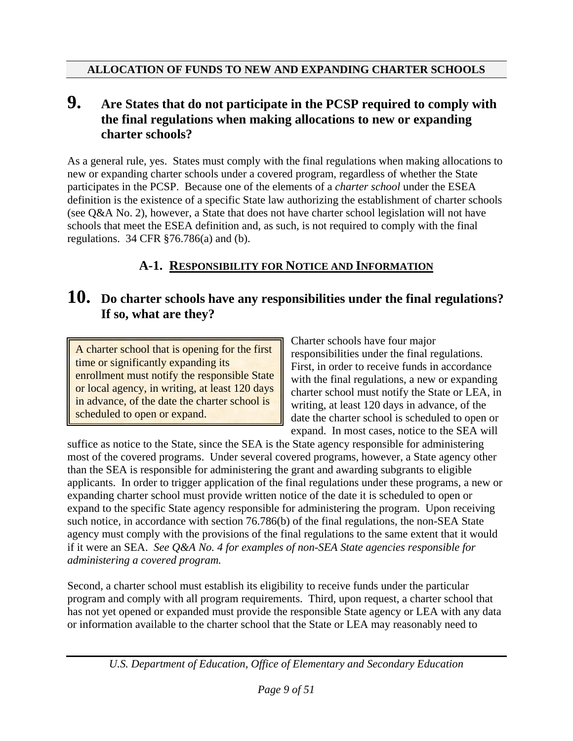#### **9. Are States that do not participate in the PCSP required to comply with the final regulations when making allocations to new or expanding charter schools?**

As a general rule, yes. States must comply with the final regulations when making allocations to new or expanding charter schools under a covered program, regardless of whether the State participates in the PCSP. Because one of the elements of a *charter school* under the ESEA definition is the existence of a specific State law authorizing the establishment of charter schools (see Q&A No. 2), however, a State that does not have charter school legislation will not have schools that meet the ESEA definition and, as such, is not required to comply with the final regulations. 34 CFR §76.786(a) and (b).

#### **A-1. RESPONSIBILITY FOR NOTICE AND INFORMATION**

### **10. Do charter schools have any responsibilities under the final regulations? If so, what are they?**

A charter school that is opening for the first time or significantly expanding its enrollment must notify the responsible State or local agency, in writing, at least 120 days in advance, of the date the charter school is scheduled to open or expand.

Charter schools have four major responsibilities under the final regulations. First, in order to receive funds in accordance with the final regulations, a new or expanding charter school must notify the State or LEA, in writing, at least 120 days in advance, of the date the charter school is scheduled to open or expand. In most cases, notice to the SEA will

suffice as notice to the State, since the SEA is the State agency responsible for administering most of the covered programs. Under several covered programs, however, a State agency other than the SEA is responsible for administering the grant and awarding subgrants to eligible applicants. In order to trigger application of the final regulations under these programs, a new or expanding charter school must provide written notice of the date it is scheduled to open or expand to the specific State agency responsible for administering the program. Upon receiving such notice, in accordance with section 76.786(b) of the final regulations, the non-SEA State agency must comply with the provisions of the final regulations to the same extent that it would if it were an SEA. *See Q&A No. 4 for examples of non-SEA State agencies responsible for administering a covered program.*

Second, a charter school must establish its eligibility to receive funds under the particular program and comply with all program requirements. Third, upon request, a charter school that has not yet opened or expanded must provide the responsible State agency or LEA with any data or information available to the charter school that the State or LEA may reasonably need to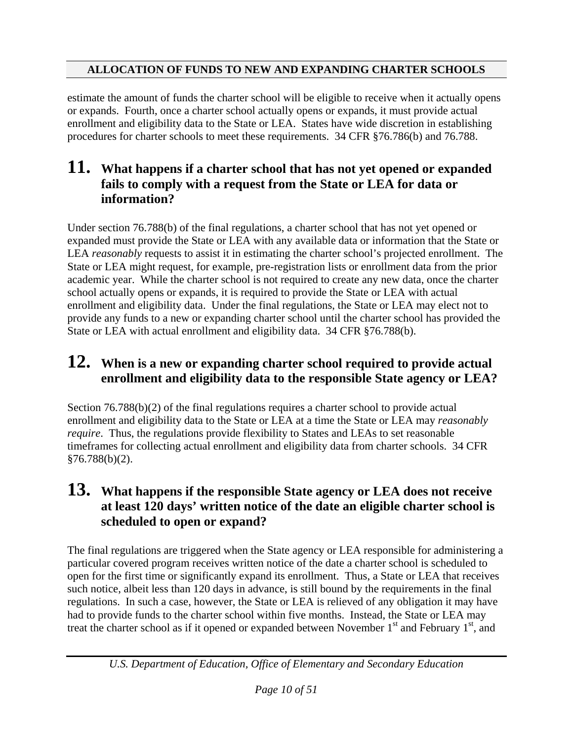estimate the amount of funds the charter school will be eligible to receive when it actually opens or expands. Fourth, once a charter school actually opens or expands, it must provide actual enrollment and eligibility data to the State or LEA. States have wide discretion in establishing procedures for charter schools to meet these requirements. 34 CFR §76.786(b) and 76.788.

### **11. What happens if a charter school that has not yet opened or expanded fails to comply with a request from the State or LEA for data or information?**

Under section 76.788(b) of the final regulations, a charter school that has not yet opened or expanded must provide the State or LEA with any available data or information that the State or LEA *reasonably* requests to assist it in estimating the charter school's projected enrollment. The State or LEA might request, for example, pre-registration lists or enrollment data from the prior academic year. While the charter school is not required to create any new data, once the charter school actually opens or expands, it is required to provide the State or LEA with actual enrollment and eligibility data. Under the final regulations, the State or LEA may elect not to provide any funds to a new or expanding charter school until the charter school has provided the State or LEA with actual enrollment and eligibility data. 34 CFR §76.788(b).

## **12. When is a new or expanding charter school required to provide actual enrollment and eligibility data to the responsible State agency or LEA?**

Section 76.788(b)(2) of the final regulations requires a charter school to provide actual enrollment and eligibility data to the State or LEA at a time the State or LEA may *reasonably require*. Thus, the regulations provide flexibility to States and LEAs to set reasonable timeframes for collecting actual enrollment and eligibility data from charter schools. 34 CFR §76.788(b)(2).

### **13. What happens if the responsible State agency or LEA does not receive at least 120 days' written notice of the date an eligible charter school is scheduled to open or expand?**

The final regulations are triggered when the State agency or LEA responsible for administering a particular covered program receives written notice of the date a charter school is scheduled to open for the first time or significantly expand its enrollment. Thus, a State or LEA that receives such notice, albeit less than 120 days in advance, is still bound by the requirements in the final regulations. In such a case, however, the State or LEA is relieved of any obligation it may have had to provide funds to the charter school within five months. Instead, the State or LEA may treat the charter school as if it opened or expanded between November  $1<sup>st</sup>$  and February  $1<sup>st</sup>$ , and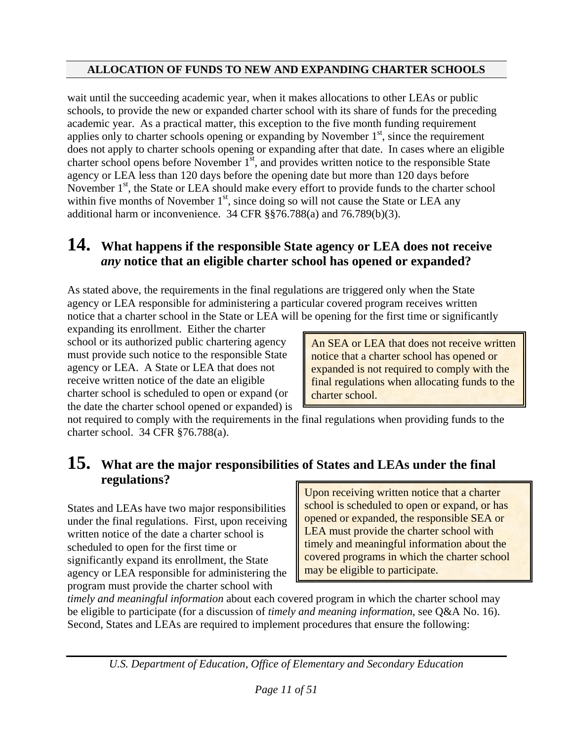wait until the succeeding academic year, when it makes allocations to other LEAs or public schools, to provide the new or expanded charter school with its share of funds for the preceding academic year. As a practical matter, this exception to the five month funding requirement applies only to charter schools opening or expanding by November  $1<sup>st</sup>$ , since the requirement does not apply to charter schools opening or expanding after that date. In cases where an eligible charter school opens before November  $1<sup>st</sup>$ , and provides written notice to the responsible State agency or LEA less than 120 days before the opening date but more than 120 days before November  $1<sup>st</sup>$ , the State or LEA should make every effort to provide funds to the charter school within five months of November  $1<sup>st</sup>$ , since doing so will not cause the State or LEA any additional harm or inconvenience. 34 CFR §§76.788(a) and 76.789(b)(3).

## **14. What happens if the responsible State agency or LEA does not receive**  *any* **notice that an eligible charter school has opened or expanded?**

As stated above, the requirements in the final regulations are triggered only when the State agency or LEA responsible for administering a particular covered program receives written notice that a charter school in the State or LEA will be opening for the first time or significantly

expanding its enrollment. Either the charter school or its authorized public chartering agency must provide such notice to the responsible State agency or LEA. A State or LEA that does not receive written notice of the date an eligible charter school is scheduled to open or expand (or the date the charter school opened or expanded) is

An SEA or LEA that does not receive written notice that a charter school has opened or expanded is not required to comply with the final regulations when allocating funds to the charter school.

not required to comply with the requirements in the final regulations when providing funds to the charter school. 34 CFR §76.788(a).

### **15. What are the major responsibilities of States and LEAs under the final regulations?**

States and LEAs have two major responsibilities under the final regulations. First, upon receiving written notice of the date a charter school is scheduled to open for the first time or significantly expand its enrollment, the State agency or LEA responsible for administering the program must provide the charter school with

Upon receiving written notice that a charter school is scheduled to open or expand, or has opened or expanded, the responsible SEA or LEA must provide the charter school with timely and meaningful information about the covered programs in which the charter school may be eligible to participate.

*timely and meaningful information* about each covered program in which the charter school may be eligible to participate (for a discussion of *timely and meaning information*, see Q&A No. 16). Second, States and LEAs are required to implement procedures that ensure the following: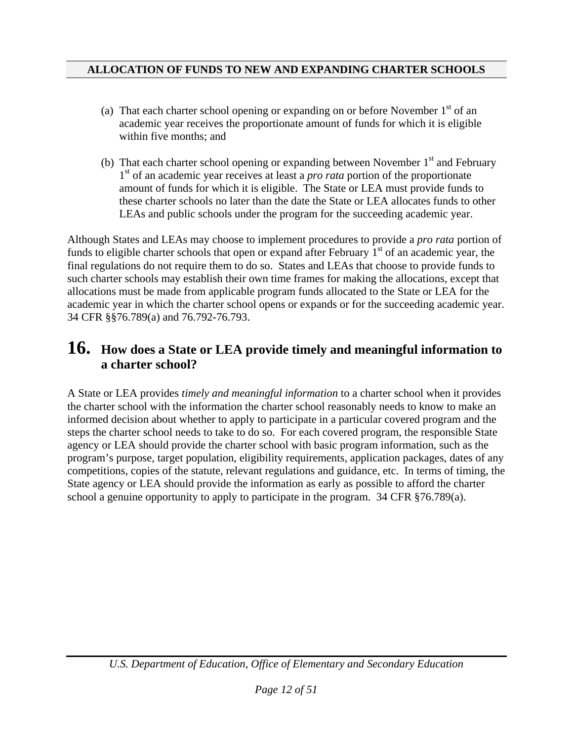- (a) That each charter school opening or expanding on or before November  $1<sup>st</sup>$  of an academic year receives the proportionate amount of funds for which it is eligible within five months; and
- (b) That each charter school opening or expanding between November  $1<sup>st</sup>$  and February 1<sup>st</sup> of an academic year receives at least a *pro rata* portion of the proportionate amount of funds for which it is eligible. The State or LEA must provide funds to these charter schools no later than the date the State or LEA allocates funds to other LEAs and public schools under the program for the succeeding academic year.

Although States and LEAs may choose to implement procedures to provide a *pro rata* portion of funds to eligible charter schools that open or expand after February  $1<sup>st</sup>$  of an academic year, the final regulations do not require them to do so. States and LEAs that choose to provide funds to such charter schools may establish their own time frames for making the allocations, except that allocations must be made from applicable program funds allocated to the State or LEA for the academic year in which the charter school opens or expands or for the succeeding academic year. 34 CFR §§76.789(a) and 76.792-76.793.

### **16. How does a State or LEA provide timely and meaningful information to a charter school?**

A State or LEA provides *timely and meaningful information* to a charter school when it provides the charter school with the information the charter school reasonably needs to know to make an informed decision about whether to apply to participate in a particular covered program and the steps the charter school needs to take to do so. For each covered program, the responsible State agency or LEA should provide the charter school with basic program information, such as the program's purpose, target population, eligibility requirements, application packages, dates of any competitions, copies of the statute, relevant regulations and guidance, etc. In terms of timing, the State agency or LEA should provide the information as early as possible to afford the charter school a genuine opportunity to apply to participate in the program. 34 CFR §76.789(a).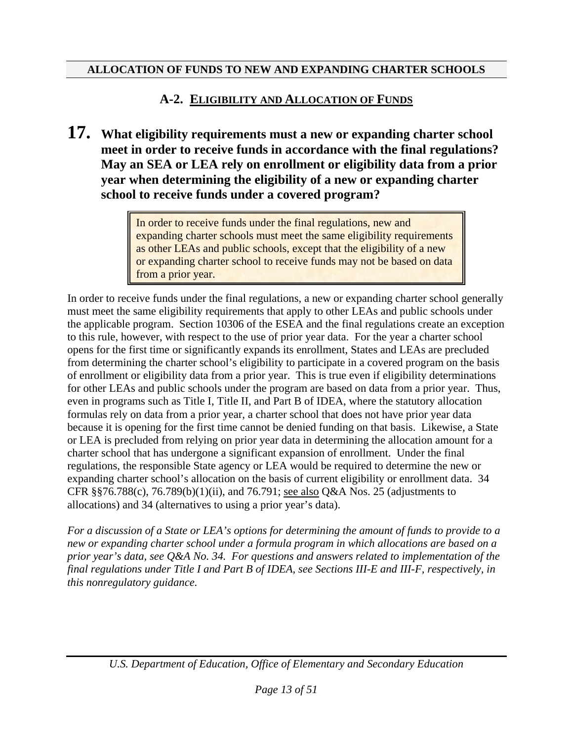### **A-2. ELIGIBILITY AND ALLOCATION OF FUNDS**

**17. What eligibility requirements must a new or expanding charter school meet in order to receive funds in accordance with the final regulations? May an SEA or LEA rely on enrollment or eligibility data from a prior year when determining the eligibility of a new or expanding charter school to receive funds under a covered program?** 

> In order to receive funds under the final regulations, new and expanding charter schools must meet the same eligibility requirements as other LEAs and public schools, except that the eligibility of a new or expanding charter school to receive funds may not be based on data from a prior year.

In order to receive funds under the final regulations, a new or expanding charter school generally must meet the same eligibility requirements that apply to other LEAs and public schools under the applicable program. Section 10306 of the ESEA and the final regulations create an exception to this rule, however, with respect to the use of prior year data. For the year a charter school opens for the first time or significantly expands its enrollment, States and LEAs are precluded from determining the charter school's eligibility to participate in a covered program on the basis of enrollment or eligibility data from a prior year. This is true even if eligibility determinations for other LEAs and public schools under the program are based on data from a prior year. Thus, even in programs such as Title I, Title II, and Part B of IDEA, where the statutory allocation formulas rely on data from a prior year, a charter school that does not have prior year data because it is opening for the first time cannot be denied funding on that basis. Likewise, a State or LEA is precluded from relying on prior year data in determining the allocation amount for a charter school that has undergone a significant expansion of enrollment. Under the final regulations, the responsible State agency or LEA would be required to determine the new or expanding charter school's allocation on the basis of current eligibility or enrollment data. 34 CFR §§76.788(c), 76.789(b)(1)(ii), and 76.791; see also Q&A Nos. 25 (adjustments to allocations) and 34 (alternatives to using a prior year's data).

*For a discussion of a State or LEA's options for determining the amount of funds to provide to a new or expanding charter school under a formula program in which allocations are based on a prior year's data, see Q&A No. 34. For questions and answers related to implementation of the final regulations under Title I and Part B of IDEA, see Sections III-E and III-F, respectively, in this nonregulatory guidance.*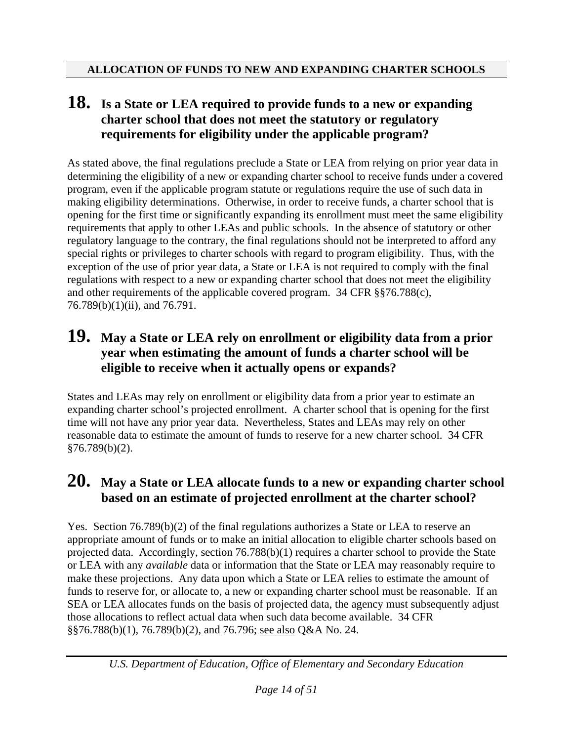### **18. Is a State or LEA required to provide funds to a new or expanding charter school that does not meet the statutory or regulatory requirements for eligibility under the applicable program?**

As stated above, the final regulations preclude a State or LEA from relying on prior year data in determining the eligibility of a new or expanding charter school to receive funds under a covered program, even if the applicable program statute or regulations require the use of such data in making eligibility determinations. Otherwise, in order to receive funds, a charter school that is opening for the first time or significantly expanding its enrollment must meet the same eligibility requirements that apply to other LEAs and public schools. In the absence of statutory or other regulatory language to the contrary, the final regulations should not be interpreted to afford any special rights or privileges to charter schools with regard to program eligibility. Thus, with the exception of the use of prior year data, a State or LEA is not required to comply with the final regulations with respect to a new or expanding charter school that does not meet the eligibility and other requirements of the applicable covered program. 34 CFR §§76.788(c), 76.789(b)(1)(ii), and 76.791.

### **19. May a State or LEA rely on enrollment or eligibility data from a prior year when estimating the amount of funds a charter school will be eligible to receive when it actually opens or expands?**

States and LEAs may rely on enrollment or eligibility data from a prior year to estimate an expanding charter school's projected enrollment. A charter school that is opening for the first time will not have any prior year data. Nevertheless, States and LEAs may rely on other reasonable data to estimate the amount of funds to reserve for a new charter school. 34 CFR §76.789(b)(2).

### **20. May a State or LEA allocate funds to a new or expanding charter school based on an estimate of projected enrollment at the charter school?**

Yes. Section  $76.789(b)(2)$  of the final regulations authorizes a State or LEA to reserve an appropriate amount of funds or to make an initial allocation to eligible charter schools based on projected data. Accordingly, section 76.788(b)(1) requires a charter school to provide the State or LEA with any *available* data or information that the State or LEA may reasonably require to make these projections. Any data upon which a State or LEA relies to estimate the amount of funds to reserve for, or allocate to, a new or expanding charter school must be reasonable. If an SEA or LEA allocates funds on the basis of projected data, the agency must subsequently adjust those allocations to reflect actual data when such data become available. 34 CFR §§76.788(b)(1), 76.789(b)(2), and 76.796; see also Q&A No. 24.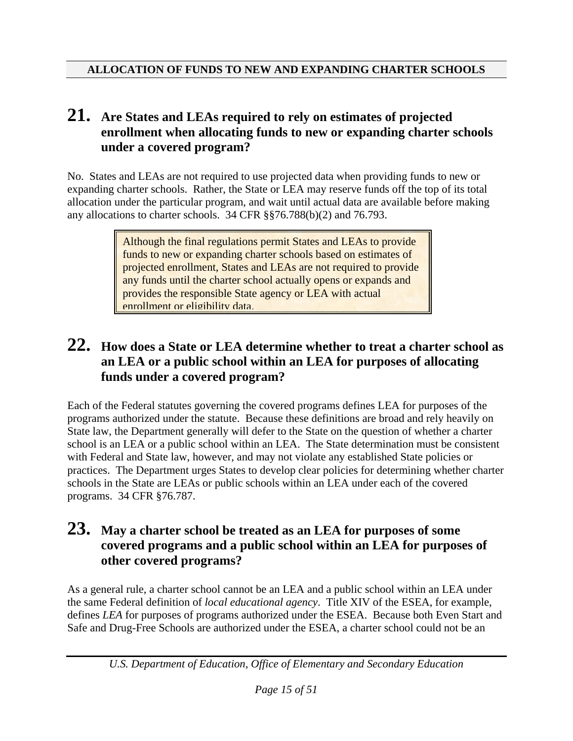### **21. Are States and LEAs required to rely on estimates of projected enrollment when allocating funds to new or expanding charter schools under a covered program?**

No. States and LEAs are not required to use projected data when providing funds to new or expanding charter schools. Rather, the State or LEA may reserve funds off the top of its total allocation under the particular program, and wait until actual data are available before making any allocations to charter schools. 34 CFR §§76.788(b)(2) and 76.793.

> Although the final regulations permit States and LEAs to provide funds to new or expanding charter schools based on estimates of projected enrollment, States and LEAs are not required to provide any funds until the charter school actually opens or expands and provides the responsible State agency or LEA with actual enrollment or eligibility data.

### **22. How does a State or LEA determine whether to treat a charter school as an LEA or a public school within an LEA for purposes of allocating funds under a covered program?**

Each of the Federal statutes governing the covered programs defines LEA for purposes of the programs authorized under the statute. Because these definitions are broad and rely heavily on State law, the Department generally will defer to the State on the question of whether a charter school is an LEA or a public school within an LEA. The State determination must be consistent with Federal and State law, however, and may not violate any established State policies or practices. The Department urges States to develop clear policies for determining whether charter schools in the State are LEAs or public schools within an LEA under each of the covered programs. 34 CFR §76.787.

#### **23. May a charter school be treated as an LEA for purposes of some covered programs and a public school within an LEA for purposes of other covered programs?**

As a general rule, a charter school cannot be an LEA and a public school within an LEA under the same Federal definition of *local educational agency*. Title XIV of the ESEA, for example, defines *LEA* for purposes of programs authorized under the ESEA. Because both Even Start and Safe and Drug-Free Schools are authorized under the ESEA, a charter school could not be an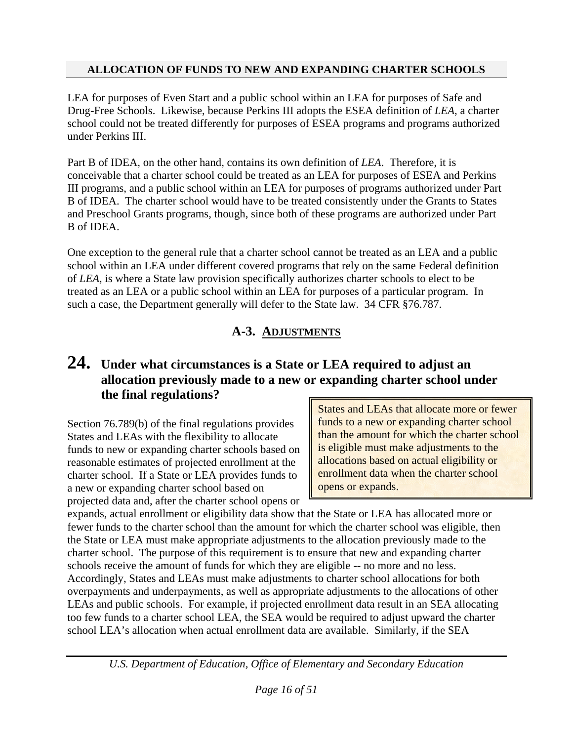LEA for purposes of Even Start and a public school within an LEA for purposes of Safe and Drug-Free Schools. Likewise, because Perkins III adopts the ESEA definition of *LEA*, a charter school could not be treated differently for purposes of ESEA programs and programs authorized under Perkins III.

Part B of IDEA, on the other hand, contains its own definition of *LEA*. Therefore, it is conceivable that a charter school could be treated as an LEA for purposes of ESEA and Perkins III programs, and a public school within an LEA for purposes of programs authorized under Part B of IDEA. The charter school would have to be treated consistently under the Grants to States and Preschool Grants programs, though, since both of these programs are authorized under Part B of IDEA.

One exception to the general rule that a charter school cannot be treated as an LEA and a public school within an LEA under different covered programs that rely on the same Federal definition of *LEA*, is where a State law provision specifically authorizes charter schools to elect to be treated as an LEA or a public school within an LEA for purposes of a particular program. In such a case, the Department generally will defer to the State law. 34 CFR §76.787.

#### **A-3. ADJUSTMENTS**

### **24. Under what circumstances is a State or LEA required to adjust an allocation previously made to a new or expanding charter school under the final regulations?**

Section 76.789(b) of the final regulations provides States and LEAs with the flexibility to allocate funds to new or expanding charter schools based on reasonable estimates of projected enrollment at the charter school. If a State or LEA provides funds to a new or expanding charter school based on projected data and, after the charter school opens or States and LEAs that allocate more or fewer funds to a new or expanding charter school than the amount for which the charter school is eligible must make adjustments to the allocations based on actual eligibility or enrollment data when the charter school opens or expands.

expands, actual enrollment or eligibility data show that the State or LEA has allocated more or fewer funds to the charter school than the amount for which the charter school was eligible, then the State or LEA must make appropriate adjustments to the allocation previously made to the charter school. The purpose of this requirement is to ensure that new and expanding charter schools receive the amount of funds for which they are eligible -- no more and no less. Accordingly, States and LEAs must make adjustments to charter school allocations for both overpayments and underpayments, as well as appropriate adjustments to the allocations of other LEAs and public schools. For example, if projected enrollment data result in an SEA allocating too few funds to a charter school LEA, the SEA would be required to adjust upward the charter school LEA's allocation when actual enrollment data are available. Similarly, if the SEA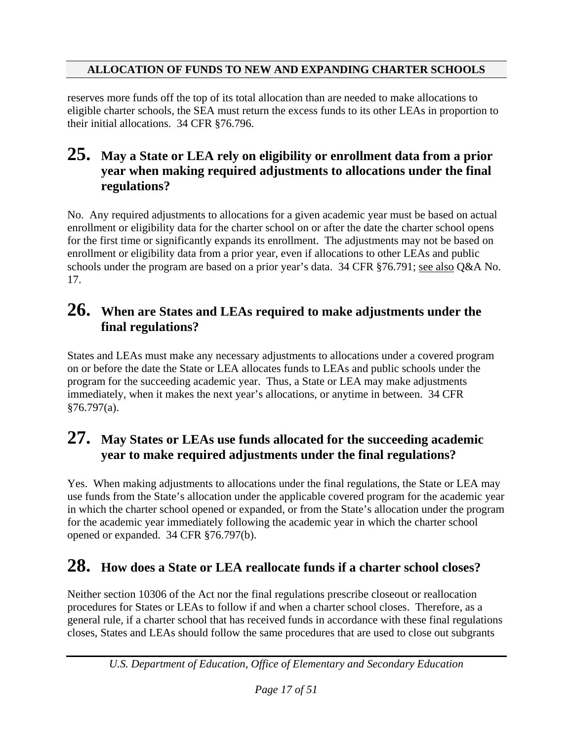reserves more funds off the top of its total allocation than are needed to make allocations to eligible charter schools, the SEA must return the excess funds to its other LEAs in proportion to their initial allocations. 34 CFR §76.796.

### **25. May a State or LEA rely on eligibility or enrollment data from a prior year when making required adjustments to allocations under the final regulations?**

No. Any required adjustments to allocations for a given academic year must be based on actual enrollment or eligibility data for the charter school on or after the date the charter school opens for the first time or significantly expands its enrollment. The adjustments may not be based on enrollment or eligibility data from a prior year, even if allocations to other LEAs and public schools under the program are based on a prior year's data. 34 CFR §76.791; see also Q&A No. 17.

### **26. When are States and LEAs required to make adjustments under the final regulations?**

States and LEAs must make any necessary adjustments to allocations under a covered program on or before the date the State or LEA allocates funds to LEAs and public schools under the program for the succeeding academic year. Thus, a State or LEA may make adjustments immediately, when it makes the next year's allocations, or anytime in between. 34 CFR §76.797(a).

### **27. May States or LEAs use funds allocated for the succeeding academic year to make required adjustments under the final regulations?**

Yes. When making adjustments to allocations under the final regulations, the State or LEA may use funds from the State's allocation under the applicable covered program for the academic year in which the charter school opened or expanded, or from the State's allocation under the program for the academic year immediately following the academic year in which the charter school opened or expanded. 34 CFR §76.797(b).

## **28. How does a State or LEA reallocate funds if a charter school closes?**

Neither section 10306 of the Act nor the final regulations prescribe closeout or reallocation procedures for States or LEAs to follow if and when a charter school closes. Therefore, as a general rule, if a charter school that has received funds in accordance with these final regulations closes, States and LEAs should follow the same procedures that are used to close out subgrants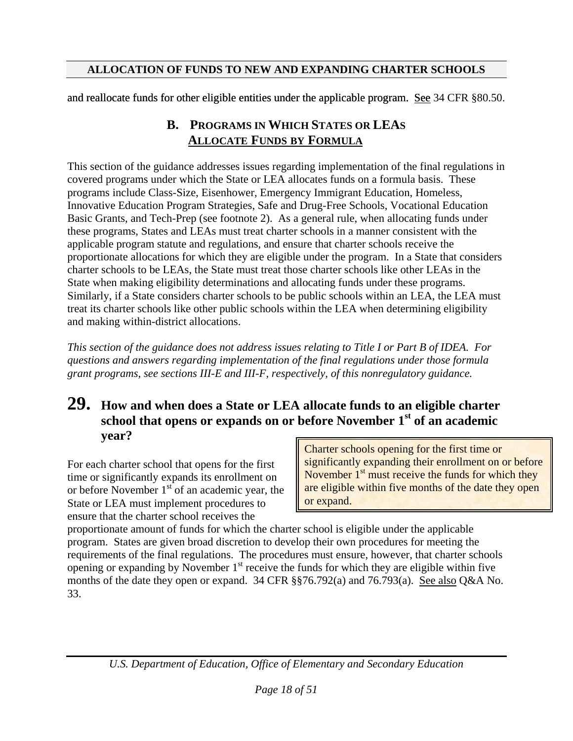and reallocate funds for other eligible entities under the applicable program. See 34 CFR §80.50.

### **B. PROGRAMS IN WHICH STATES OR LEAS ALLOCATE FUNDS BY FORMULA**

This section of the guidance addresses issues regarding implementation of the final regulations in covered programs under which the State or LEA allocates funds on a formula basis. These programs include Class-Size, Eisenhower, Emergency Immigrant Education, Homeless, Innovative Education Program Strategies, Safe and Drug-Free Schools, Vocational Education Basic Grants, and Tech-Prep (see footnote 2). As a general rule, when allocating funds under these programs, States and LEAs must treat charter schools in a manner consistent with the applicable program statute and regulations, and ensure that charter schools receive the proportionate allocations for which they are eligible under the program. In a State that considers charter schools to be LEAs, the State must treat those charter schools like other LEAs in the State when making eligibility determinations and allocating funds under these programs. Similarly, if a State considers charter schools to be public schools within an LEA, the LEA must treat its charter schools like other public schools within the LEA when determining eligibility and making within-district allocations.

*This section of the guidance does not address issues relating to Title I or Part B of IDEA. For questions and answers regarding implementation of the final regulations under those formula grant programs, see sections III-E and III-F, respectively, of this nonregulatory guidance.* 

### **29. How and when does a State or LEA allocate funds to an eligible charter school that opens or expands on or before November 1st of an academic year?**

For each charter school that opens for the first time or significantly expands its enrollment on or before November  $1<sup>st</sup>$  of an academic year, the State or LEA must implement procedures to ensure that the charter school receives the

Charter schools opening for the first time or significantly expanding their enrollment on or before November  $1<sup>st</sup>$  must receive the funds for which they are eligible within five months of the date they open or expand.

proportionate amount of funds for which the charter school is eligible under the applicable program. States are given broad discretion to develop their own procedures for meeting the requirements of the final regulations. The procedures must ensure, however, that charter schools opening or expanding by November  $1<sup>st</sup>$  receive the funds for which they are eligible within five months of the date they open or expand. 34 CFR §§76.792(a) and 76.793(a). See also Q&A No. 33.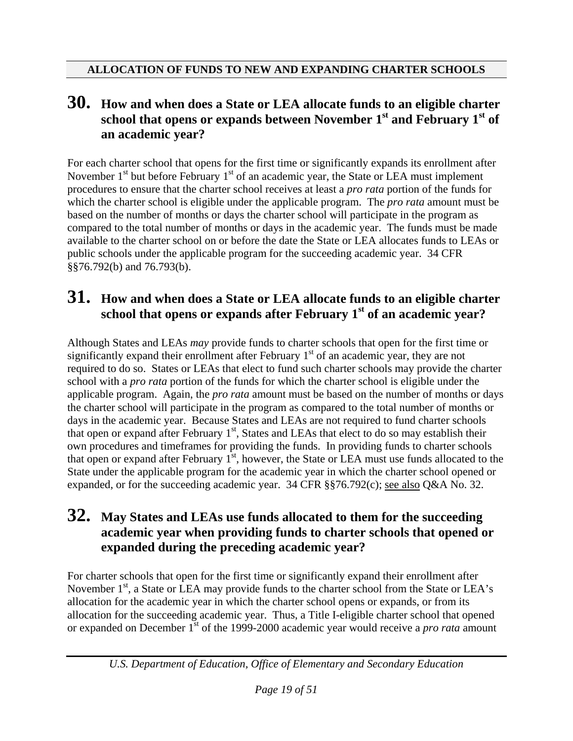### **30. How and when does a State or LEA allocate funds to an eligible charter school that opens or expands between November 1st and February 1st of an academic year?**

For each charter school that opens for the first time or significantly expands its enrollment after November  $1<sup>st</sup>$  but before February  $1<sup>st</sup>$  of an academic year, the State or LEA must implement procedures to ensure that the charter school receives at least a *pro rata* portion of the funds for which the charter school is eligible under the applicable program. The *pro rata* amount must be based on the number of months or days the charter school will participate in the program as compared to the total number of months or days in the academic year. The funds must be made available to the charter school on or before the date the State or LEA allocates funds to LEAs or public schools under the applicable program for the succeeding academic year. 34 CFR §§76.792(b) and 76.793(b).

### **31. How and when does a State or LEA allocate funds to an eligible charter school that opens or expands after February 1st of an academic year?**

Although States and LEAs *may* provide funds to charter schools that open for the first time or significantly expand their enrollment after February  $1<sup>st</sup>$  of an academic year, they are not required to do so. States or LEAs that elect to fund such charter schools may provide the charter school with a *pro rata* portion of the funds for which the charter school is eligible under the applicable program. Again, the *pro rata* amount must be based on the number of months or days the charter school will participate in the program as compared to the total number of months or days in the academic year. Because States and LEAs are not required to fund charter schools that open or expand after February  $1<sup>st</sup>$ , States and LEAs that elect to do so may establish their own procedures and timeframes for providing the funds. In providing funds to charter schools that open or expand after February  $1<sup>st</sup>$ , however, the State or LEA must use funds allocated to the State under the applicable program for the academic year in which the charter school opened or expanded, or for the succeeding academic year. 34 CFR §§76.792(c); see also Q&A No. 32.

### **32. May States and LEAs use funds allocated to them for the succeeding academic year when providing funds to charter schools that opened or expanded during the preceding academic year?**

For charter schools that open for the first time or significantly expand their enrollment after November  $1<sup>st</sup>$ , a State or LEA may provide funds to the charter school from the State or LEA's allocation for the academic year in which the charter school opens or expands, or from its allocation for the succeeding academic year. Thus, a Title I-eligible charter school that opened or expanded on December 1<sup>st</sup> of the 1999-2000 academic year would receive a *pro rata* amount

*U.S. Department of Education, Office of Elementary and Secondary Education*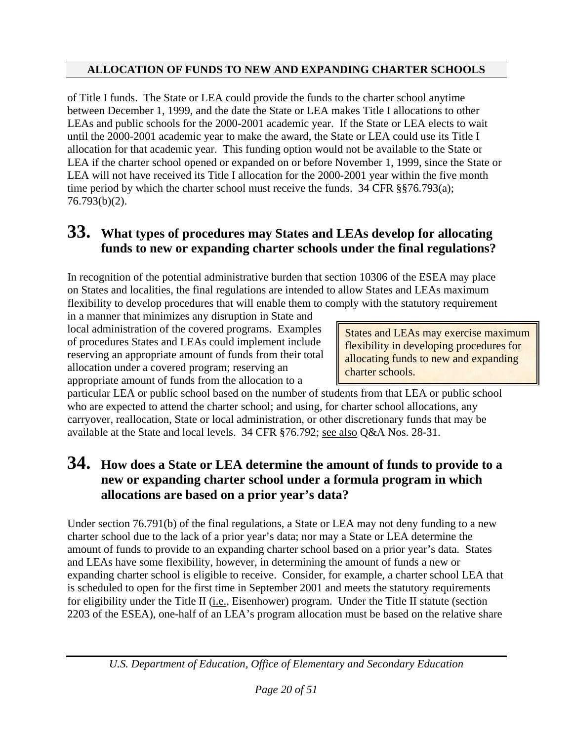of Title I funds. The State or LEA could provide the funds to the charter school anytime between December 1, 1999, and the date the State or LEA makes Title I allocations to other LEAs and public schools for the 2000-2001 academic year. If the State or LEA elects to wait until the 2000-2001 academic year to make the award, the State or LEA could use its Title I allocation for that academic year. This funding option would not be available to the State or LEA if the charter school opened or expanded on or before November 1, 1999, since the State or LEA will not have received its Title I allocation for the 2000-2001 year within the five month time period by which the charter school must receive the funds.  $34 \text{ CFR } \text{\textless}\, 8876.793(a)$ ; 76.793(b)(2).

## **33. What types of procedures may States and LEAs develop for allocating funds to new or expanding charter schools under the final regulations?**

In recognition of the potential administrative burden that section 10306 of the ESEA may place on States and localities, the final regulations are intended to allow States and LEAs maximum flexibility to develop procedures that will enable them to comply with the statutory requirement

in a manner that minimizes any disruption in State and local administration of the covered programs. Examples of procedures States and LEAs could implement include reserving an appropriate amount of funds from their total allocation under a covered program; reserving an appropriate amount of funds from the allocation to a

States and LEAs may exercise maximum flexibility in developing procedures for allocating funds to new and expanding charter schools.

particular LEA or public school based on the number of students from that LEA or public school who are expected to attend the charter school; and using, for charter school allocations, any carryover, reallocation, State or local administration, or other discretionary funds that may be available at the State and local levels. 34 CFR §76.792; see also Q&A Nos. 28-31.

### **34. How does a State or LEA determine the amount of funds to provide to a new or expanding charter school under a formula program in which allocations are based on a prior year's data?**

Under section 76.791(b) of the final regulations, a State or LEA may not deny funding to a new charter school due to the lack of a prior year's data; nor may a State or LEA determine the amount of funds to provide to an expanding charter school based on a prior year's data. States and LEAs have some flexibility, however, in determining the amount of funds a new or expanding charter school is eligible to receive. Consider, for example, a charter school LEA that is scheduled to open for the first time in September 2001 and meets the statutory requirements for eligibility under the Title II (*i.e.*, Eisenhower) program. Under the Title II statute (section 2203 of the ESEA), one-half of an LEA's program allocation must be based on the relative share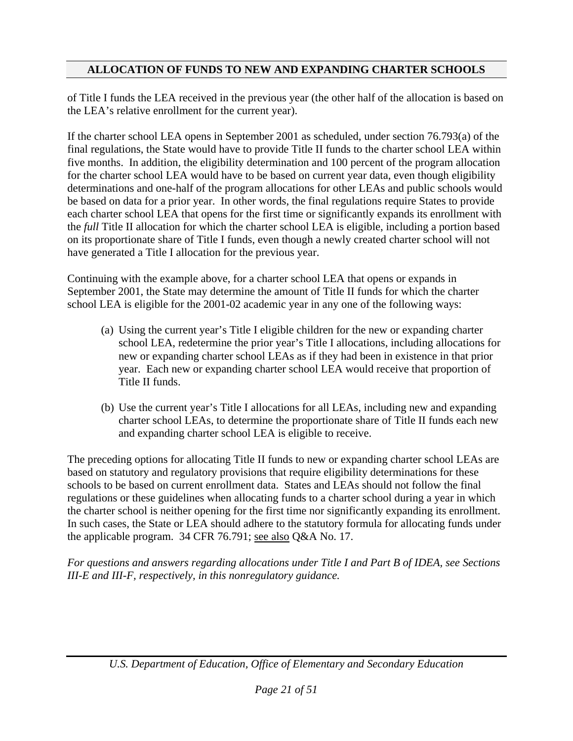of Title I funds the LEA received in the previous year (the other half of the allocation is based on the LEA's relative enrollment for the current year).

If the charter school LEA opens in September 2001 as scheduled, under section 76.793(a) of the final regulations, the State would have to provide Title II funds to the charter school LEA within five months. In addition, the eligibility determination and 100 percent of the program allocation for the charter school LEA would have to be based on current year data, even though eligibility determinations and one-half of the program allocations for other LEAs and public schools would be based on data for a prior year. In other words, the final regulations require States to provide each charter school LEA that opens for the first time or significantly expands its enrollment with the *full* Title II allocation for which the charter school LEA is eligible, including a portion based on its proportionate share of Title I funds, even though a newly created charter school will not have generated a Title I allocation for the previous year.

Continuing with the example above, for a charter school LEA that opens or expands in September 2001, the State may determine the amount of Title II funds for which the charter school LEA is eligible for the 2001-02 academic year in any one of the following ways:

- (a) Using the current year's Title I eligible children for the new or expanding charter school LEA, redetermine the prior year's Title I allocations, including allocations for new or expanding charter school LEAs as if they had been in existence in that prior year. Each new or expanding charter school LEA would receive that proportion of Title II funds.
- (b) Use the current year's Title I allocations for all LEAs, including new and expanding charter school LEAs, to determine the proportionate share of Title II funds each new and expanding charter school LEA is eligible to receive.

The preceding options for allocating Title II funds to new or expanding charter school LEAs are based on statutory and regulatory provisions that require eligibility determinations for these schools to be based on current enrollment data. States and LEAs should not follow the final regulations or these guidelines when allocating funds to a charter school during a year in which the charter school is neither opening for the first time nor significantly expanding its enrollment. In such cases, the State or LEA should adhere to the statutory formula for allocating funds under the applicable program. 34 CFR 76.791; see also Q&A No. 17.

*For questions and answers regarding allocations under Title I and Part B of IDEA, see Sections III-E and III-F, respectively, in this nonregulatory guidance.*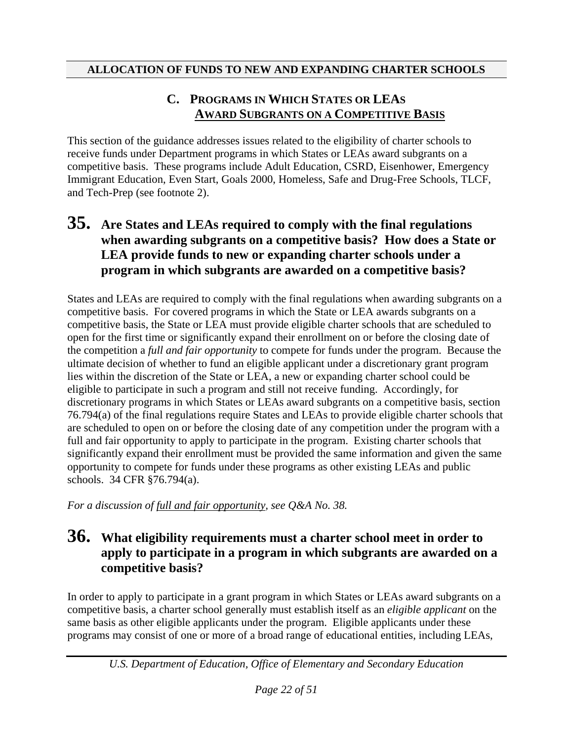#### **C. PROGRAMS IN WHICH STATES OR LEAS AWARD SUBGRANTS ON A COMPETITIVE BASIS**

This section of the guidance addresses issues related to the eligibility of charter schools to receive funds under Department programs in which States or LEAs award subgrants on a competitive basis. These programs include Adult Education, CSRD, Eisenhower, Emergency Immigrant Education, Even Start, Goals 2000, Homeless, Safe and Drug-Free Schools, TLCF, and Tech-Prep (see footnote 2).

### **35. Are States and LEAs required to comply with the final regulations when awarding subgrants on a competitive basis? How does a State or LEA provide funds to new or expanding charter schools under a program in which subgrants are awarded on a competitive basis?**

States and LEAs are required to comply with the final regulations when awarding subgrants on a competitive basis. For covered programs in which the State or LEA awards subgrants on a competitive basis, the State or LEA must provide eligible charter schools that are scheduled to open for the first time or significantly expand their enrollment on or before the closing date of the competition a *full and fair opportunity* to compete for funds under the program. Because the ultimate decision of whether to fund an eligible applicant under a discretionary grant program lies within the discretion of the State or LEA, a new or expanding charter school could be eligible to participate in such a program and still not receive funding. Accordingly, for discretionary programs in which States or LEAs award subgrants on a competitive basis, section 76.794(a) of the final regulations require States and LEAs to provide eligible charter schools that are scheduled to open on or before the closing date of any competition under the program with a full and fair opportunity to apply to participate in the program. Existing charter schools that significantly expand their enrollment must be provided the same information and given the same opportunity to compete for funds under these programs as other existing LEAs and public schools. 34 CFR §76.794(a).

*For a discussion of full and fair opportunity, see Q&A No. 38.* 

#### **36. What eligibility requirements must a charter school meet in order to apply to participate in a program in which subgrants are awarded on a competitive basis?**

In order to apply to participate in a grant program in which States or LEAs award subgrants on a competitive basis, a charter school generally must establish itself as an *eligible applicant* on the same basis as other eligible applicants under the program. Eligible applicants under these programs may consist of one or more of a broad range of educational entities, including LEAs,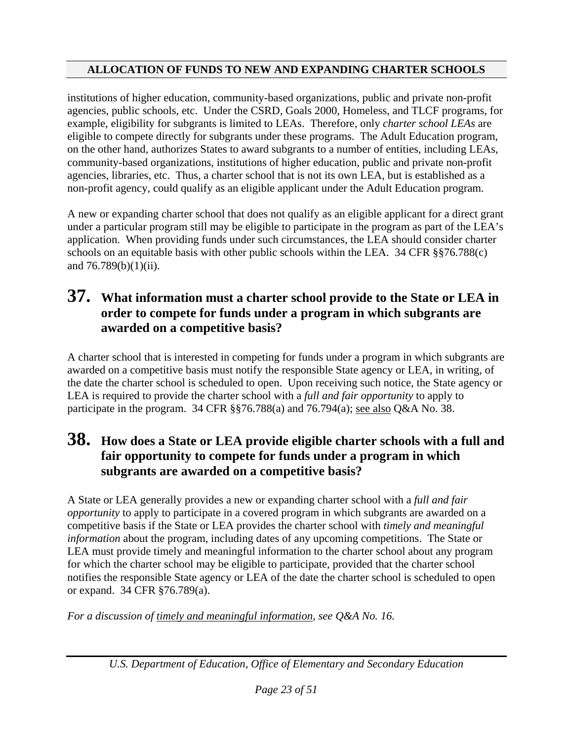institutions of higher education, community-based organizations, public and private non-profit agencies, public schools, etc. Under the CSRD, Goals 2000, Homeless, and TLCF programs, for example, eligibility for subgrants is limited to LEAs. Therefore, only *charter school LEAs* are eligible to compete directly for subgrants under these programs. The Adult Education program, on the other hand, authorizes States to award subgrants to a number of entities, including LEAs, community-based organizations, institutions of higher education, public and private non-profit agencies, libraries, etc. Thus, a charter school that is not its own LEA, but is established as a non-profit agency, could qualify as an eligible applicant under the Adult Education program.

A new or expanding charter school that does not qualify as an eligible applicant for a direct grant under a particular program still may be eligible to participate in the program as part of the LEA's application. When providing funds under such circumstances, the LEA should consider charter schools on an equitable basis with other public schools within the LEA. 34 CFR §§76.788(c) and 76.789(b)(1)(ii).

### **37. What information must a charter school provide to the State or LEA in order to compete for funds under a program in which subgrants are awarded on a competitive basis?**

A charter school that is interested in competing for funds under a program in which subgrants are awarded on a competitive basis must notify the responsible State agency or LEA, in writing, of the date the charter school is scheduled to open. Upon receiving such notice, the State agency or LEA is required to provide the charter school with a *full and fair opportunity* to apply to participate in the program. 34 CFR §§76.788(a) and 76.794(a); see also Q&A No. 38.

### **38. How does a State or LEA provide eligible charter schools with a full and fair opportunity to compete for funds under a program in which subgrants are awarded on a competitive basis?**

A State or LEA generally provides a new or expanding charter school with a *full and fair opportunity* to apply to participate in a covered program in which subgrants are awarded on a competitive basis if the State or LEA provides the charter school with *timely and meaningful information* about the program, including dates of any upcoming competitions. The State or LEA must provide timely and meaningful information to the charter school about any program for which the charter school may be eligible to participate, provided that the charter school notifies the responsible State agency or LEA of the date the charter school is scheduled to open or expand. 34 CFR §76.789(a).

*For a discussion of timely and meaningful information, see Q&A No. 16.*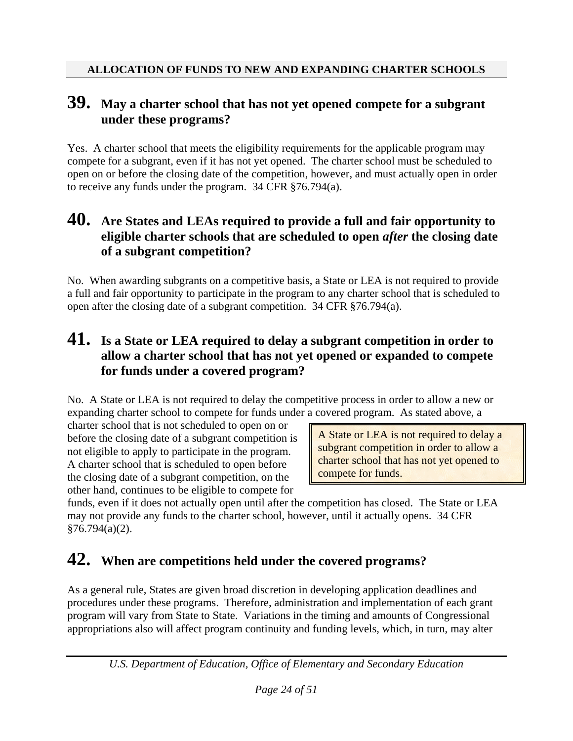### **39. May a charter school that has not yet opened compete for a subgrant under these programs?**

Yes. A charter school that meets the eligibility requirements for the applicable program may compete for a subgrant, even if it has not yet opened. The charter school must be scheduled to open on or before the closing date of the competition, however, and must actually open in order to receive any funds under the program. 34 CFR §76.794(a).

#### **40. Are States and LEAs required to provide a full and fair opportunity to eligible charter schools that are scheduled to open** *after* **the closing date of a subgrant competition?**

No. When awarding subgrants on a competitive basis, a State or LEA is not required to provide a full and fair opportunity to participate in the program to any charter school that is scheduled to open after the closing date of a subgrant competition. 34 CFR §76.794(a).

### **41. Is a State or LEA required to delay a subgrant competition in order to allow a charter school that has not yet opened or expanded to compete for funds under a covered program?**

No. A State or LEA is not required to delay the competitive process in order to allow a new or expanding charter school to compete for funds under a covered program. As stated above, a

charter school that is not scheduled to open on or before the closing date of a subgrant competition is not eligible to apply to participate in the program. A charter school that is scheduled to open before the closing date of a subgrant competition, on the other hand, continues to be eligible to compete for

A State or LEA is not required to delay a subgrant competition in order to allow a charter school that has not yet opened to compete for funds.

funds, even if it does not actually open until after the competition has closed. The State or LEA may not provide any funds to the charter school, however, until it actually opens. 34 CFR  $§76.794(a)(2).$ 

## **42. When are competitions held under the covered programs?**

As a general rule, States are given broad discretion in developing application deadlines and procedures under these programs. Therefore, administration and implementation of each grant program will vary from State to State. Variations in the timing and amounts of Congressional appropriations also will affect program continuity and funding levels, which, in turn, may alter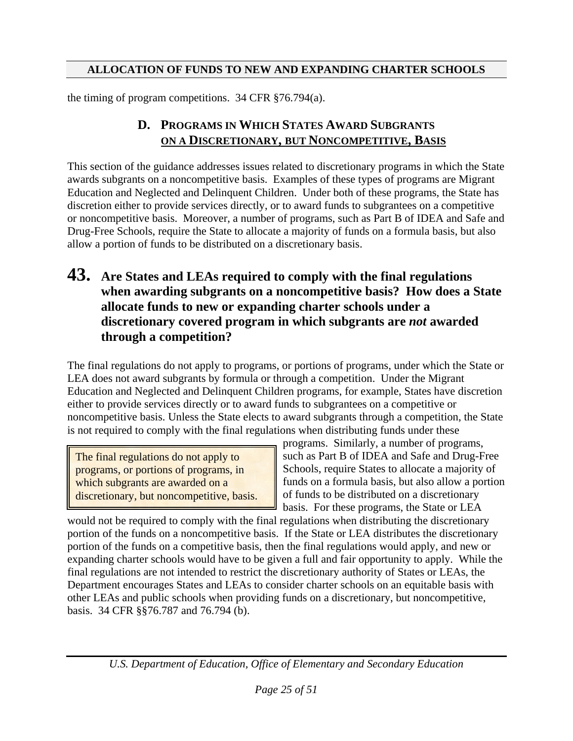the timing of program competitions. 34 CFR §76.794(a).

#### **D. PROGRAMS IN WHICH STATES AWARD SUBGRANTS ON A DISCRETIONARY, BUT NONCOMPETITIVE, BASIS**

This section of the guidance addresses issues related to discretionary programs in which the State awards subgrants on a noncompetitive basis. Examples of these types of programs are Migrant Education and Neglected and Delinquent Children. Under both of these programs, the State has discretion either to provide services directly, or to award funds to subgrantees on a competitive or noncompetitive basis. Moreover, a number of programs, such as Part B of IDEA and Safe and Drug-Free Schools, require the State to allocate a majority of funds on a formula basis, but also allow a portion of funds to be distributed on a discretionary basis.

#### **43. Are States and LEAs required to comply with the final regulations when awarding subgrants on a noncompetitive basis? How does a State allocate funds to new or expanding charter schools under a discretionary covered program in which subgrants are** *not* **awarded through a competition?**

The final regulations do not apply to programs, or portions of programs, under which the State or LEA does not award subgrants by formula or through a competition. Under the Migrant Education and Neglected and Delinquent Children programs, for example, States have discretion either to provide services directly or to award funds to subgrantees on a competitive or noncompetitive basis. Unless the State elects to award subgrants through a competition, the State is not required to comply with the final regulations when distributing funds under these

The final regulations do not apply to programs, or portions of programs, in which subgrants are awarded on a discretionary, but noncompetitive, basis. programs. Similarly, a number of programs, such as Part B of IDEA and Safe and Drug-Free Schools, require States to allocate a majority of funds on a formula basis, but also allow a portion of funds to be distributed on a discretionary basis. For these programs, the State or LEA

would not be required to comply with the final regulations when distributing the discretionary portion of the funds on a noncompetitive basis. If the State or LEA distributes the discretionary portion of the funds on a competitive basis, then the final regulations would apply, and new or expanding charter schools would have to be given a full and fair opportunity to apply. While the final regulations are not intended to restrict the discretionary authority of States or LEAs, the Department encourages States and LEAs to consider charter schools on an equitable basis with other LEAs and public schools when providing funds on a discretionary, but noncompetitive, basis. 34 CFR §§76.787 and 76.794 (b).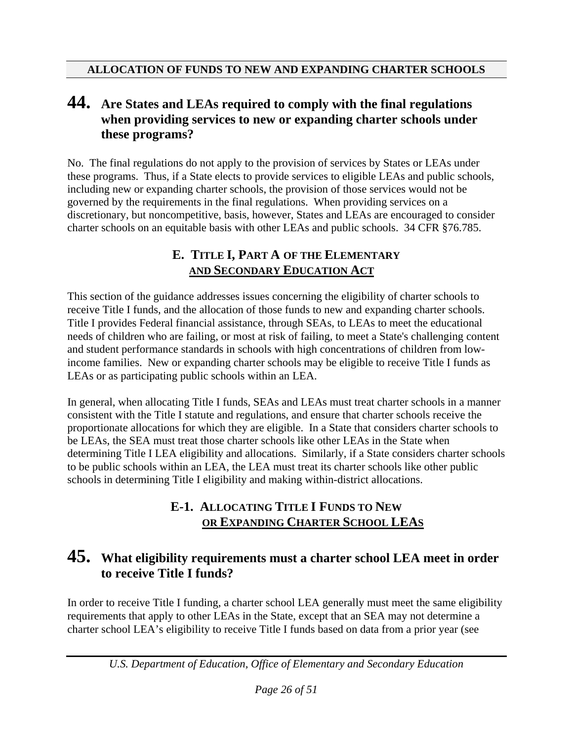### **44. Are States and LEAs required to comply with the final regulations when providing services to new or expanding charter schools under these programs?**

No. The final regulations do not apply to the provision of services by States or LEAs under these programs. Thus, if a State elects to provide services to eligible LEAs and public schools, including new or expanding charter schools, the provision of those services would not be governed by the requirements in the final regulations. When providing services on a discretionary, but noncompetitive, basis, however, States and LEAs are encouraged to consider charter schools on an equitable basis with other LEAs and public schools. 34 CFR §76.785.

#### **E. TITLE I, PART A OF THE ELEMENTARY AND SECONDARY EDUCATION ACT**

This section of the guidance addresses issues concerning the eligibility of charter schools to receive Title I funds, and the allocation of those funds to new and expanding charter schools. Title I provides Federal financial assistance, through SEAs, to LEAs to meet the educational needs of children who are failing, or most at risk of failing, to meet a State's challenging content and student performance standards in schools with high concentrations of children from lowincome families. New or expanding charter schools may be eligible to receive Title I funds as LEAs or as participating public schools within an LEA.

In general, when allocating Title I funds, SEAs and LEAs must treat charter schools in a manner consistent with the Title I statute and regulations, and ensure that charter schools receive the proportionate allocations for which they are eligible. In a State that considers charter schools to be LEAs, the SEA must treat those charter schools like other LEAs in the State when determining Title I LEA eligibility and allocations. Similarly, if a State considers charter schools to be public schools within an LEA, the LEA must treat its charter schools like other public schools in determining Title I eligibility and making within-district allocations.

#### **E-1. ALLOCATING TITLE I FUNDS TO NEW OR EXPANDING CHARTER SCHOOL LEAS**

### **45. What eligibility requirements must a charter school LEA meet in order to receive Title I funds?**

In order to receive Title I funding, a charter school LEA generally must meet the same eligibility requirements that apply to other LEAs in the State, except that an SEA may not determine a charter school LEA's eligibility to receive Title I funds based on data from a prior year (see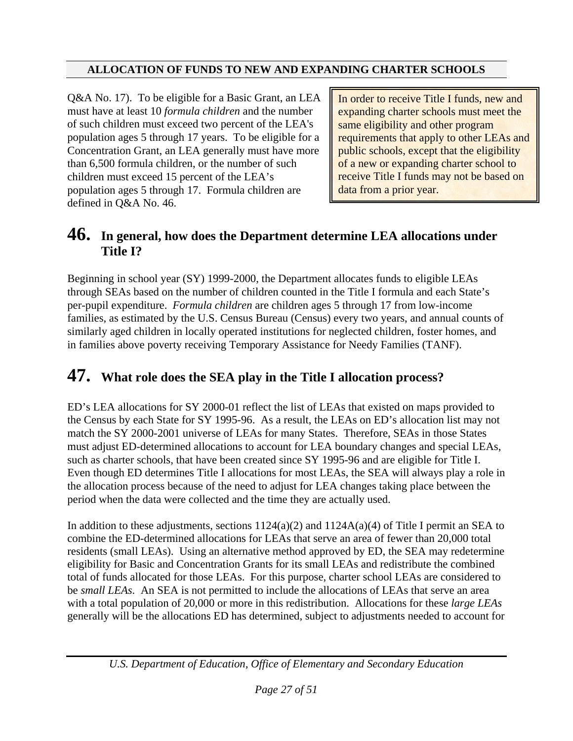Q&A No. 17). To be eligible for a Basic Grant, an LEA must have at least 10 *formula children* and the number of such children must exceed two percent of the LEA's population ages 5 through 17 years. To be eligible for a Concentration Grant, an LEA generally must have more than 6,500 formula children, or the number of such children must exceed 15 percent of the LEA's population ages 5 through 17. Formula children are defined in Q&A No. 46.

In order to receive Title I funds, new and expanding charter schools must meet the same eligibility and other program requirements that apply to other LEAs and public schools, except that the eligibility of a new or expanding charter school to receive Title I funds may not be based on data from a prior year.

### **46. In general, how does the Department determine LEA allocations under Title I?**

Beginning in school year (SY) 1999-2000, the Department allocates funds to eligible LEAs through SEAs based on the number of children counted in the Title I formula and each State's per-pupil expenditure. *Formula children* are children ages 5 through 17 from low-income families, as estimated by the U.S. Census Bureau (Census) every two years, and annual counts of similarly aged children in locally operated institutions for neglected children, foster homes, and in families above poverty receiving Temporary Assistance for Needy Families (TANF).

## **47. What role does the SEA play in the Title I allocation process?**

ED's LEA allocations for SY 2000-01 reflect the list of LEAs that existed on maps provided to the Census by each State for SY 1995-96. As a result, the LEAs on ED's allocation list may not match the SY 2000-2001 universe of LEAs for many States. Therefore, SEAs in those States must adjust ED-determined allocations to account for LEA boundary changes and special LEAs, such as charter schools, that have been created since SY 1995-96 and are eligible for Title I. Even though ED determines Title I allocations for most LEAs, the SEA will always play a role in the allocation process because of the need to adjust for LEA changes taking place between the period when the data were collected and the time they are actually used.

In addition to these adjustments, sections  $1124(a)(2)$  and  $1124A(a)(4)$  of Title I permit an SEA to combine the ED-determined allocations for LEAs that serve an area of fewer than 20,000 total residents (small LEAs). Using an alternative method approved by ED, the SEA may redetermine eligibility for Basic and Concentration Grants for its small LEAs and redistribute the combined total of funds allocated for those LEAs. For this purpose, charter school LEAs are considered to be *small LEAs*. An SEA is not permitted to include the allocations of LEAs that serve an area with a total population of 20,000 or more in this redistribution. Allocations for these *large LEAs* generally will be the allocations ED has determined, subject to adjustments needed to account for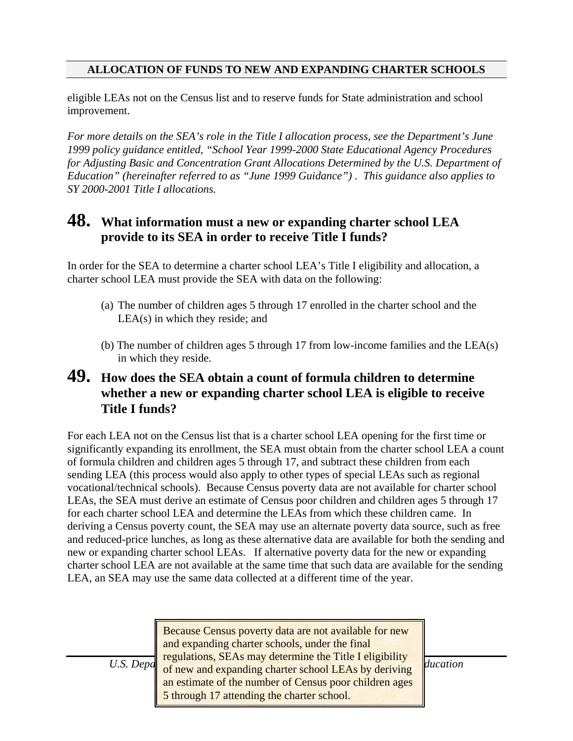eligible LEAs not on the Census list and to reserve funds for State administration and school improvement.

*For more details on the SEA's role in the Title I allocation process, see the Department's June 1999 policy guidance entitled, "School Year 1999-2000 State Educational Agency Procedures for Adjusting Basic and Concentration Grant Allocations Determined by the U.S. Department of Education" (hereinafter referred to as "June 1999 Guidance") . This guidance also applies to SY 2000-2001 Title I allocations.* 

#### **48. What information must a new or expanding charter school LEA provide to its SEA in order to receive Title I funds?**

In order for the SEA to determine a charter school LEA's Title I eligibility and allocation, a charter school LEA must provide the SEA with data on the following:

- (a) The number of children ages 5 through 17 enrolled in the charter school and the LEA(s) in which they reside; and
- (b) The number of children ages 5 through 17 from low-income families and the LEA(s) in which they reside.

### **49. How does the SEA obtain a count of formula children to determine whether a new or expanding charter school LEA is eligible to receive Title I funds?**

For each LEA not on the Census list that is a charter school LEA opening for the first time or significantly expanding its enrollment, the SEA must obtain from the charter school LEA a count of formula children and children ages 5 through 17, and subtract these children from each sending LEA (this process would also apply to other types of special LEAs such as regional vocational/technical schools). Because Census poverty data are not available for charter school LEAs, the SEA must derive an estimate of Census poor children and children ages 5 through 17 for each charter school LEA and determine the LEAs from which these children came. In deriving a Census poverty count, the SEA may use an alternate poverty data source, such as free and reduced-price lunches, as long as these alternative data are available for both the sending and new or expanding charter school LEAs. If alternative poverty data for the new or expanding charter school LEA are not available at the same time that such data are available for the sending LEA, an SEA may use the same data collected at a different time of the year.

*U.S. Depa* regulations, SEAs may determine the Title I eligibility  $\mu$   $\mu$ *Page 28 of 28 of 28 of 28 of 28 of 5 through 17 attending the charter school.* Because Census poverty data are not available for new and expanding charter schools, under the final of new and expanding charter school LEAs by deriving an estimate of the number of Census poor children ages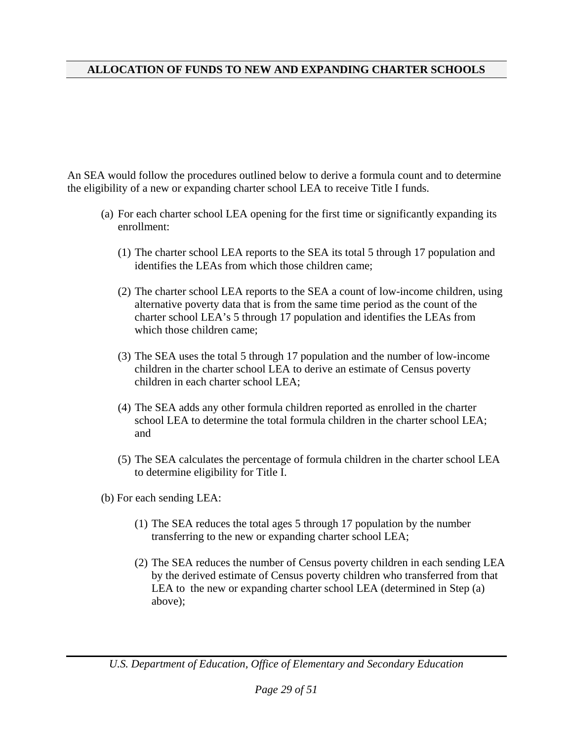An SEA would follow the procedures outlined below to derive a formula count and to determine the eligibility of a new or expanding charter school LEA to receive Title I funds.

- (a) For each charter school LEA opening for the first time or significantly expanding its enrollment:
	- (1) The charter school LEA reports to the SEA its total 5 through 17 population and identifies the LEAs from which those children came;
	- (2) The charter school LEA reports to the SEA a count of low-income children, using alternative poverty data that is from the same time period as the count of the charter school LEA's 5 through 17 population and identifies the LEAs from which those children came;
	- (3) The SEA uses the total 5 through 17 population and the number of low-income children in the charter school LEA to derive an estimate of Census poverty children in each charter school LEA;
	- (4) The SEA adds any other formula children reported as enrolled in the charter school LEA to determine the total formula children in the charter school LEA; and
	- (5) The SEA calculates the percentage of formula children in the charter school LEA to determine eligibility for Title I.
- (b) For each sending LEA:
	- (1) The SEA reduces the total ages 5 through 17 population by the number transferring to the new or expanding charter school LEA;
	- (2) The SEA reduces the number of Census poverty children in each sending LEA by the derived estimate of Census poverty children who transferred from that LEA to the new or expanding charter school LEA (determined in Step (a) above);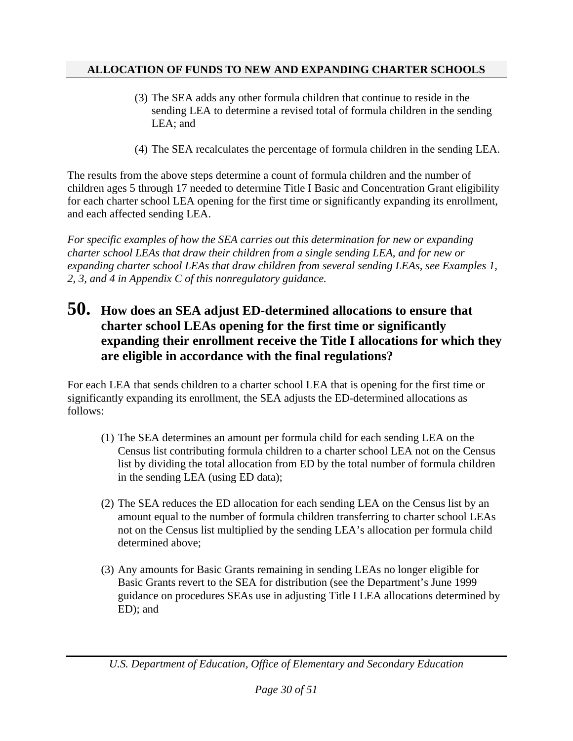- (3) The SEA adds any other formula children that continue to reside in the sending LEA to determine a revised total of formula children in the sending LEA; and
- (4) The SEA recalculates the percentage of formula children in the sending LEA.

The results from the above steps determine a count of formula children and the number of children ages 5 through 17 needed to determine Title I Basic and Concentration Grant eligibility for each charter school LEA opening for the first time or significantly expanding its enrollment, and each affected sending LEA.

*For specific examples of how the SEA carries out this determination for new or expanding charter school LEAs that draw their children from a single sending LEA, and for new or expanding charter school LEAs that draw children from several sending LEAs, see Examples 1, 2, 3, and 4 in Appendix C of this nonregulatory guidance.*

### **50. How does an SEA adjust ED-determined allocations to ensure that charter school LEAs opening for the first time or significantly expanding their enrollment receive the Title I allocations for which they are eligible in accordance with the final regulations?**

For each LEA that sends children to a charter school LEA that is opening for the first time or significantly expanding its enrollment, the SEA adjusts the ED-determined allocations as follows:

- (1) The SEA determines an amount per formula child for each sending LEA on the Census list contributing formula children to a charter school LEA not on the Census list by dividing the total allocation from ED by the total number of formula children in the sending LEA (using ED data);
- (2) The SEA reduces the ED allocation for each sending LEA on th[e](#page-33-0) Census list by an amount equal to the number of formula children transferring to charter school LEAs not on the Census list multiplied by the sending LEA's allocation per formula child determined above;
- <span id="page-33-0"></span>(3) Any amounts for Basic Grants remaining in sending LEAs no longer eligible for Basic Grants revert to the SEA for distribution (see the Department's June 1999 guidance on procedures SEAs use in adjusting Title I LEA allocations determined by ED); and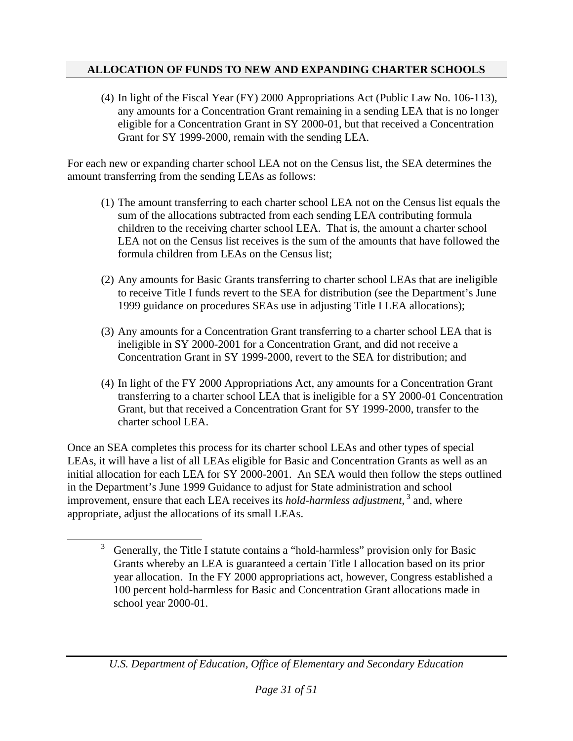(4) In light of the Fiscal Year (FY) 2000 Appropriations Act (Public Law No. 106-113), any amounts for a Concentration Grant remaining in a sending LEA that is no longer eligible for a Concentration Grant in SY 2000-01, but that received a Concentration Grant for SY 1999-2000, remain with the sending LEA.

For each new or expanding charter school LEA not on the Census list, the SEA determines the amount transferring from the sending LEAs as follows:

- (1) The amount transferring to each charter school LEA not on the Census list equals the sum of the allocations subtracted from each sending LEA contributing formula children to the receiving charter school LEA. That is, the amount a charter school LEA not on the Census list receives is the sum of the amounts that have followed the formula children from LEAs on the Census list;
- (2) Any amounts for Basic Grants transferring to charter school LEAs that are ineligible to receive Title I funds revert to the SEA for distribution (see the Department's June 1999 guidance on procedures SEAs use in adjus[ti](#page-34-0)ng Title I LEA allocations);
- (3) Any amounts for a Concentration Grant transferring to a charter school LEA that is ineligible in SY 2000-2001 for a Concentration Grant, and did not receive a Concentration Grant in SY 1999-2000, revert to the SEA for distribution; and
- (4) In light of the FY 2000 Appropriations Act, any amounts for a Concentration Grant transferring to a charter school LEA that is ineligible for a SY 2000-01 Concentration Grant, but that received a Concentration Grant for SY 1999-2000, transfer to the charter school LEA.

Once an SEA completes this process for its charter school LEAs and other types of special LEAs, it will have a list of all LEAs eligible for Basic and Concentration Grants as well as an initial allocation for each LEA for SY 2000-2001. An SEA would then follow the steps outlined in the Department's June 1999 Guidance to adjust for State administration and school improvement, ensure that each LEA receives its *hold-harmless adjustment*,<sup>3</sup> and, where appropriate, adjust the allocations of its small LEAs.

 $\overline{a}$ 

<span id="page-34-0"></span><sup>3</sup> Generally, the Title I statute contains a "hold-harmless" provision only for Basic Grants whereby an LEA is guaranteed a certain Title I allocation based on its prior year allocation. In the FY 2000 appropriations act, however, Congress established a 100 percent hold-harmless for Basic and Concentration Grant allocations made in school year 2000-01.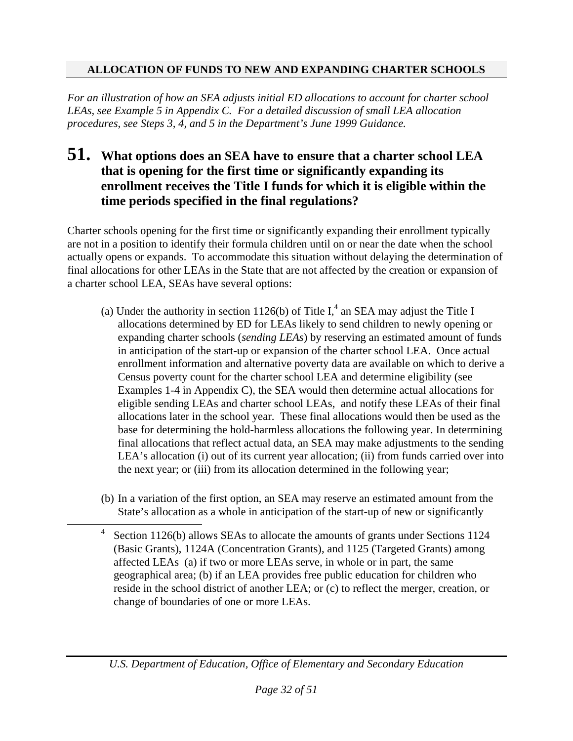*For an illustration of how an SEA adjusts initial ED allocations to account for charter school LEAs, see Example 5 in Appendix C. For a detailed discussion of small LEA allocation procedures, see Steps 3, 4, and 5 in the Department's June 1999 Guidance.* 

### **51. What options does an SEA have to ensure that a charter school LEA that is opening for the first time or significantly expanding its enrollment receives the Title I funds for which it is eligible within the time periods specified in the final regulations?**

Charter schools opening for the first time or significantly expanding their enrollment typically are not in a position to identify their formula children until on or near the date when the school actually opens or expands. To accommodate this situation without delaying the determination of final allocations for other LEAs in the State that are not affected by the creation or expansion of a charter school LEA, SEAs have several options:

- (a) Under the authority in section 1126(b) of Title I,<sup>4</sup> an SEA may adjust the Title I allocations determined by ED for LEAs likely to send children to newly opening or expanding charter schools (*sending LEAs*) by reserving an estimated amount of funds in anticipation of the start-up or expansion of the charter school LEA. Once actual enrollment information and alternative poverty data are available on which to derive a Census poverty count for the charter school LEA and determine eligibility (see Examples 1-4 in Appendix C), the SEA would then determine actual allocations for eligible sending LEAs and charter school LEAs, and notify these LEAs of their final allocations later in the school year. These final allocations would then be used as the base for determining the hold-harmless allocations the following year. In determining final allocations that reflect actual data, an SEA may make adjustments to the sending LEA's allocation (i) out of its current year allocation; (ii) from funds carried over into the next year; or (iii) from its allocation determined in the following year;
- (b) In a variation of the first option, an SEA may reserve an estimated amount from the State's allocation as a whole in anticipation of the start-up of new or significantly

 <sup>4</sup> Section 1126(b) allows SEAs to allocate the amounts of grants under Sections 1124 (Basic Grants), 1124A (Concentration Grants), and 1125 (Targeted Grants) among affected LEAs (a) if two or more LEAs serve, in whole or in part, the same geographical area; (b) if an LEA provides free public education for children who reside in the school district of another LEA; or (c) to reflect the merger, creation, or change of boundaries of one or more LEAs.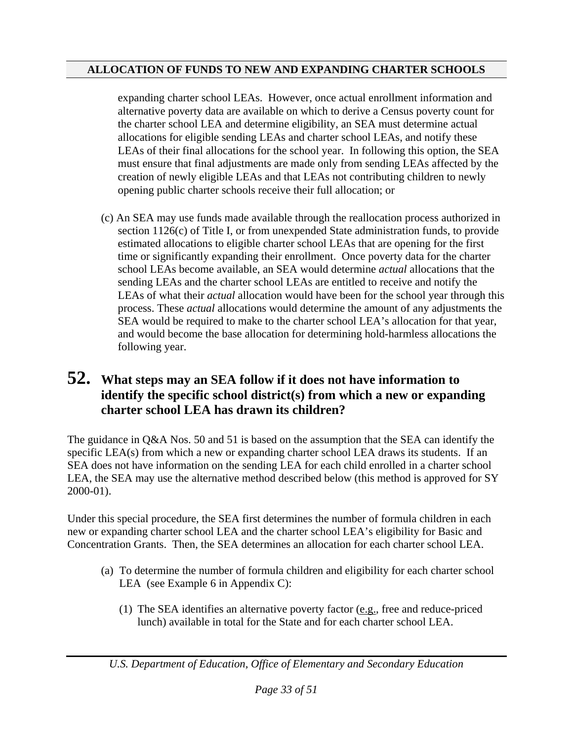expanding charter school LEAs. However, once actual enrollment information and alternative poverty data are available on which to derive a Census poverty count for the charter school LEA and determine eligibility, an SEA must determine actual allocations for eligible sending LEAs and charter school LEAs, and notify these LEAs of their final allocations for the school year. In following this option, the SEA must ensure that final adjustments are made only from sending LEAs affected by the creation of newly eligible LEAs and that LEAs not contributing children to newly opening public charter schools receive their full allocation; or

 (c) An SEA may use funds made available through the reallocation process authorized in section 1126(c) of Title I, or from unexpended State administration funds, to provide estimated allocations to eligible charter school LEAs that are opening for the first time or significantly expanding their enrollment. Once poverty data for the charter school LEAs become available, an SEA would determine *actual* allocations that the sending LEAs and the charter school LEAs are entitled to receive and notify the LEAs of what their *actual* allocation would have been for the school year through this process. These *actual* allocations would determine the amount of any adjustments the SEA would be required to make to the charter school LEA's allocation for that year, and would become the base allocation for determining hold-harmless allocations the following year.

## **52. What steps may an SEA follow if it does not have information to identify the specific school district(s) from which a new or expanding charter school LEA has drawn its children?**

The guidance in Q&A Nos. 50 and 51 is based on the assumption that the SEA can identify the specific LEA(s) from which a new or expanding charter school LEA draws its students. If an SEA does not have information on the sending LEA for each child enrolled in a charter school LEA, the SEA may use the alternative method described below (this method is approved for SY 2000-01).

Under this special procedure, the SEA first determines the number of formula children in each new or expanding charter school LEA and the charter school LEA's eligibility for Basic and Concentration Grants. Then, the SEA determines an allocation for each charter school LEA.

- (a) To determine the number of formula children and eligibility for each charter school LEA (see Example 6 in Appendix C):
	- (1) The SEA identifies an alternative poverty factor (e.g., free and reduce-priced lunch) available in total for the State and for each charter school LEA.

*U.S. Department of Education, Office of Elementary and Secondary Education*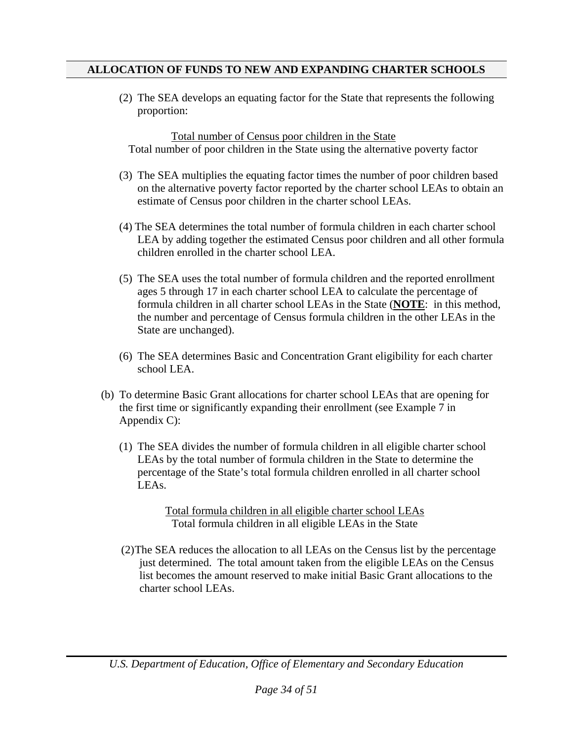(2) The SEA develops an equating factor for the State that represents the following proportion:

Total number of Census poor children in the State Total number of poor children in the State using the alternative poverty factor

- (3) The SEA multiplies the equating factor times the number of poor children based on the alternative poverty factor reported by the charter school LEAs to obtain an estimate of Census poor children in the charter school LEAs.
- (4) The SEA determines the total number of formula children in each charter school LEA by adding together the estimated Census poor children and all other formula children enrolled in the charter school LEA.
- (5) The SEA uses the total number of formula children and the reported enrollment ages 5 through 17 in each charter school LEA to calculate the percentage of formula children in all charter school LEAs in the State (**NOTE**: in this method, the number and percentage of Census formula children in the other LEAs in the State are unchanged).
- (6) The SEA determines Basic and Concentration Grant eligibility for each charter school LEA.
- (b) To determine Basic Grant allocations for charter school LEAs that are opening for the first time or significantly expanding their enrollment (see Example 7 in Appendix C):
	- (1) The SEA divides the number of formula children in all eligible charter school LEAs by the total number of formula children in the State to determine the percentage of the State's total formula children enrolled in all charter school LEAs.

Total formula children in all eligible charter school LEAs Total formula children in all eligible LEAs in the State

(2) The SEA reduces the allocation to all LEAs on the Census list by the percentage just determined. The total amount taken from the eligible LEAs on the Census list becomes the amount reserved to make initial Basic Grant allocations to the charter school LEAs.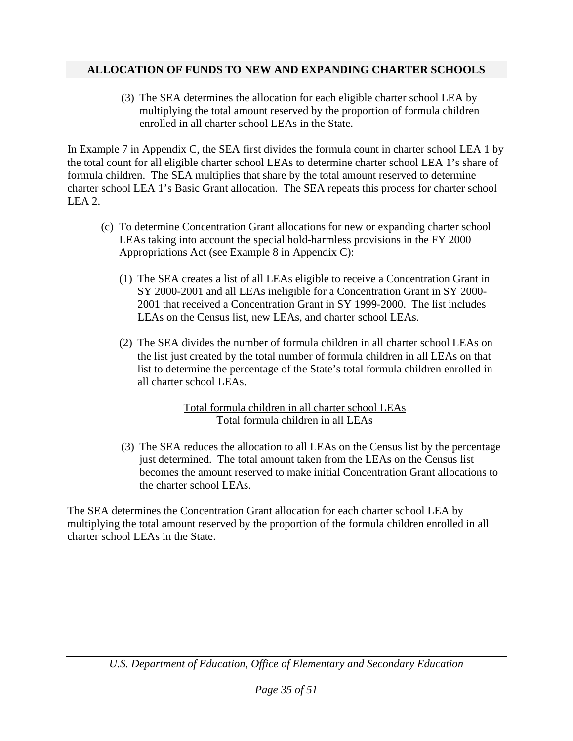(3) The SEA determines the allocation for each eligible charter school LEA by multiplying the total amount reserved by the proportion of formula children enrolled in all charter school LEAs in the State.

In Example 7 in Appendix C, the SEA first divides the formula count in charter school LEA 1 by the total count for all eligible charter school LEAs to determine charter school LEA 1's share of formula children. The SEA multiplies that share by the total amount reserved to determine charter school LEA 1's Basic Grant allocation. The SEA repeats this process for charter school LEA 2.

- (c) To determine Concentration Grant allocations for new or expanding charter school LEAs taking into account the special hold-harmless provisions in the FY 2000 Appropriations Act (see Example 8 in Appendix C):
	- (1) The SEA creates a list of all LEAs eligible to receive a Concentration Grant in SY 2000-2001 and all LEAs ineligible for a Concentration Grant in SY 2000- 2001 that received a Concentration Grant in SY 1999-2000. The list includes LEAs on the Census list, new LEAs, and charter school LEAs.
	- (2) The SEA divides the number of formula children in all charter school LEAs on the list just created by the total number of formula children in all LEAs on that list to determine the percentage of the State's total formula children enrolled in all charter school LEAs.

Total formula children in all charter school LEAs Total formula children in all LEAs

(3) The SEA reduces the allocation to all LEAs on the Census list by the percentage just determined. The total amount taken from the LEAs on the Census list becomes the amount reserved to make initial Concentration Grant allocations to the charter school LEAs.

The SEA determines the Concentration Grant allocation for each charter school LEA by multiplying the total amount reserved by the proportion of the formula children enrolled in all charter school LEAs in the State.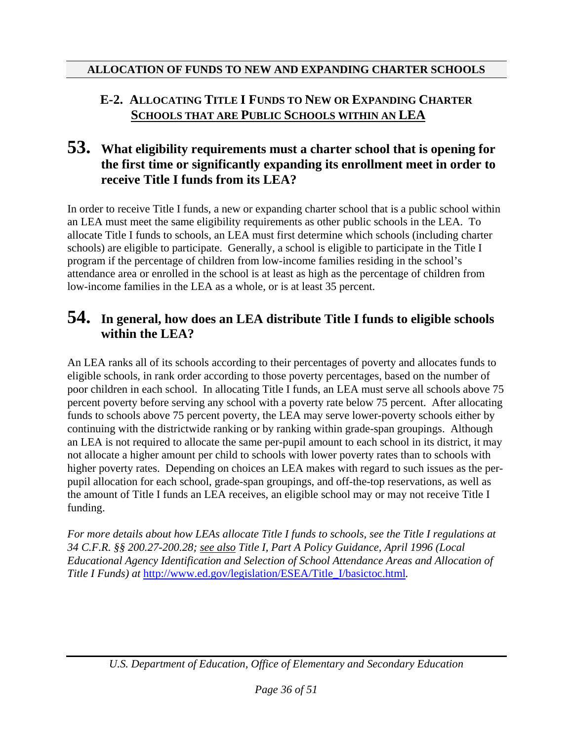## **E-2. ALLOCATING TITLE I FUNDS TO NEW OR EXPANDING CHARTER SCHOOLS THAT ARE PUBLIC SCHOOLS WITHIN AN LEA**

## **53. What eligibility requirements must a charter school that is opening for the first time or significantly expanding its enrollment meet in order to receive Title I funds from its LEA?**

In order to receive Title I funds, a new or expanding charter school that is a public school within an LEA must meet the same eligibility requirements as other public schools in the LEA. To allocate Title I funds to schools, an LEA must first determine which schools (including charter schools) are eligible to participate. Generally, a school is eligible to participate in the Title I program if the percentage of children from low-income families residing in the school's attendance area or enrolled in the school is at least as high as the percentage of children from low-income families in the LEA as a whole, or is at least 35 percent.

## **54. In general, how does an LEA distribute Title I funds to eligible schools within the LEA?**

An LEA ranks all of its schools according to their percentages of poverty and allocates funds to eligible schools, in rank order according to those poverty percentages, based on the number of poor children in each school. In allocating Title I funds, an LEA must serve all schools above 75 percent poverty before serving any school with a poverty rate below 75 percent. After allocating funds to schools above 75 percent poverty, the LEA may serve lower-poverty schools either by continuing with the districtwide ranking or by ranking within grade-span groupings. Although an LEA is not required to allocate the same per-pupil amount to each school in its district, it may not allocate a higher amount per child to schools with lower poverty rates than to schools with higher poverty rates. Depending on choices an LEA makes with regard to such issues as the perpupil allocation for each school, grade-span groupings, and off-the-top reservations, as well as the amount of Title I funds an LEA receives, an eligible school may or may not receive Title I funding.

*For more details about how LEAs allocate Title I funds to schools, see the Title I regulations at 34 C.F.R. §§ 200.27-200.28; see also Title I, Part A Policy Guidance, April 1996 (Local Educational Agency Identification and Selection of School Attendance Areas and Allocation of Title I Funds) at* [http://www.ed.gov/legislation/ESEA/Title\\_I/basictoc.html](http://www.ed.gov/legislation/ESEA/Title_I/basictoc.html)*.*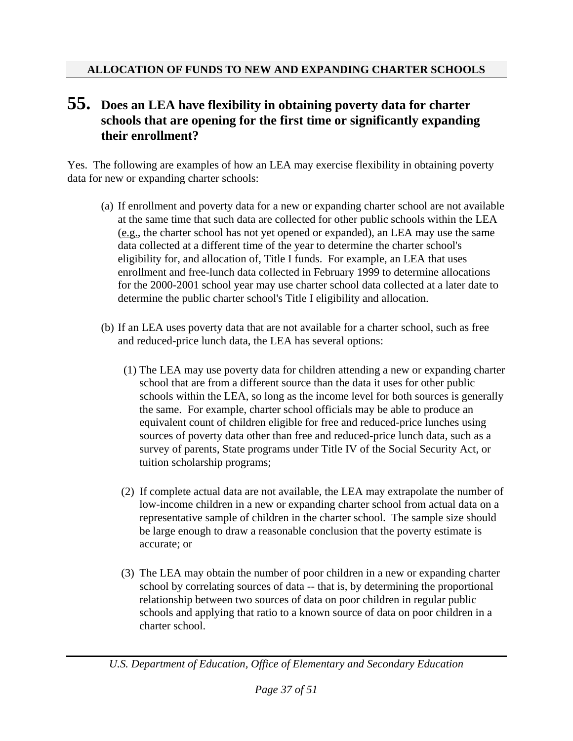## **55. Does an LEA have flexibility in obtaining poverty data for charter schools that are opening for the first time or significantly expanding their enrollment?**

Yes. The following are examples of how an LEA may exercise flexibility in obtaining poverty data for new or expanding charter schools:

- (a) If enrollment and poverty data for a new or expanding charter school are not available at the same time that such data are collected for other public schools within the LEA (e.g., the charter school has not yet opened or expanded), an LEA may use the same data collected at a different time of the year to determine the charter school's eligibility for, and allocation of, Title I funds. For example, an LEA that uses enrollment and free-lunch data collected in February 1999 to determine allocations for the 2000-2001 school year may use charter school data collected at a later date to determine the public charter school's Title I eligibility and allocation.
- (b) If an LEA uses poverty data that are not available for a charter school, such as free and reduced-price lunch data, the LEA has several options:
	- (1) The LEA may use poverty data for children attending a new or expanding charter school that are from a different source than the data it uses for other public schools within the LEA, so long as the income level for both sources is generally the same. For example, charter school officials may be able to produce an equivalent count of children eligible for free and reduced-price lunches using sources of poverty data other than free and reduced-price lunch data, such as a survey of parents, State programs under Title IV of the Social Security Act, or tuition scholarship programs;
	- (2) If complete actual data are not available, the LEA may extrapolate the number of low-income children in a new or expanding charter school from actual data on a representative sample of children in the charter school. The sample size should be large enough to draw a reasonable conclusion that the poverty estimate is accurate; or
	- (3) The LEA may obtain the number of poor children in a new or expanding charter school by correlating sources of data -- that is, by determining the proportional relationship between two sources of data on poor children in regular public schools and applying that ratio to a known source of data on poor children in a charter school.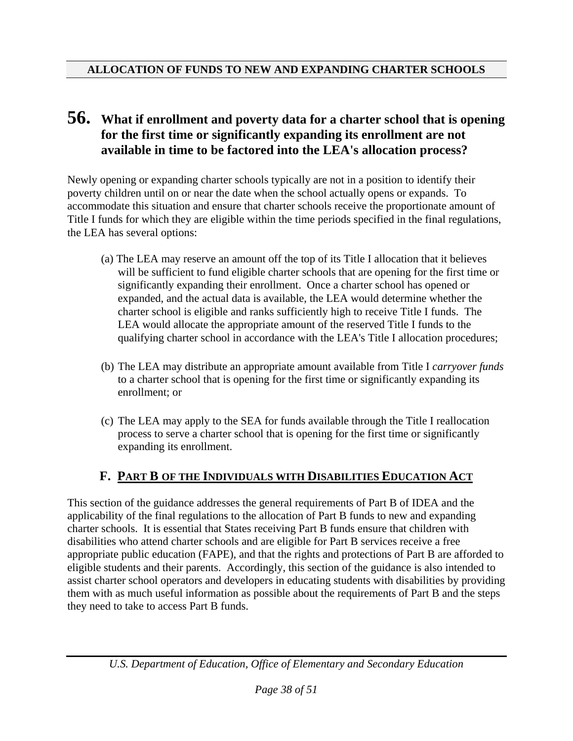## **56. What if enrollment and poverty data for a charter school that is opening for the first time or significantly expanding its enrollment are not available in time to be factored into the LEA's allocation process?**

Newly opening or expanding charter schools typically are not in a position to identify their poverty children until on or near the date when the school actually opens or expands. To accommodate this situation and ensure that charter schools receive the proportionate amount of Title I funds for which they are eligible within the time periods specified in the final regulations, the LEA has several options:

- (a) The LEA may reserve an amount off the top of its Title I allocation that it believes will be sufficient to fund eligible charter schools that are opening for the first time or significantly expanding their enrollment. Once a charter school has opened or expanded, and the actual data is available, the LEA would determine whether the charter school is eligible and ranks sufficiently high to receive Title I funds. The LEA would allocate the appropriate amount of the reserved Title I funds to the qualifying charter school in accordance with the LEA's Title I allocation procedures;
- (b) The LEA may distribute an appropriate amount available from Title I *carryover funds* to a charter school that is opening for the first time or significantly expanding its enrollment; or
- (c) The LEA may apply to the SEA for funds available through the Title I reallocation process to serve a charter school that is opening for the first time or significantly expanding its enrollment.

#### **F. PART B OF THE INDIVIDUALS WITH DISABILITIES EDUCATION ACT**

This section of the guidance addresses the general requirements of Part B of IDEA and the applicability of the final regulations to the allocation of Part B funds to new and expanding charter schools. It is essential that States receiving Part B funds ensure that children with disabilities who attend charter schools and are eligible for Part B services receive a free appropriate public education (FAPE), and that the rights and protections of Part B are afforded to eligible students and their parents. Accordingly, this section of the guidance is also intended to assist charter school operators and developers in educating students with disabilities by providing them with as much useful information as possible about the requirements of Part B and the steps they need to take to access Part B funds.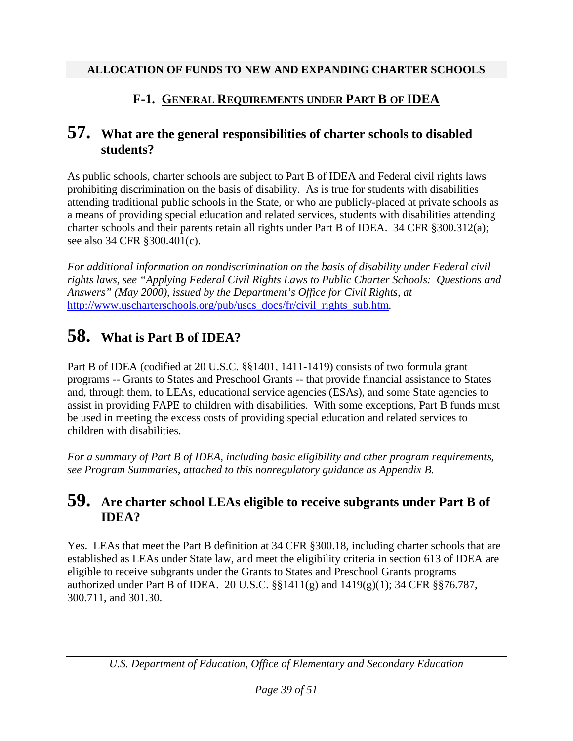## **F-1. GENERAL REQUIREMENTS UNDER PART B OF IDEA**

#### **57. What are the general responsibilities of charter schools to disabled students?**

As public schools, charter schools are subject to Part B of IDEA and Federal civil rights laws prohibiting discrimination on the basis of disability. As is true for students with disabilities attending traditional public schools in the State, or who are publicly-placed at private schools as a means of providing special education and related services, students with disabilities attending charter schools and their parents retain all rights under Part B of IDEA. 34 CFR §300.312(a); see also 34 CFR §300.401(c).

*For additional information on nondiscrimination on the basis of disability under Federal civil rights laws, see "Applying Federal Civil Rights Laws to Public Charter Schools: Questions and Answers" (May 2000), issued by the Department's Office for Civil Rights, at*  [http://www.uscharterschools.org/pub/uscs\\_docs/fr/civil\\_rights\\_sub.htm](http://www.uscharterschools.org/pub/uscs_docs/fr/civil_rights_sub.htm)*.* 

# **58. What is Part B of IDEA?**

Part B of IDEA (codified at 20 U.S.C. §§1401, 1411-1419) consists of two formula grant programs -- Grants to States and Preschool Grants -- that provide financial assistance to States and, through them, to LEAs, educational service agencies (ESAs), and some State agencies to assist in providing FAPE to children with disabilities. With some exceptions, Part B funds must be used in meeting the excess costs of providing special education and related services to children with disabilities.

*For a summary of Part B of IDEA, including basic eligibility and other program requirements, see Program Summaries, attached to this nonregulatory guidance as Appendix B.* 

## **59. Are charter school LEAs eligible to receive subgrants under Part B of IDEA?**

Yes. LEAs that meet the Part B definition at 34 CFR §300.18, including charter schools that are established as LEAs under State law, and meet the eligibility criteria in section 613 of IDEA are eligible to receive subgrants under the Grants to States and Preschool Grants programs authorized under Part B of IDEA. 20 U.S.C. §§1411(g) and 1419(g)(1); 34 CFR §§76.787, 300.711, and 301.30.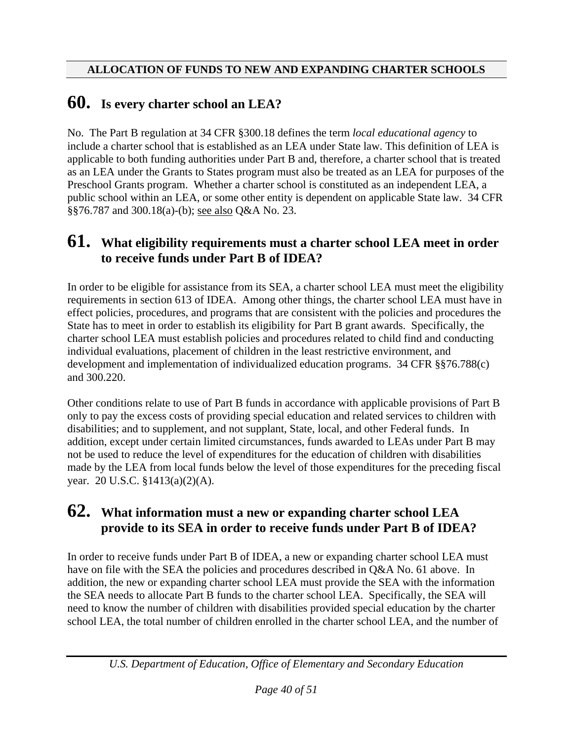# **60. Is every charter school an LEA?**

No. The Part B regulation at 34 CFR §300.18 defines the term *local educational agency* to include a charter school that is established as an LEA under State law. This definition of LEA is applicable to both funding authorities under Part B and, therefore, a charter school that is treated as an LEA under the Grants to States program must also be treated as an LEA for purposes of the Preschool Grants program. Whether a charter school is constituted as an independent LEA, a public school within an LEA, or some other entity is dependent on applicable State law. 34 CFR §§76.787 and 300.18(a)-(b); see also Q&A No. 23.

## **61. What eligibility requirements must a charter school LEA meet in order to receive funds under Part B of IDEA?**

In order to be eligible for assistance from its SEA, a charter school LEA must meet the eligibility requirements in section 613 of IDEA. Among other things, the charter school LEA must have in effect policies, procedures, and programs that are consistent with the policies and procedures the State has to meet in order to establish its eligibility for Part B grant awards. Specifically, the charter school LEA must establish policies and procedures related to child find and conducting individual evaluations, placement of children in the least restrictive environment, and development and implementation of individualized education programs. 34 CFR §§76.788(c) and 300.220.

Other conditions relate to use of Part B funds in accordance with applicable provisions of Part B only to pay the excess costs of providing special education and related services to children with disabilities; and to supplement, and not supplant, State, local, and other Federal funds. In addition, except under certain limited circumstances, funds awarded to LEAs under Part B may not be used to reduce the level of expenditures for the education of children with disabilities made by the LEA from local funds below the level of those expenditures for the preceding fiscal year. 20 U.S.C. §1413(a)(2)(A).

## **62. What information must a new or expanding charter school LEA provide to its SEA in order to receive funds under Part B of IDEA?**

In order to receive funds under Part B of IDEA, a new or expanding charter school LEA must have on file with the SEA the policies and procedures described in Q&A No. 61 above. In addition, the new or expanding charter school LEA must provide the SEA with the information the SEA needs to allocate Part B funds to the charter school LEA. Specifically, the SEA will need to know the number of children with disabilities provided special education by the charter school LEA, the total number of children enrolled in the charter school LEA, and the number of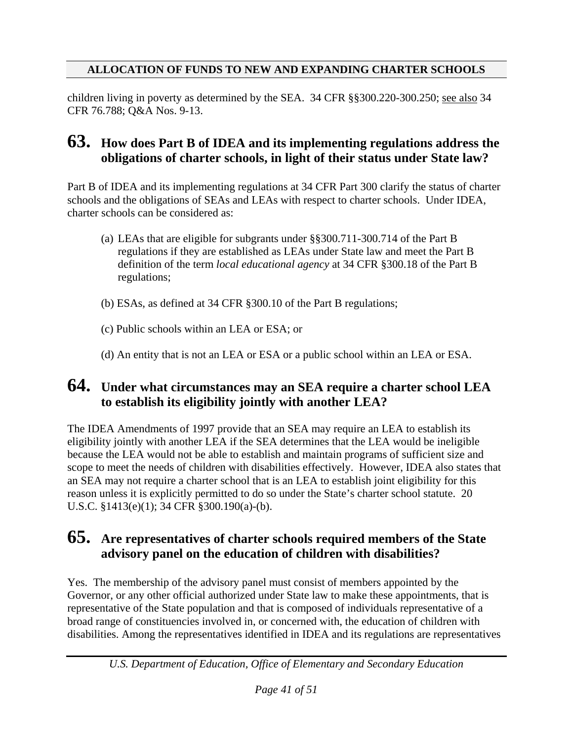children living in poverty as determined by the SEA. 34 CFR §§300.220-300.250; see also 34 CFR 76.788; Q&A Nos. 9-13.

## **63. How does Part B of IDEA and its implementing regulations address the obligations of charter schools, in light of their status under State law?**

Part B of IDEA and its implementing regulations at 34 CFR Part 300 clarify the status of charter schools and the obligations of SEAs and LEAs with respect to charter schools. Under IDEA, charter schools can be considered as:

- (a) LEAs that are eligible for subgrants under §§300.711-300.714 of the Part B regulations if they are established as LEAs under State law and meet the Part B definition of the term *local educational agency* at 34 CFR §300.18 of the Part B regulations;
- (b) ESAs, as defined at 34 CFR §300.10 of the Part B regulations;
- (c) Public schools within an LEA or ESA; or
- (d) An entity that is not an LEA or ESA or a public school within an LEA or ESA.

## **64. Under what circumstances may an SEA require a charter school LEA to establish its eligibility jointly with another LEA?**

The IDEA Amendments of 1997 provide that an SEA may require an LEA to establish its eligibility jointly with another LEA if the SEA determines that the LEA would be ineligible because the LEA would not be able to establish and maintain programs of sufficient size and scope to meet the needs of children with disabilities effectively. However, IDEA also states that an SEA may not require a charter school that is an LEA to establish joint eligibility for this reason unless it is explicitly permitted to do so under the State's charter school statute. 20 U.S.C. §1413(e)(1); 34 CFR §300.190(a)-(b).

#### **65. Are representatives of charter schools required members of the State advisory panel on the education of children with disabilities?**

Yes. The membership of the advisory panel must consist of members appointed by the Governor, or any other official authorized under State law to make these appointments, that is representative of the State population and that is composed of individuals representative of a broad range of constituencies involved in, or concerned with, the education of children with disabilities. Among the representatives identified in IDEA and its regulations are representatives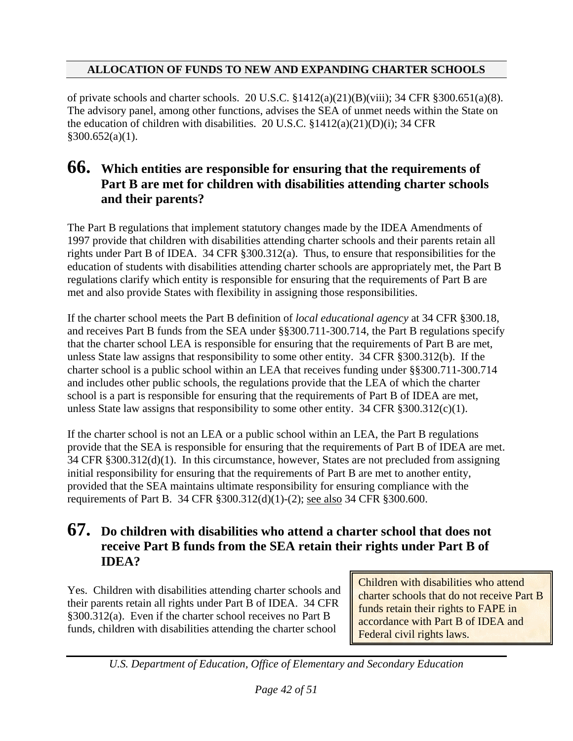of private schools and charter schools. 20 U.S.C. §1412(a)(21)(B)(viii); 34 CFR §300.651(a)(8). The advisory panel, among other functions, advises the SEA of unmet needs within the State on the education of children with disabilities. 20 U.S.C.  $\S 1412(a)(21)(D)(i)$ ; 34 CFR  $§300.652(a)(1)$ .

## **66. Which entities are responsible for ensuring that the requirements of Part B are met for children with disabilities attending charter schools and their parents?**

The Part B regulations that implement statutory changes made by the IDEA Amendments of 1997 provide that children with disabilities attending charter schools and their parents retain all rights under Part B of IDEA. 34 CFR §300.312(a). Thus, to ensure that responsibilities for the education of students with disabilities attending charter schools are appropriately met, the Part B regulations clarify which entity is responsible for ensuring that the requirements of Part B are met and also provide States with flexibility in assigning those responsibilities.

If the charter school meets the Part B definition of *local educational agency* at 34 CFR §300.18, and receives Part B funds from the SEA under §§300.711-300.714, the Part B regulations specify that the charter school LEA is responsible for ensuring that the requirements of Part B are met, unless State law assigns that responsibility to some other entity. 34 CFR §300.312(b). If the charter school is a public school within an LEA that receives funding under §§300.711-300.714 and includes other public schools, the regulations provide that the LEA of which the charter school is a part is responsible for ensuring that the requirements of Part B of IDEA are met, unless State law assigns that responsibility to some other entity. 34 CFR §300.312(c)(1).

If the charter school is not an LEA or a public school within an LEA, the Part B regulations provide that the SEA is responsible for ensuring that the requirements of Part B of IDEA are met. 34 CFR §300.312(d)(1). In this circumstance, however, States are not precluded from assigning initial responsibility for ensuring that the requirements of Part B are met to another entity, provided that the SEA maintains ultimate responsibility for ensuring compliance with the requirements of Part B. 34 CFR §300.312(d)(1)-(2); see also 34 CFR §300.600.

## **67. Do children with disabilities who attend a charter school that does not receive Part B funds from the SEA retain their rights under Part B of IDEA?**

Yes. Children with disabilities attending charter schools and their parents retain all rights under Part B of IDEA. 34 CFR §300.312(a). Even if the charter school receives no Part B funds, children with disabilities attending the charter school

Children with disabilities who attend charter schools that do not receive Part B funds retain their rights to FAPE in accordance with Part B of IDEA and Federal civil rights laws.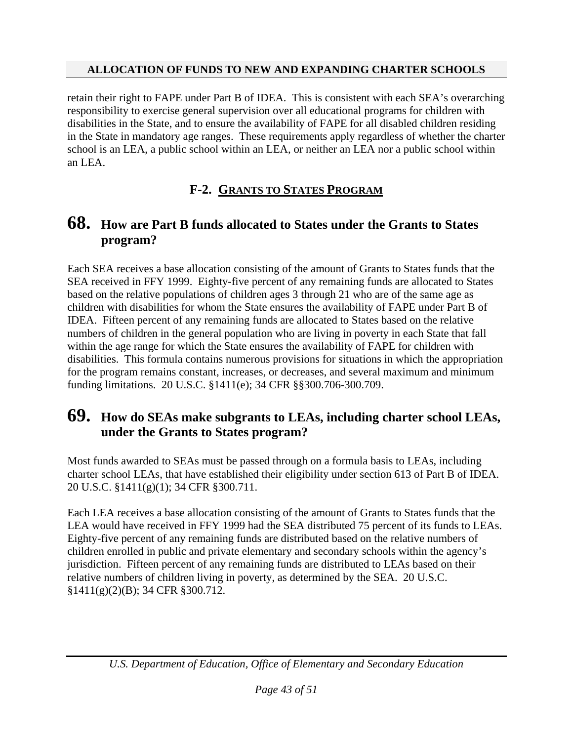retain their right to FAPE under Part B of IDEA. This is consistent with each SEA's overarching responsibility to exercise general supervision over all educational programs for children with disabilities in the State, and to ensure the availability of FAPE for all disabled children residing in the State in mandatory age ranges. These requirements apply regardless of whether the charter school is an LEA, a public school within an LEA, or neither an LEA nor a public school within an LEA.

## **F-2. GRANTS TO STATES PROGRAM**

## **68. How are Part B funds allocated to States under the Grants to States program?**

Each SEA receives a base allocation consisting of the amount of Grants to States funds that the SEA received in FFY 1999. Eighty-five percent of any remaining funds are allocated to States based on the relative populations of children ages 3 through 21 who are of the same age as children with disabilities for whom the State ensures the availability of FAPE under Part B of IDEA. Fifteen percent of any remaining funds are allocated to States based on the relative numbers of children in the general population who are living in poverty in each State that fall within the age range for which the State ensures the availability of FAPE for children with disabilities. This formula contains numerous provisions for situations in which the appropriation for the program remains constant, increases, or decreases, and several maximum and minimum funding limitations. 20 U.S.C. §1411(e); 34 CFR §§300.706-300.709.

## **69. How do SEAs make subgrants to LEAs, including charter school LEAs, under the Grants to States program?**

Most funds awarded to SEAs must be passed through on a formula basis to LEAs, including charter school LEAs, that have established their eligibility under section 613 of Part B of IDEA. 20 U.S.C. §1411(g)(1); 34 CFR §300.711.

Each LEA receives a base allocation consisting of the amount of Grants to States funds that the LEA would have received in FFY 1999 had the SEA distributed 75 percent of its funds to LEAs. Eighty-five percent of any remaining funds are distributed based on the relative numbers of children enrolled in public and private elementary and secondary schools within the agency's jurisdiction. Fifteen percent of any remaining funds are distributed to LEAs based on their relative numbers of children living in poverty, as determined by the SEA. 20 U.S.C. §1411(g)(2)(B); 34 CFR §300.712.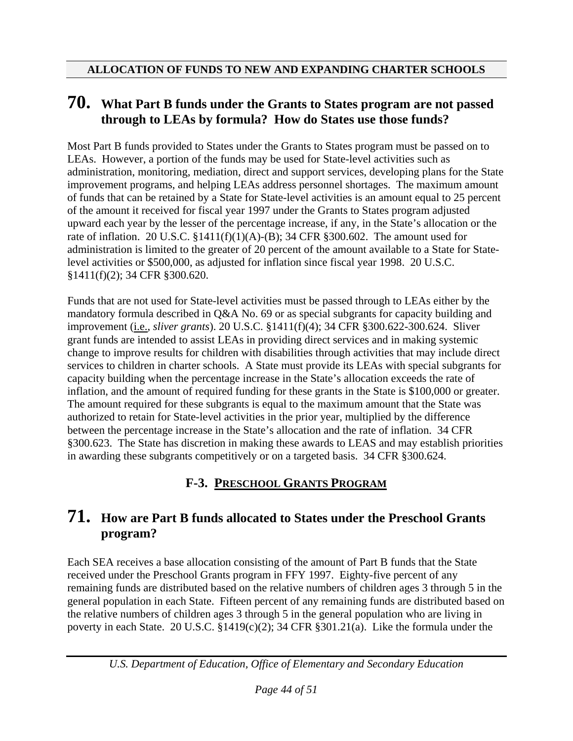## **70. What Part B funds under the Grants to States program are not passed through to LEAs by formula? How do States use those funds?**

Most Part B funds provided to States under the Grants to States program must be passed on to LEAs. However, a portion of the funds may be used for State-level activities such as administration, monitoring, mediation, direct and support services, developing plans for the State improvement programs, and helping LEAs address personnel shortages. The maximum amount of funds that can be retained by a State for State-level activities is an amount equal to 25 percent of the amount it received for fiscal year 1997 under the Grants to States program adjusted upward each year by the lesser of the percentage increase, if any, in the State's allocation or the rate of inflation. 20 U.S.C. §1411(f)(1)(A)-(B); 34 CFR §300.602. The amount used for administration is limited to the greater of 20 percent of the amount available to a State for Statelevel activities or \$500,000, as adjusted for inflation since fiscal year 1998. 20 U.S.C. §1411(f)(2); 34 CFR §300.620.

Funds that are not used for State-level activities must be passed through to LEAs either by the mandatory formula described in Q&A No. 69 or as special subgrants for capacity building and improvement (i.e., *sliver grants*). 20 U.S.C. §1411(f)(4); 34 CFR §300.622-300.624. Sliver grant funds are intended to assist LEAs in providing direct services and in making systemic change to improve results for children with disabilities through activities that may include direct services to children in charter schools. A State must provide its LEAs with special subgrants for capacity building when the percentage increase in the State's allocation exceeds the rate of inflation, and the amount of required funding for these grants in the State is \$100,000 or greater. The amount required for these subgrants is equal to the maximum amount that the State was authorized to retain for State-level activities in the prior year, multiplied by the difference between the percentage increase in the State's allocation and the rate of inflation. 34 CFR §300.623. The State has discretion in making these awards to LEAS and may establish priorities in awarding these subgrants competitively or on a targeted basis. 34 CFR §300.624.

## **F-3. PRESCHOOL GRANTS PROGRAM**

## **71. How are Part B funds allocated to States under the Preschool Grants program?**

Each SEA receives a base allocation consisting of the amount of Part B funds that the State received under the Preschool Grants program in FFY 1997. Eighty-five percent of any remaining funds are distributed based on the relative numbers of children ages 3 through 5 in the general population in each State. Fifteen percent of any remaining funds are distributed based on the relative numbers of children ages 3 through 5 in the general population who are living in poverty in each State. 20 U.S.C. §1419(c)(2); 34 CFR §301.21(a). Like the formula under the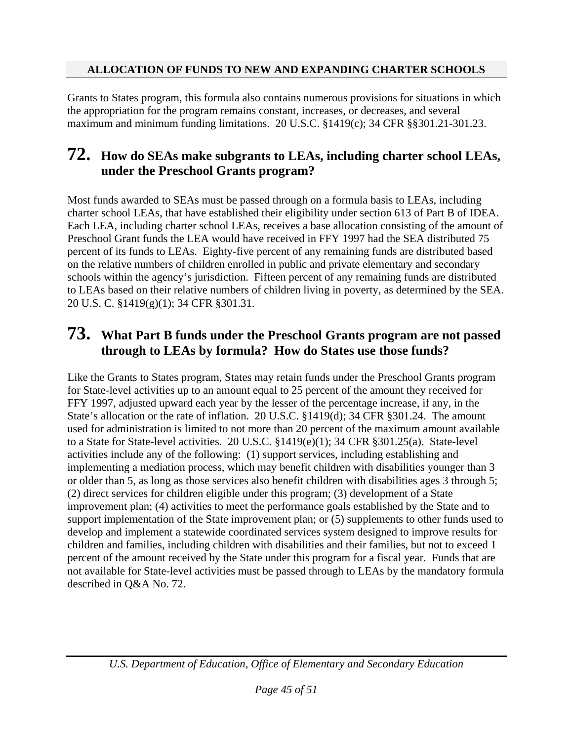Grants to States program, this formula also contains numerous provisions for situations in which the appropriation for the program remains constant, increases, or decreases, and several maximum and minimum funding limitations. 20 U.S.C. §1419(c); 34 CFR §§301.21-301.23.

## **72. How do SEAs make subgrants to LEAs, including charter school LEAs, under the Preschool Grants program?**

Most funds awarded to SEAs must be passed through on a formula basis to LEAs, including charter school LEAs, that have established their eligibility under section 613 of Part B of IDEA. Each LEA, including charter school LEAs, receives a base allocation consisting of the amount of Preschool Grant funds the LEA would have received in FFY 1997 had the SEA distributed 75 percent of its funds to LEAs. Eighty-five percent of any remaining funds are distributed based on the relative numbers of children enrolled in public and private elementary and secondary schools within the agency's jurisdiction. Fifteen percent of any remaining funds are distributed to LEAs based on their relative numbers of children living in poverty, as determined by the SEA. 20 U.S. C. §1419(g)(1); 34 CFR §301.31.

## **73. What Part B funds under the Preschool Grants program are not passed through to LEAs by formula? How do States use those funds?**

Like the Grants to States program, States may retain funds under the Preschool Grants program for State-level activities up to an amount equal to 25 percent of the amount they received for FFY 1997, adjusted upward each year by the lesser of the percentage increase, if any, in the State's allocation or the rate of inflation. 20 U.S.C. §1419(d); 34 CFR §301.24. The amount used for administration is limited to not more than 20 percent of the maximum amount available to a State for State-level activities. 20 U.S.C. §1419(e)(1); 34 CFR §301.25(a). State-level activities include any of the following: (1) support services, including establishing and implementing a mediation process, which may benefit children with disabilities younger than 3 or older than 5, as long as those services also benefit children with disabilities ages 3 through 5; (2) direct services for children eligible under this program; (3) development of a State improvement plan; (4) activities to meet the performance goals established by the State and to support implementation of the State improvement plan; or (5) supplements to other funds used to develop and implement a statewide coordinated services system designed to improve results for children and families, including children with disabilities and their families, but not to exceed 1 percent of the amount received by the State under this program for a fiscal year. Funds that are not available for State-level activities must be passed through to LEAs by the mandatory formula described in Q&A No. 72.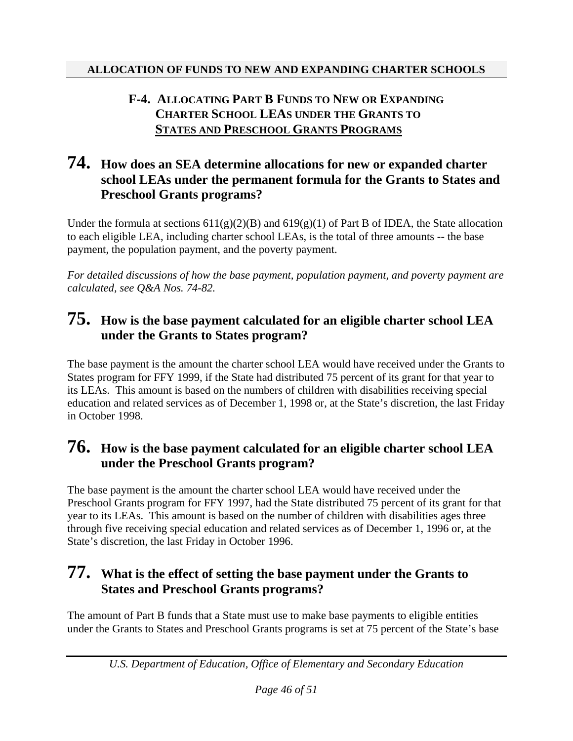#### **F-4. ALLOCATING PART B FUNDS TO NEW OR EXPANDING CHARTER SCHOOL LEAS UNDER THE GRANTS TO STATES AND PRESCHOOL GRANTS PROGRAMS**

## **74. How does an SEA determine allocations for new or expanded charter school LEAs under the permanent formula for the Grants to States and Preschool Grants programs?**

Under the formula at sections  $611(g)(2)(B)$  and  $619(g)(1)$  of Part B of IDEA, the State allocation to each eligible LEA, including charter school LEAs, is the total of three amounts -- the base payment, the population payment, and the poverty payment.

*For detailed discussions of how the base payment, population payment, and poverty payment are calculated, see Q&A Nos. 74-82.* 

## **75. How is the base payment calculated for an eligible charter school LEA under the Grants to States program?**

The base payment is the amount the charter school LEA would have received under the Grants to States program for FFY 1999, if the State had distributed 75 percent of its grant for that year to its LEAs. This amount is based on the numbers of children with disabilities receiving special education and related services as of December 1, 1998 or, at the State's discretion, the last Friday in October 1998.

## **76. How is the base payment calculated for an eligible charter school LEA under the Preschool Grants program?**

The base payment is the amount the charter school LEA would have received under the Preschool Grants program for FFY 1997, had the State distributed 75 percent of its grant for that year to its LEAs. This amount is based on the number of children with disabilities ages three through five receiving special education and related services as of December 1, 1996 or, at the State's discretion, the last Friday in October 1996.

## **77. What is the effect of setting the base payment under the Grants to States and Preschool Grants programs?**

The amount of Part B funds that a State must use to make base payments to eligible entities under the Grants to States and Preschool Grants programs is set at 75 percent of the State's base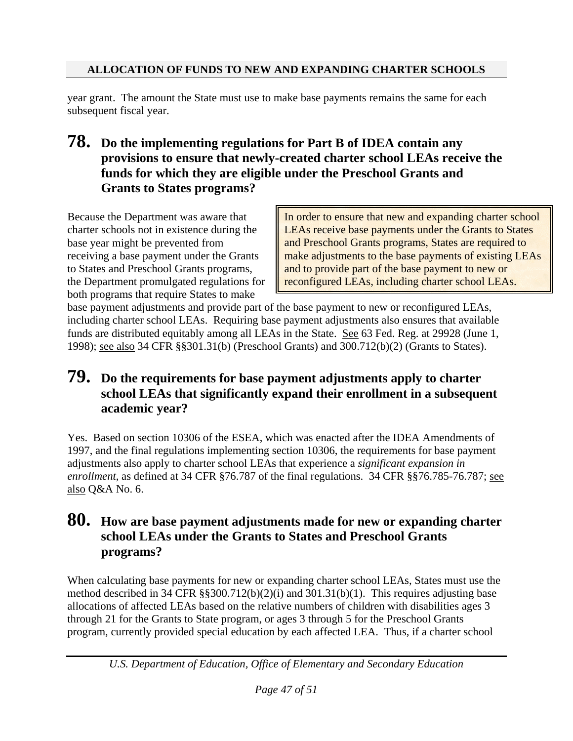year grant. The amount the State must use to make base payments remains the same for each subsequent fiscal year.

**78. Do the implementing regulations for Part B of IDEA contain any provisions to ensure that newly-created charter school LEAs receive the funds for which they are eligible under the Preschool Grants and Grants to States programs?** 

Because the Department was aware that charter schools not in existence during the base year might be prevented from receiving a base payment under the Grants to States and Preschool Grants programs, the Department promulgated regulations for both programs that require States to make

In order to ensure that new and expanding charter school LEAs receive base payments under the Grants to States and Preschool Grants programs, States are required to make adjustments to the base payments of existing LEAs and to provide part of the base payment to new or reconfigured LEAs, including charter school LEAs.

base payment adjustments and provide part of the base payment to new or reconfigured LEAs, including charter school LEAs. Requiring base payment adjustments also ensures that available funds are distributed equitably among all LEAs in the State. See 63 Fed. Reg. at 29928 (June 1, 1998); see also 34 CFR §§301.31(b) (Preschool Grants) and 300.712(b)(2) (Grants to States).

## **79. Do the requirements for base payment adjustments apply to charter school LEAs that significantly expand their enrollment in a subsequent academic year?**

Yes. Based on section 10306 of the ESEA, which was enacted after the IDEA Amendments of 1997, and the final regulations implementing section 10306, the requirements for base payment adjustments also apply to charter school LEAs that experience a *significant expansion in enrollment*, as defined at 34 CFR §76.787 of the final regulations. 34 CFR §§76.785-76.787; see also Q&A No. 6.

## **80. How are base payment adjustments made for new or expanding charter school LEAs under the Grants to States and Preschool Grants programs?**

When calculating base payments for new or expanding charter school LEAs, States must use the method described in 34 CFR §§300.712(b)(2)(i) and 301.31(b)(1). This requires adjusting base allocations of affected LEAs based on the relative numbers of children with disabilities ages 3 through 21 for the Grants to State program, or ages 3 through 5 for the Preschool Grants program, currently provided special education by each affected LEA. Thus, if a charter school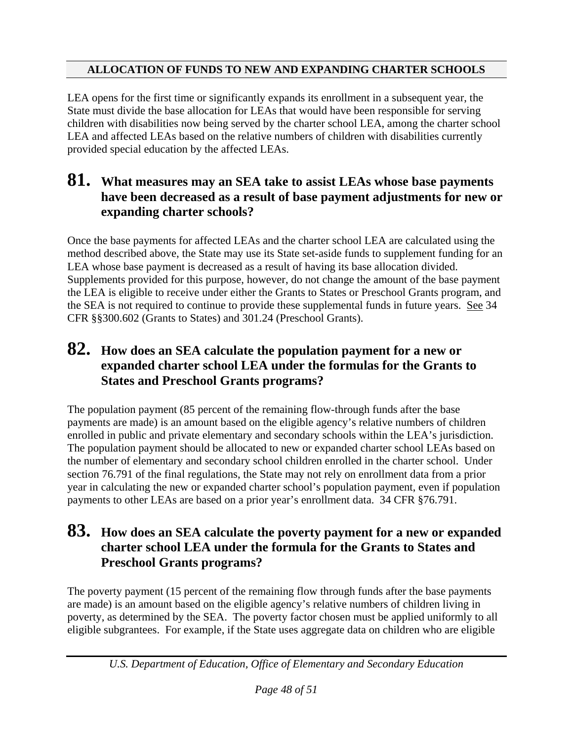LEA opens for the first time or significantly expands its enrollment in a subsequent year, the State must divide the base allocation for LEAs that would have been responsible for serving children with disabilities now being served by the charter school LEA, among the charter school LEA and affected LEAs based on the relative numbers of children with disabilities currently provided special education by the affected LEAs.

## **81. What measures may an SEA take to assist LEAs whose base payments have been decreased as a result of base payment adjustments for new or expanding charter schools?**

Once the base payments for affected LEAs and the charter school LEA are calculated using the method described above, the State may use its State set-aside funds to supplement funding for an LEA whose base payment is decreased as a result of having its base allocation divided. Supplements provided for this purpose, however, do not change the amount of the base payment the LEA is eligible to receive under either the Grants to States or Preschool Grants program, and the SEA is not required to continue to provide these supplemental funds in future years. See 34 CFR §§300.602 (Grants to States) and 301.24 (Preschool Grants).

## **82. How does an SEA calculate the population payment for a new or expanded charter school LEA under the formulas for the Grants to States and Preschool Grants programs?**

The population payment (85 percent of the remaining flow-through funds after the base payments are made) is an amount based on the eligible agency's relative numbers of children enrolled in public and private elementary and secondary schools within the LEA's jurisdiction. The population payment should be allocated to new or expanded charter school LEAs based on the number of elementary and secondary school children enrolled in the charter school. Under section 76.791 of the final regulations, the State may not rely on enrollment data from a prior year in calculating the new or expanded charter school's population payment, even if population payments to other LEAs are based on a prior year's enrollment data. 34 CFR §76.791.

## **83. How does an SEA calculate the poverty payment for a new or expanded charter school LEA under the formula for the Grants to States and Preschool Grants programs?**

The poverty payment (15 percent of the remaining flow through funds after the base payments are made) is an amount based on the eligible agency's relative numbers of children living in poverty, as determined by the SEA. The poverty factor chosen must be applied uniformly to all eligible subgrantees. For example, if the State uses aggregate data on children who are eligible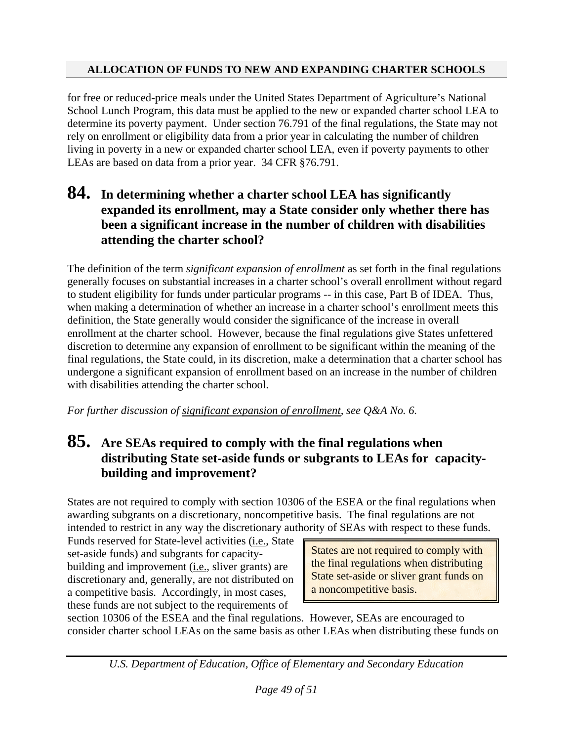for free or reduced-price meals under the United States Department of Agriculture's National School Lunch Program, this data must be applied to the new or expanded charter school LEA to determine its poverty payment. Under section 76.791 of the final regulations, the State may not rely on enrollment or eligibility data from a prior year in calculating the number of children living in poverty in a new or expanded charter school LEA, even if poverty payments to other LEAs are based on data from a prior year. 34 CFR §76.791.

#### **84. In determining whether a charter school LEA has significantly expanded its enrollment, may a State consider only whether there has been a significant increase in the number of children with disabilities attending the charter school?**

The definition of the term *significant expansion of enrollment* as set forth in the final regulations generally focuses on substantial increases in a charter school's overall enrollment without regard to student eligibility for funds under particular programs -- in this case, Part B of IDEA. Thus, when making a determination of whether an increase in a charter school's enrollment meets this definition, the State generally would consider the significance of the increase in overall enrollment at the charter school. However, because the final regulations give States unfettered discretion to determine any expansion of enrollment to be significant within the meaning of the final regulations, the State could, in its discretion, make a determination that a charter school has undergone a significant expansion of enrollment based on an increase in the number of children with disabilities attending the charter school.

*For further discussion of significant expansion of enrollment, see Q&A No. 6.* 

## **85. Are SEAs required to comply with the final regulations when distributing State set-aside funds or subgrants to LEAs for capacitybuilding and improvement?**

States are not required to comply with section 10306 of the ESEA or the final regulations when awarding subgrants on a discretionary, noncompetitive basis. The final regulations are not intended to restrict in any way the discretionary authority of SEAs with respect to these funds.

Funds reserved for State-level activities (i.e., State set-aside funds) and subgrants for capacitybuilding and improvement (i.e., sliver grants) are discretionary and, generally, are not distributed on a competitive basis. Accordingly, in most cases, these funds are not subject to the requirements of

States are not required to comply with the final regulations when distributing State set-aside or sliver grant funds on a noncompetitive basis.

section 10306 of the ESEA and the final regulations. However, SEAs are encouraged to consider charter school LEAs on the same basis as other LEAs when distributing these funds on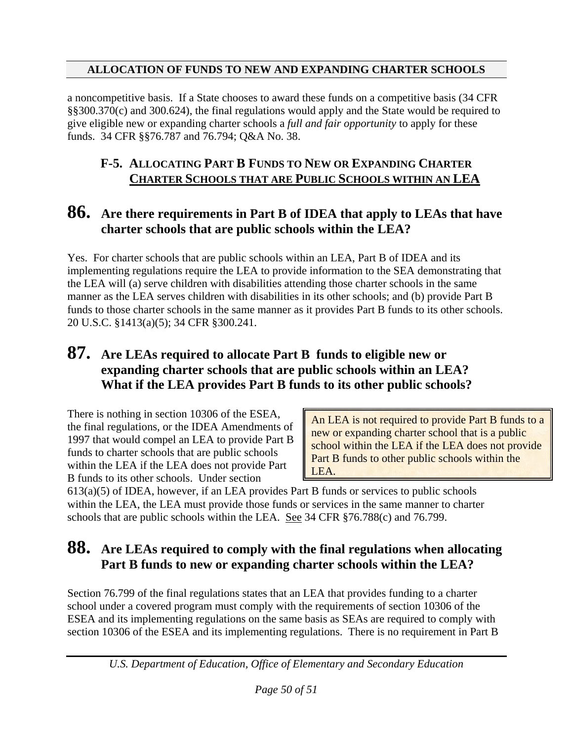a noncompetitive basis. If a State chooses to award these funds on a competitive basis (34 CFR §§300.370(c) and 300.624), the final regulations would apply and the State would be required to give eligible new or expanding charter schools a *full and fair opportunity* to apply for these funds. 34 CFR §§76.787 and 76.794; Q&A No. 38.

#### **F-5. ALLOCATING PART B FUNDS TO NEW OR EXPANDING CHARTER CHARTER SCHOOLS THAT ARE PUBLIC SCHOOLS WITHIN AN LEA**

## **86. Are there requirements in Part B of IDEA that apply to LEAs that have charter schools that are public schools within the LEA?**

Yes. For charter schools that are public schools within an LEA, Part B of IDEA and its implementing regulations require the LEA to provide information to the SEA demonstrating that the LEA will (a) serve children with disabilities attending those charter schools in the same manner as the LEA serves children with disabilities in its other schools; and (b) provide Part B funds to those charter schools in the same manner as it provides Part B funds to its other schools. 20 U.S.C. §1413(a)(5); 34 CFR §300.241.

## **87. Are LEAs required to allocate Part B funds to eligible new or expanding charter schools that are public schools within an LEA? What if the LEA provides Part B funds to its other public schools?**

There is nothing in section 10306 of the ESEA, the final regulations, or the IDEA Amendments of 1997 that would compel an LEA to provide Part B funds to charter schools that are public schools within the LEA if the LEA does not provide Part B funds to its other schools. Under section

An LEA is not required to provide Part B funds to a new or expanding charter school that is a public school within the LEA if the LEA does not provide Part B funds to other public schools within the LEA.

613(a)(5) of IDEA, however, if an LEA provides Part B funds or services to public schools within the LEA, the LEA must provide those funds or services in the same manner to charter schools that are public schools within the LEA. See 34 CFR §76.788(c) and 76.799.

## **88. Are LEAs required to comply with the final regulations when allocating Part B funds to new or expanding charter schools within the LEA?**

Section 76.799 of the final regulations states that an LEA that provides funding to a charter school under a covered program must comply with the requirements of section 10306 of the ESEA and its implementing regulations on the same basis as SEAs are required to comply with section 10306 of the ESEA and its implementing regulations. There is no requirement in Part B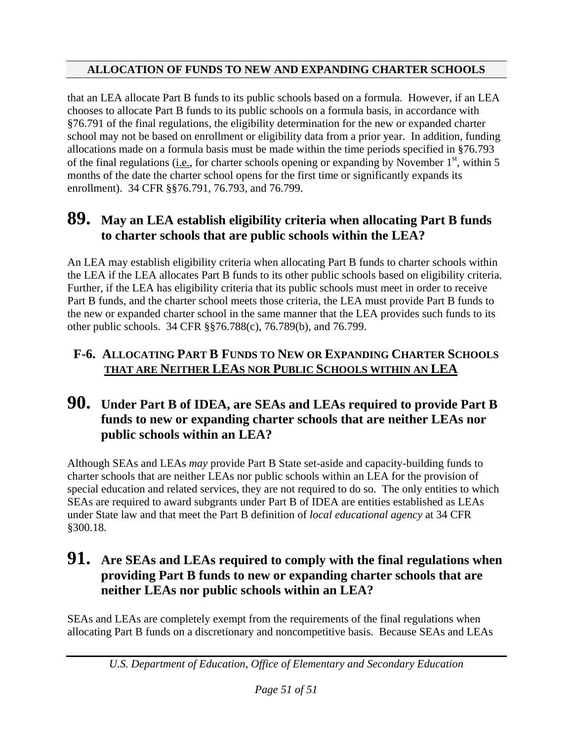that an LEA allocate Part B funds to its public schools based on a formula. However, if an LEA chooses to allocate Part B funds to its public schools on a formula basis, in accordance with §76.791 of the final regulations, the eligibility determination for the new or expanded charter school may not be based on enrollment or eligibility data from a prior year. In addition, funding allocations made on a formula basis must be made within the time periods specified in §76.793 of the final regulations (i.e., for charter schools opening or expanding by November  $1<sup>st</sup>$ , within 5 months of the date the charter school opens for the first time or significantly expands its enrollment). 34 CFR §§76.791, 76.793, and 76.799.

## **89. May an LEA establish eligibility criteria when allocating Part B funds to charter schools that are public schools within the LEA?**

An LEA may establish eligibility criteria when allocating Part B funds to charter schools within the LEA if the LEA allocates Part B funds to its other public schools based on eligibility criteria. Further, if the LEA has eligibility criteria that its public schools must meet in order to receive Part B funds, and the charter school meets those criteria, the LEA must provide Part B funds to the new or expanded charter school in the same manner that the LEA provides such funds to its other public schools. 34 CFR §§76.788(c), 76.789(b), and 76.799.

#### **F-6. ALLOCATING PART B FUNDS TO NEW OR EXPANDING CHARTER SCHOOLS THAT ARE NEITHER LEAS NOR PUBLIC SCHOOLS WITHIN AN LEA**

## **90. Under Part B of IDEA, are SEAs and LEAs required to provide Part B funds to new or expanding charter schools that are neither LEAs nor public schools within an LEA?**

Although SEAs and LEAs *may* provide Part B State set-aside and capacity-building funds to charter schools that are neither LEAs nor public schools within an LEA for the provision of special education and related services, they are not required to do so. The only entities to which SEAs are required to award subgrants under Part B of IDEA are entities established as LEAs under State law and that meet the Part B definition of *local educational agency* at 34 CFR §300.18.

## **91. Are SEAs and LEAs required to comply with the final regulations when providing Part B funds to new or expanding charter schools that are neither LEAs nor public schools within an LEA?**

SEAs and LEAs are completely exempt from the requirements of the final regulations when allocating Part B funds on a discretionary and noncompetitive basis. Because SEAs and LEAs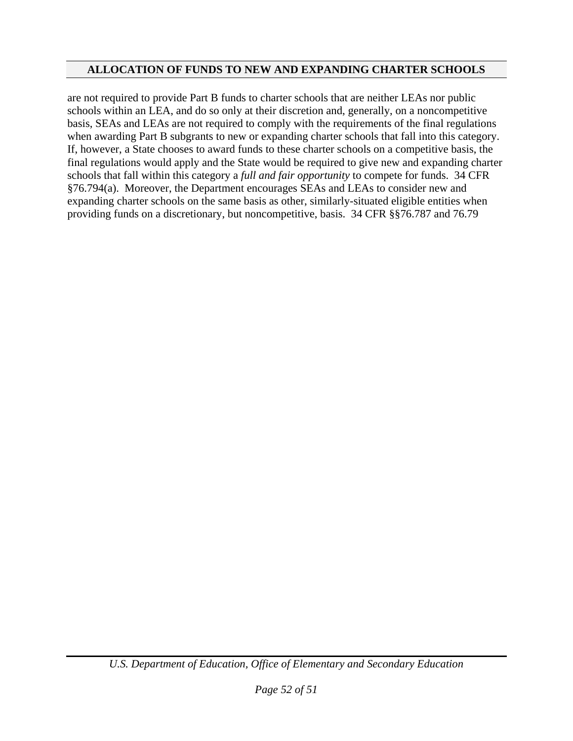are not required to provide Part B funds to charter schools that are neither LEAs nor public schools within an LEA, and do so only at their discretion and, generally, on a noncompetitive basis, SEAs and LEAs are not required to comply with the requirements of the final regulations when awarding Part B subgrants to new or expanding charter schools that fall into this category. If, however, a State chooses to award funds to these charter schools on a competitive basis, the final regulations would apply and the State would be required to give new and expanding charter schools that fall within this category a *full and fair opportunity* to compete for funds. 34 CFR §76.794(a). Moreover, the Department encourages SEAs and LEAs to consider new and expanding charter schools on the same basis as other, similarly-situated eligible entities when providing funds on a discretionary, but noncompetitive, basis. 34 CFR §§76.787 and 76.79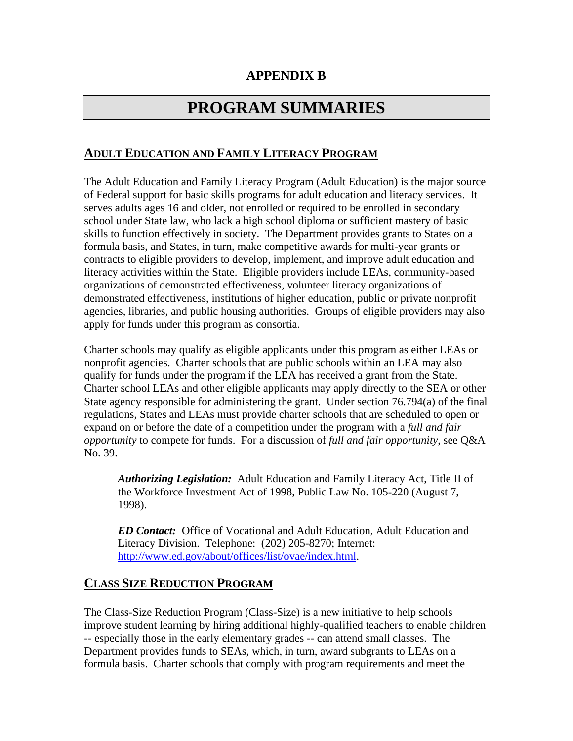#### **APPENDIX B**

# **PROGRAM SUMMARIES**

#### **ADULT EDUCATION AND FAMILY LITERACY PROGRAM**

The Adult Education and Family Literacy Program (Adult Education) is the major source of Federal support for basic skills programs for adult education and literacy services. It serves adults ages 16 and older, not enrolled or required to be enrolled in secondary school under State law, who lack a high school diploma or sufficient mastery of basic skills to function effectively in society. The Department provides grants to States on a formula basis, and States, in turn, make competitive awards for multi-year grants or contracts to eligible providers to develop, implement, and improve adult education and literacy activities within the State. Eligible providers include LEAs, community-based organizations of demonstrated effectiveness, volunteer literacy organizations of demonstrated effectiveness, institutions of higher education, public or private nonprofit agencies, libraries, and public housing authorities. Groups of eligible providers may also apply for funds under this program as consortia.

Charter schools may qualify as eligible applicants under this program as either LEAs or nonprofit agencies. Charter schools that are public schools within an LEA may also qualify for funds under the program if the LEA has received a grant from the State. Charter school LEAs and other eligible applicants may apply directly to the SEA or other State agency responsible for administering the grant. Under section 76.794(a) of the final regulations, States and LEAs must provide charter schools that are scheduled to open or expand on or before the date of a competition under the program with a *full and fair opportunity* to compete for funds. For a discussion of *full and fair opportunity*, see Q&A No. 39.

*Authorizing Legislation:* Adult Education and Family Literacy Act, Title II of the Workforce Investment Act of 1998, Public Law No. 105-220 (August 7, 1998).

*ED Contact:* Office of Vocational and Adult Education, Adult Education and Literacy Division. Telephone: (202) 205-8270; Internet: [http://www.ed.gov/about/offices/list/ovae/index.html.](http://www.ed.gov/about/offices/list/ovae/index.html)

#### **CLASS SIZE REDUCTION PROGRAM**

The Class-Size Reduction Program (Class-Size) is a new initiative to help schools improve student learning by hiring additional highly-qualified teachers to enable children -- especially those in the early elementary grades -- can attend small classes. The Department provides funds to SEAs, which, in turn, award subgrants to LEAs on a formula basis. Charter schools that comply with program requirements and meet the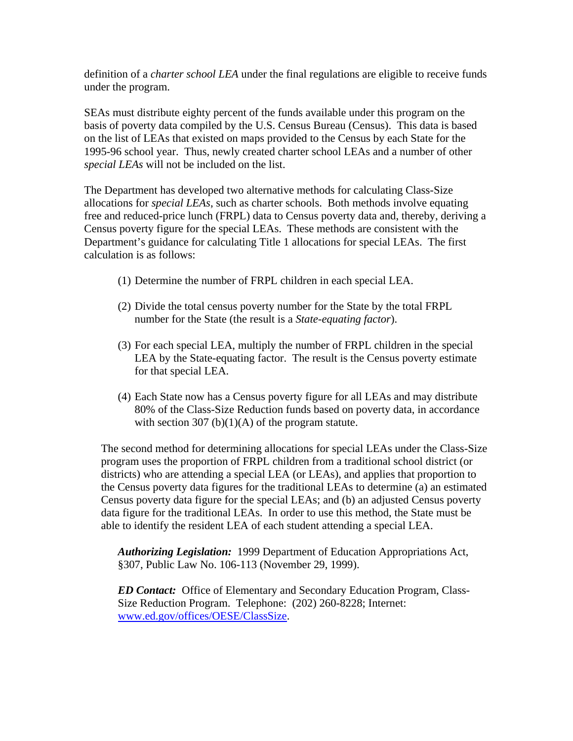definition of a *charter school LEA* under the final regulations are eligible to receive funds under the program.

SEAs must distribute eighty percent of the funds available under this program on the basis of poverty data compiled by the U.S. Census Bureau (Census). This data is based on the list of LEAs that existed on maps provided to the Census by each State for the 1995-96 school year. Thus, newly created charter school LEAs and a number of other *special LEAs* will not be included on the list.

The Department has developed two alternative methods for calculating Class-Size allocations for *special LEAs*, such as charter schools. Both methods involve equating free and reduced-price lunch (FRPL) data to Census poverty data and, thereby, deriving a Census poverty figure for the special LEAs. These methods are consistent with the Department's guidance for calculating Title 1 allocations for special LEAs. The first calculation is as follows:

- (1) Determine the number of FRPL children in each special LEA.
- (2) Divide the total census poverty number for the State by the total FRPL number for the State (the result is a *State-equating factor*).
- (3) For each special LEA, multiply the number of FRPL children in the special LEA by the State-equating factor. The result is the Census poverty estimate for that special LEA.
- (4) Each State now has a Census poverty figure for all LEAs and may distribute 80% of the Class-Size Reduction funds based on poverty data, in accordance with section 307 (b) $(1)(A)$  of the program statute.

The second method for determining allocations for special LEAs under the Class-Size program uses the proportion of FRPL children from a traditional school district (or districts) who are attending a special LEA (or LEAs), and applies that proportion to the Census poverty data figures for the traditional LEAs to determine (a) an estimated Census poverty data figure for the special LEAs; and (b) an adjusted Census poverty data figure for the traditional LEAs. In order to use this method, the State must be able to identify the resident LEA of each student attending a special LEA.

*Authorizing Legislation:* 1999 Department of Education Appropriations Act, §307, Public Law No. 106-113 (November 29, 1999).

*ED Contact:* Office of Elementary and Secondary Education Program, Class-Size Reduction Program. Telephone: (202) 260-8228; Internet: [www.ed.gov/offices/OESE/ClassSize.](http://www.ed.gov/offices/OESE/ClassSize)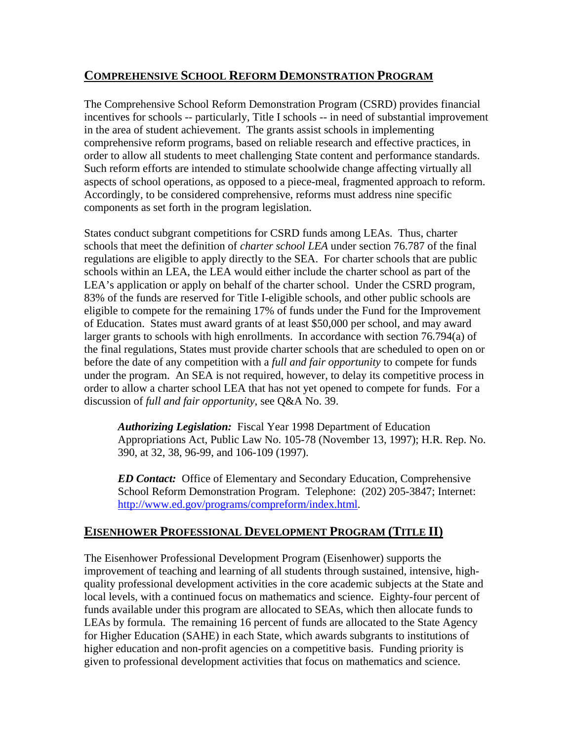#### **COMPREHENSIVE SCHOOL REFORM DEMONSTRATION PROGRAM**

The Comprehensive School Reform Demonstration Program (CSRD) provides financial incentives for schools -- particularly, Title I schools -- in need of substantial improvement in the area of student achievement. The grants assist schools in implementing comprehensive reform programs, based on reliable research and effective practices, in order to allow all students to meet challenging State content and performance standards. Such reform efforts are intended to stimulate schoolwide change affecting virtually all aspects of school operations, as opposed to a piece-meal, fragmented approach to reform. Accordingly, to be considered comprehensive, reforms must address nine specific components as set forth in the program legislation.

States conduct subgrant competitions for CSRD funds among LEAs. Thus, charter schools that meet the definition of *charter school LEA* under section 76.787 of the final regulations are eligible to apply directly to the SEA. For charter schools that are public schools within an LEA, the LEA would either include the charter school as part of the LEA's application or apply on behalf of the charter school. Under the CSRD program, 83% of the funds are reserved for Title I-eligible schools, and other public schools are eligible to compete for the remaining 17% of funds under the Fund for the Improvement of Education. States must award grants of at least \$50,000 per school, and may award larger grants to schools with high enrollments. In accordance with section 76.794(a) of the final regulations, States must provide charter schools that are scheduled to open on or before the date of any competition with a *full and fair opportunity* to compete for funds under the program. An SEA is not required, however, to delay its competitive process in order to allow a charter school LEA that has not yet opened to compete for funds. For a discussion of *full and fair opportunity*, see Q&A No. 39.

*Authorizing Legislation:* Fiscal Year 1998 Department of Education Appropriations Act, Public Law No. 105-78 (November 13, 1997); H.R. Rep. No. 390, at 32, 38, 96-99, and 106-109 (1997).

*ED Contact:* Office of Elementary and Secondary Education, Comprehensive School Reform Demonstration Program. Telephone: (202) 205-3847; Internet: <http://www.ed.gov/programs/compreform/index.html>.

#### **EISENHOWER PROFESSIONAL DEV[EL](#page-58-0)OPMENT PROGRAM (TITLE II)**

<span id="page-58-0"></span>The Eisenhower Professional Development Program (Eisenhower) supports the improvement of teaching and learning of all students through sustained, intensive, highquality professional development activities in the core academic subjects at the State and local levels, with a continued focus on mathematics and science. Eighty-four percent of funds available under this program are allocated to SEAs, which then allocate funds to LEAs by formula. The remaining 16 percent of funds are allocated to the State Agency for Higher Education (SAHE) in each State, which awards subgrants to institutions of higher education and non-profit agencies on a competitive basis. Funding priority is given to professional development activities that focus on mathematics and science.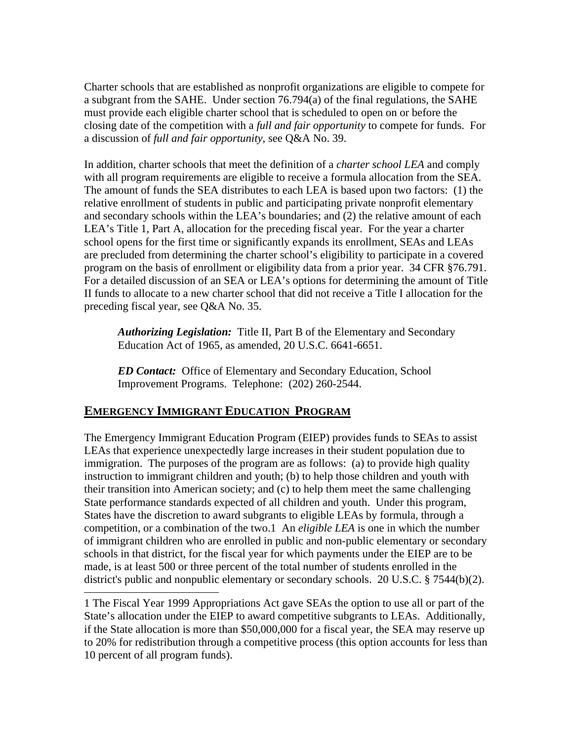Charter schools that are established as nonprofit organizations are eligible to compete for a subgrant from the SAHE. Under section 76.794(a) of the final regulations, the SAHE must provide each eligible charter school that is scheduled to open on or before the closing date of the competition with a *full and fair opportunity* to compete for funds. For a discussion of *full and fair opportunity*, see Q&A No. 39.

In addition, charter schools that meet the definition of a *charter school LEA* and comply with all program requirements are eligible to receive a formula allocation from the SEA. The amount of funds the SEA distributes to each LEA is based upon two factors: (1) the relative enrollment of students in public and participating private nonprofit elementary and secondary schools within the LEA's boundaries; and (2) the relative amount of each LEA's Title 1, Part A, allocation for the preceding fiscal year. For the year a charter school opens for the first time or significantly expands its enrollment, SEAs and LEAs are precluded from determining the charter school's eligibility to participate in a covered program on the basis of enrollment or eligibility data from a prior year. 34 CFR §76.791. For a detailed discussion of an SEA or LEA's options for determining the amount of Title II funds to allocate to a new charter school that did not receive a Title I allocation for the preceding fiscal year, see Q&A No. 35.

*Authorizing Legislation:* Title II, Part B of the Elementary and Secondary Education Act of 1965, as amended, 20 U.S.C. 6641-6651.

*ED Contact:* Office of Elementary and Secondary Education, School Improvement Programs. Telephone: (202) 260-2544.

#### **EMERGENCY IMMIGRANT EDUCATION PROGRAM**

The Emergency Immigrant Education Program (EIEP) provides funds to SEAs to assist LEAs that experience unexpectedly large increases in their student population due to immigration. The purposes of the program are as follows: (a) to provide high quality instruction to immigrant children and youth; (b) to help those children and youth with their transition into American society; and (c) to help them meet the same challenging State performance standards expected of all children and youth. Under this program, States have the discretion to award subgrants to eligible LEAs by formula, through a competition, or a combination of the two.1 An *eligible LEA* is one in which the number of immigrant children who are enrolled in public and non-public elementary or secondary schools in that district, for the fiscal year for which payments under the EIEP are to be made, is at least 500 or three percent of the total number of students enrolled in the district's public and nonpublic elementary or secondary schools. 20 U.S.C. § 7544(b)(2).

<sup>1</sup> The Fiscal Year 1999 Appropriations Act gave SEAs the option to use all or part of the State's allocation under the EIEP to award competitive subgrants to LEAs. Additionally, if the State allocation is more than \$50,000,000 for a fiscal year, the SEA may reserve up to 20% for redistribution through a competitive process (this option accounts for less than 10 percent of all program funds).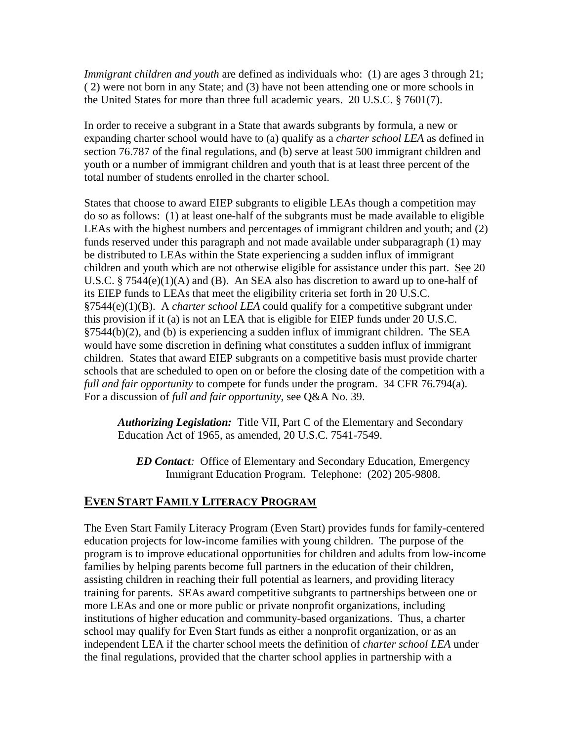*Immigrant children and youth* are defined as individuals who: (1) are ages 3 through 21; ( 2) were not born in any State; and (3) have not been attending one or more schools in the United States for more than three full academic years. 20 U.S.C. § 7601(7).

In order to receive a subgrant in a State that awards subgrants by formula, a new or expanding charter school would have to (a) qualify as a *charter school LEA* as defined in section 76.787 of the final regulations, and (b) serve at least 500 immigrant children and youth or a number of immigrant children and youth that is at least three percent of the total number of students enrolled in the charter school.

States that choose to award EIEP subgrants to eligible LEAs though a competition may do so as follows: (1) at least one-half of the subgrants must be made available to eligible LEAs with the highest numbers and percentages of immigrant children and youth; and (2) funds reserved under this paragraph and not made available under subparagraph (1) may be distributed to LEAs within the State experiencing a sudden influx of immigrant children and youth which are not otherwise eligible for assistance under this part. See 20 U.S.C. § 7544(e)(1)(A) and (B). An SEA also has discretion to award up to one-half of its EIEP funds to LEAs that meet the eligibility criteria set forth in 20 U.S.C. §7544(e)(1)(B). A *charter school LEA* could qualify for a competitive subgrant under this provision if it (a) is not an LEA that is eligible for EIEP funds under 20 U.S.C. §7544(b)(2), and (b) is experiencing a sudden influx of immigrant children. The SEA would have some discretion in defining what constitutes a sudden influx of immigrant children. States that award EIEP subgrants on a competitive basis must provide charter schools that are scheduled to open on or before the closing date of the competition with a *full and fair opportunity* to compete for funds under the program. 34 CFR 76.794(a). For a discussion of *full and fair opportunity*, see Q&A No. 39.

*Authorizing Legislation:* Title VII, Part C of the Elementary and Secondary Education Act of 1965, as amended, 20 U.S.C. 7541-7549.

*ED Contact:*Office of Elementary and Secondary Education, Emergency Immigrant Education Program. Telephone: (202) 205-9808.

#### **EVEN START FAMILY LITERACY PROGRAM**

The Even Start Family Literacy Program (Even Start) provides funds for family-centered education projects for low-income families with young children. The purpose of the program is to improve educational opportunities for children and adults from low-income families by helping parents become full partners in the education of their children, assisting children in reaching their full potential as learners, and providing literacy training for parents. SEAs award competitive subgrants to partnerships between one or more LEAs and one or more public or private nonprofit organizations, including institutions of higher education and community-based organizations. Thus, a charter school may qualify for Even Start funds as either a nonprofit organization, or as an independent LEA if the charter school meets the definition of *charter school LEA* under the final regulations, provided that the charter school applies in partnership with a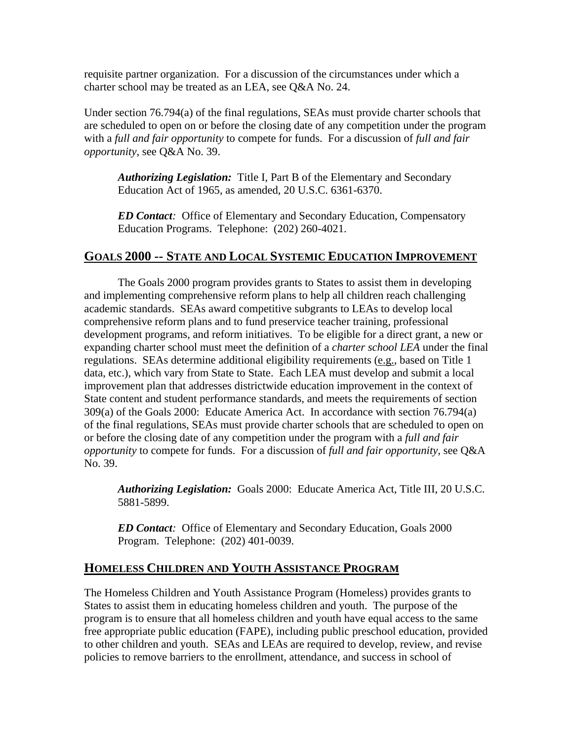requisite partner organization. For a discussion of the circumstances under which a charter school may be treated as an LEA, see Q&A No. 24.

Under section 76.794(a) of the final regulations, SEAs must provide charter schools that are scheduled to open on or before the closing date of any competition under the program with a *full and fair opportunity* to compete for funds. For a discussion of *full and fair opportunity*, see Q&A No. 39.

*Authorizing Legislation:* Title I, Part B of the Elementary and Secondary Education Act of 1965, as amended, 20 U.S.C. 6361-6370.

*ED Contact:*Office of Elementary and Secondary Education, Compensatory Education Programs. Telephone: (202) 260-4021.

#### **GOALS 2000 -- STATE AND LOCAL SYSTEMIC EDUCATION IMPROVEMENT**

The Goals 2000 program provides grants to States to assist them in developing and implementing comprehensive reform plans to help all children reach challenging academic standards. SEAs award competitive subgrants to LEAs to develop local comprehensive reform plans and to fund preservice teacher training, professional development programs, and reform initiatives. To be eligible for a direct grant, a new or expanding charter school must meet the definition of a *charter school LEA* under the final regulations. SEAs determine additional eligibility requirements (e.g., based on Title 1 data, etc.), which vary from State to State. Each LEA must develop and submit a local improvement plan that addresses districtwide education improvement in the context of State content and student performance standards, and meets the requirements of section 309(a) of the Goals 2000: Educate America Act. In accordance with section 76.794(a) of the final regulations, SEAs must provide charter schools that are scheduled to open on or before the closing date of any competition under the program with a *full and fair opportunity* to compete for funds. For a discussion of *full and fair opportunity*, see Q&A No. 39.

*Authorizing Legislation:* Goals 2000: Educate America Act, Title III, 20 U.S.C. 5881-5899.

*ED Contact:*Office of Elementary and Secondary Education, Goals 2000 Program. Telephone: (202) 401-0039.

#### **HOMELESS CHILDREN AND YOUTH ASSISTANCE PROGRAM**

The Homeless Children and Youth Assistance Program (Homeless) provides grants to States to assist them in educating homeless children and youth. The purpose of the program is to ensure that all homeless children and youth have equal access to the same free appropriate public education (FAPE), including public preschool education, provided to other children and youth. SEAs and LEAs are required to develop, review, and revise policies to remove barriers to the enrollment, attendance, and success in school of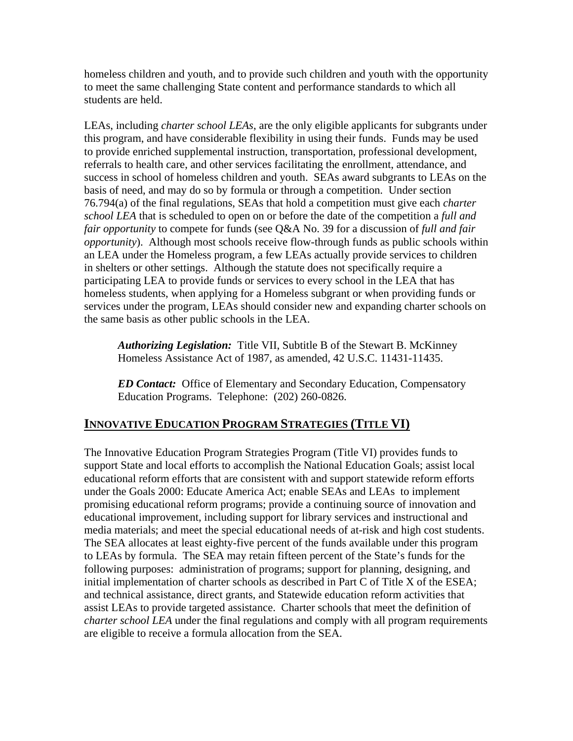homeless children and youth, and to provide such children and youth with the opportunity to meet the same challenging State content and performance standards to which all students are held.

LEAs, including *charter school LEAs*, are the only eligible applicants for subgrants under this program, and have considerable flexibility in using their funds. Funds may be used to provide enriched supplemental instruction, transportation, professional development, referrals to health care, and other services facilitating the enrollment, attendance, and success in school of homeless children and youth. SEAs award subgrants to LEAs on the basis of need, and may do so by formula or through a competition. Under section 76.794(a) of the final regulations, SEAs that hold a competition must give each *charter school LEA* that is scheduled to open on or before the date of the competition a *full and fair opportunity* to compete for funds (see Q&A No. 39 for a discussion of *full and fair opportunity*). Although most schools receive flow-through funds as public schools within an LEA under the Homeless program, a few LEAs actually provide services to children in shelters or other settings. Although the statute does not specifically require a participating LEA to provide funds or services to every school in the LEA that has homeless students, when applying for a Homeless subgrant or when providing funds or services under the program, LEAs should consider new and expanding charter schools on the same basis as other public schools in the LEA.

*Authorizing Legislation:* Title VII, Subtitle B of the Stewart B. McKinney Homeless Assistance Act of 1987, as amended, 42 U.S.C. 11431-11435.

*ED Contact:* Office of Elementary and Secondary Education, Compensatory Education Programs. Telephone: (202) 260-0826.

#### **INNOVATIVE EDUCATION PROGRAM STRATEGIES (TITLE VI)**

The Innovative Education Program Strategies Program (Title VI) provides funds to support State and local efforts to accomplish the National Education Goals; assist local educational reform efforts that are consistent with and support statewide reform efforts under the Goals 2000: Educate America Act; enable SEAs and LEAs to implement promising educational reform programs; provide a continuing source of innovation and educational improvement, including support for library services and instructional and media materials; and meet the special educational needs of at-risk and high cost students. The SEA allocates at least eighty-five percent of the funds available under this program to LEAs by formula. The SEA may retain fifteen percent of the State's funds for the following purposes: administration of programs; support for planning, designing, and initial implementation of charter schools as described in Part C of Title X of the ESEA; and technical assistance, direct grants, and Statewide education reform activities that assist LEAs to provide targeted assistance. Charter schools that meet the definition of *charter school LEA* under the final regulations and comply with all program requirements are eligible to receive a formula allocation from the SEA.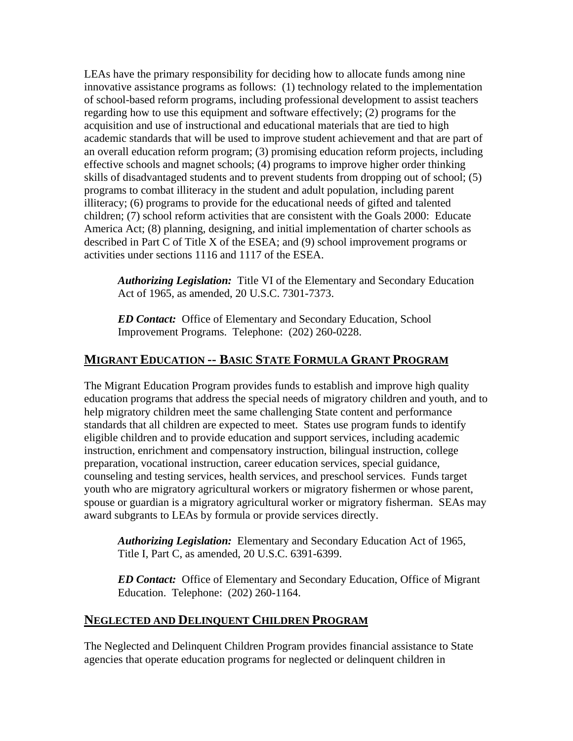LEAs have the primary responsibility for deciding how to allocate funds among nine innovative assistance programs as follows: (1) technology related to the implementation of school-based reform programs, including professional development to assist teachers regarding how to use this equipment and software effectively; (2) programs for the acquisition and use of instructional and educational materials that are tied to high academic standards that will be used to improve student achievement and that are part of an overall education reform program; (3) promising education reform projects, including effective schools and magnet schools; (4) programs to improve higher order thinking skills of disadvantaged students and to prevent students from dropping out of school; (5) programs to combat illiteracy in the student and adult population, including parent illiteracy; (6) programs to provide for the educational needs of gifted and talented children; (7) school reform activities that are consistent with the Goals 2000: Educate America Act; (8) planning, designing, and initial implementation of charter schools as described in Part C of Title X of the ESEA; and (9) school improvement programs or activities under sections 1116 and 1117 of the ESEA.

Authorizing Legislation: Title VI of the Elementary and Secondary Education Act of 1965, as amended, 20 U.S.C. 7301-7373.

*ED Contact:* Office of Elementary and Secondary Education, School Improvement Programs. Telephone: (202) 260-0228.

#### **MIGRANT EDUCATION -- BASIC STATE FORMULA GRANT PROGRAM**

The Migrant Education Program provides funds to establish and improve high quality education programs that address the special needs of migratory children and youth, and to help migratory children meet the same challenging State content and performance standards that all children are expected to meet. States use program funds to identify eligible children and to provide education and support services, including academic instruction, enrichment and compensatory instruction, bilingual instruction, college preparation, vocational instruction, career education services, special guidance, counseling and testing services, health services, and preschool services. Funds target youth who are migratory agricultural workers or migratory fishermen or whose parent, spouse or guardian is a migratory agricultural worker or migratory fisherman. SEAs may award subgrants to LEAs by formula or provide services directly.

*Authorizing Legislation:* Elementary and Secondary Education Act of 1965, Title I, Part C, as amended, 20 U.S.C. 6391-6399.

*ED Contact:* Office of Elementary and Secondary Education, Office of Migrant Education. Telephone: (202) 260-1164.

#### **NEGLECTED AND DELINQUENT CHILDREN PROGRAM**

The Neglected and Delinquent Children Program provides financial assistance to State agencies that operate education programs for neglected or delinquent children in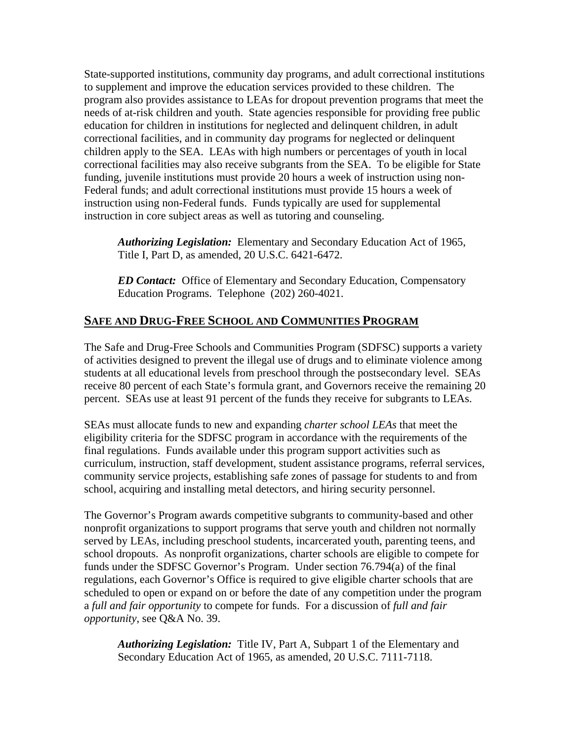State-supported institutions, community day programs, and adult correctional institutions to supplement and improve the education services provided to these children. The program also provides assistance to LEAs for dropout prevention programs that meet the needs of at-risk children and youth. State agencies responsible for providing free public education for children in institutions for neglected and delinquent children, in adult correctional facilities, and in community day programs for neglected or delinquent children apply to the SEA. LEAs with high numbers or percentages of youth in local correctional facilities may also receive subgrants from the SEA. To be eligible for State funding, juvenile institutions must provide 20 hours a week of instruction using non-Federal funds; and adult correctional institutions must provide 15 hours a week of instruction using non-Federal funds. Funds typically are used for supplemental instruction in core subject areas as well as tutoring and counseling.

*Authorizing Legislation:* Elementary and Secondary Education Act of 1965, Title I, Part D, as amended, 20 U.S.C. 6421-6472.

*ED Contact:* Office of Elementary and Secondary Education, Compensatory Education Programs. Telephone (202) 260-4021.

#### **SAFE AND DRUG-FREE SCHOOL AND COMMUNITIES PROGRAM**

The Safe and Drug-Free Schools and Communities Program (SDFSC) supports a variety of activities designed to prevent the illegal use of drugs and to eliminate violence among students at all educational levels from preschool through the postsecondary level. SEAs receive 80 percent of each State's formula grant, and Governors receive the remaining 20 percent. SEAs use at least 91 percent of the funds they receive for subgrants to LEAs.

SEAs must allocate funds to new and expanding *charter school LEAs* that meet the eligibility criteria for the SDFSC program in accordance with the requirements of the final regulations. Funds available under this program support activities such as curriculum, instruction, staff development, student assistance programs, referral services, community service projects, establishing safe zones of passage for students to and from school, acquiring and installing metal detectors, and hiring security personnel.

The Governor's Program awards competitive subgrants to community-based and other nonprofit organizations to support programs that serve youth and children not normally served by LEAs, including preschool students, incarcerated youth, parenting teens, and school dropouts. As nonprofit organizations, charter schools are eligible to compete for funds under the SDFSC Governor's Program. Under section 76.794(a) of the final regulations, each Governor's Office is required to give eligible charter schools that are scheduled to open or expand on or before the date of any competition under the program a *full and fair opportunity* to compete for funds. For a discussion of *full and fair opportunity*, see Q&A No. 39.

*Authorizing Legislation:* Title IV, Part A, Subpart 1 of the Elementary and Secondary Education Act of 1965, as amended, 20 U.S.C. 7111-7118.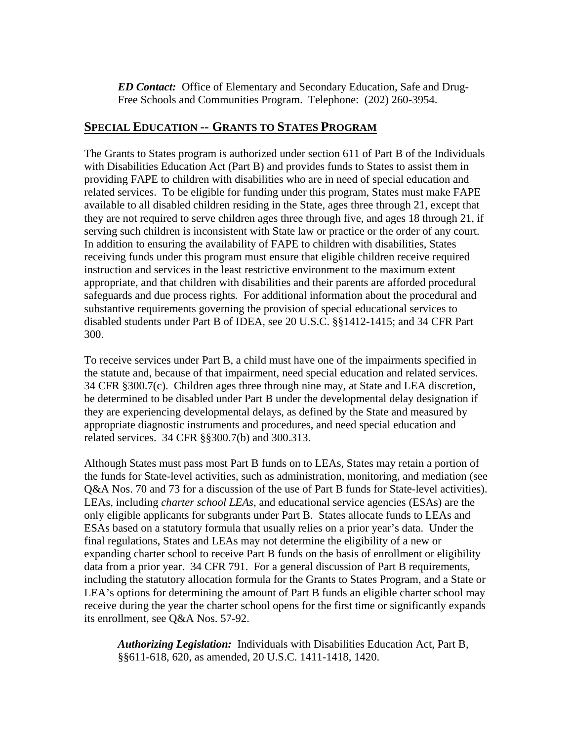*ED Contact:*Office of Elementary and Secondary Education, Safe and Drug-Free Schools and Communities Program. Telephone: (202) 260-3954.

#### **SPECIAL EDUCATION -- GRANTS TO STATES PROGRAM**

The Grants to States program is authorized under section 611 of Part B of the Individuals with Disabilities Education Act (Part B) and provides funds to States to assist them in providing FAPE to children with disabilities who are in need of special education and related services. To be eligible for funding under this program, States must make FAPE available to all disabled children residing in the State, ages three through 21, except that they are not required to serve children ages three through five, and ages 18 through 21, if serving such children is inconsistent with State law or practice or the order of any court. In addition to ensuring the availability of FAPE to children with disabilities, States receiving funds under this program must ensure that eligible children receive required instruction and services in the least restrictive environment to the maximum extent appropriate, and that children with disabilities and their parents are afforded procedural safeguards and due process rights. For additional information about the procedural and substantive requirements governing the provision of special educational services to disabled students under Part B of IDEA, see 20 U.S.C. §§1412-1415; and 34 CFR Part 300.

To receive services under Part B, a child must have one of the impairments specified in the statute and, because of that impairment, need special education and related services. 34 CFR §300.7(c). Children ages three through nine may, at State and LEA discretion, be determined to be disabled under Part B under the developmental delay designation if they are experiencing developmental delays, as defined by the State and measured by appropriate diagnostic instruments and procedures, and need special education and related services. 34 CFR §§300.7(b) and 300.313.

Although States must pass most Part B funds on to LEAs, States may retain a portion of the funds for State-level activities, such as administration, monitoring, and mediation (see Q&A Nos. 70 and 73 for a discussion of the use of Part B funds for State-level activities). LEAs, including *charter school LEAs*, and educational service agencies (ESAs) are the only eligible applicants for subgrants under Part B. States allocate funds to LEAs and ESAs based on a statutory formula that usually relies on a prior year's data. Under the final regulations, States and LEAs may not determine the eligibility of a new or expanding charter school to receive Part B funds on the basis of enrollment or eligibility data from a prior year. 34 CFR 791. For a general discussion of Part B requirements, including the statutory allocation formula for the Grants to States Program, and a State or LEA's options for determining the amount of Part B funds an eligible charter school may receive during the year the charter school opens for the first time or significantly expands its enrollment, see Q&A Nos. 57-92.

*Authorizing Legislation:* Individuals with Disabilities Education Act, Part B, §§611-618, 620, as amended, 20 U.S.C. 1411-1418, 1420.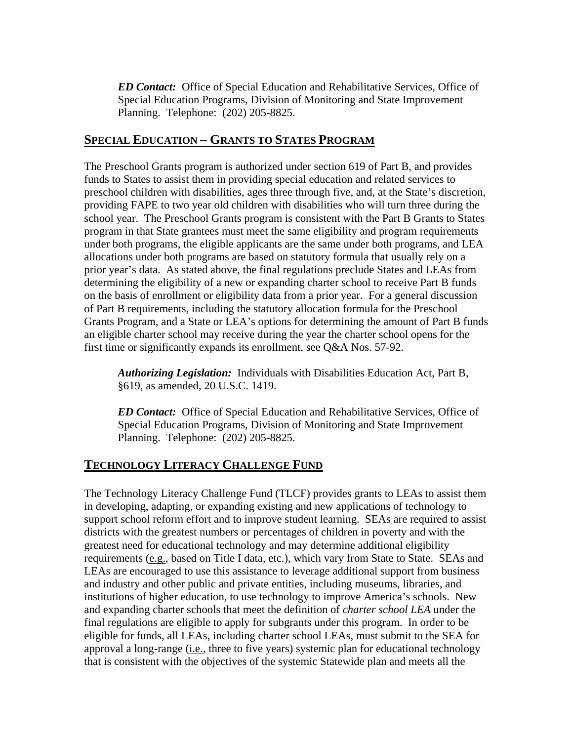*ED Contact:* Office of Special Education and Rehabilitative Services, Office of Special Education Programs, Division of Monitoring and State Improvement Planning. Telephone: (202) 205-8825.

#### **SPECIAL EDUCATION – GRANTS TO STATES PROGRAM**

The Preschool Grants program is authorized under section 619 of Part B, and provides funds to States to assist them in providing special education and related services to preschool children with disabilities, ages three through five, and, at the State's discretion, providing FAPE to two year old children with disabilities who will turn three during the school year. The Preschool Grants program is consistent with the Part B Grants to States program in that State grantees must meet the same eligibility and program requirements under both programs, the eligible applicants are the same under both programs, and LEA allocations under both programs are based on statutory formula that usually rely on a prior year's data. As stated above, the final regulations preclude States and LEAs from determining the eligibility of a new or expanding charter school to receive Part B funds on the basis of enrollment or eligibility data from a prior year. For a general discussion of Part B requirements, including the statutory allocation formula for the Preschool Grants Program, and a State or LEA's options for determining the amount of Part B funds an eligible charter school may receive during the year the charter school opens for the first time or significantly expands its enrollment, see Q&A Nos. 57-92.

*Authorizing Legislation:* Individuals with Disabilities Education Act, Part B, §619, as amended, 20 U.S.C. 1419.

*ED Contact:* Office of Special Education and Rehabilitative Services, Office of Special Education Programs, Division of Monitoring and State Improvement Planning. Telephone: (202) 205-8825.

#### **TECHNOLOGY LITERACY CHALLENGE FUND**

The Technology Literacy Challenge Fund (TLCF) provides grants to LEAs to assist them in developing, adapting, or expanding existing and new applications of technology to support school reform effort and to improve student learning. SEAs are required to assist districts with the greatest numbers or percentages of children in poverty and with the greatest need for educational technology and may determine additional eligibility requirements (e.g., based on Title I data, etc.), which vary from State to State. SEAs and LEAs are encouraged to use this assistance to leverage additional support from business and industry and other public and private entities, including museums, libraries, and institutions of higher education, to use technology to improve America's schools. New and expanding charter schools that meet the definition of *charter school LEA* under the final regulations are eligible to apply for subgrants under this program. In order to be eligible for funds, all LEAs, including charter school LEAs, must submit to the SEA for approval a long-range (i.e., three to five years) systemic plan for educational technology that is consistent with the objectives of the systemic Statewide plan and meets all the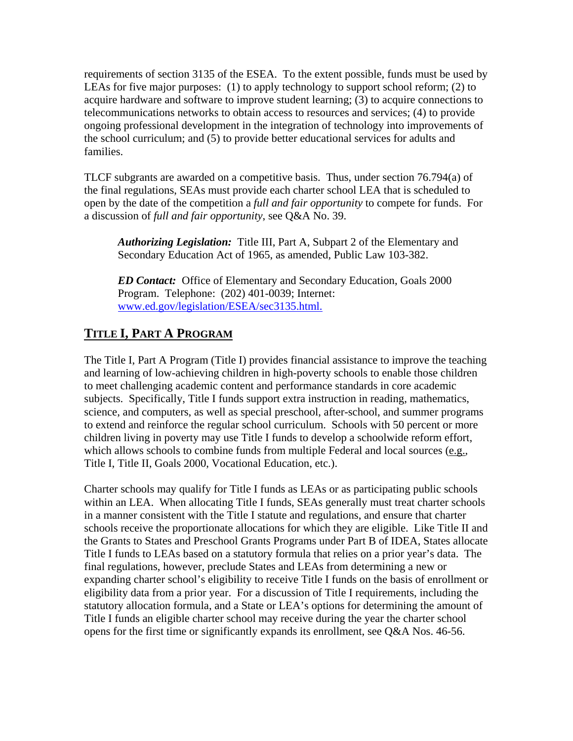requirements of section 3135 of the ESEA. To the extent possible, funds must be used by LEAs for five major purposes: (1) to apply technology to support school reform; (2) to acquire hardware and software to improve student learning; (3) to acquire connections to telecommunications networks to obtain access to resources and services; (4) to provide ongoing professional development in the integration of technology into improvements of the school curriculum; and (5) to provide better educational services for adults and families.

TLCF subgrants are awarded on a competitive basis. Thus, under section 76.794(a) of the final regulations, SEAs must provide each charter school LEA that is scheduled to open by the date of the competition a *full and fair opportunity* to compete for funds. For a discussion of *full and fair opportunity*, see Q&A No. 39.

*Authorizing Legislation:* Title III, Part A, Subpart 2 of the Elementary and Secondary Education Act of 1965, as amended, Public Law 103-382.

*ED Contact:* Office of Elementary and Secondary Education, Goals 2000 Program. Telephone: (202) 401-0039; Internet: [www.ed.gov/legislation/ESEA/sec3135.html.](http://www.ed.gov/legislation/ESEA/sec3135.html)

#### **TITLE I, PART A PROGRAM**

The Title I, Part A Program (Title I) provides financial assistance to improve the teaching and learning of low-achieving children in high-poverty schools to enable those children to meet challenging academic content and performance standards in core academic subjects. Specifically, Title I funds support extra instruction in reading, mathematics, science, and computers, as well as special preschool, after-school, and summer programs to extend and reinforce the regular school curriculum. Schools with 50 percent or more children living in poverty may use Title I funds to develop a schoolwide reform effort, which allows schools to combine funds from multiple Federal and local sources (e.g., Title I, Title II, Goals 2000, Vocational Education, etc.).

Charter schools may qualify for Title I funds as LEAs or as participating public schools within an LEA. When allocating Title I funds, SEAs generally must treat charter schools in a manner consistent with the Title I statute and regulations, and ensure that charter schools receive the proportionate allocations for which they are eligible. Like Title II and the Grants to States and Preschool Grants Programs under Part B of IDEA, States allocate Title I funds to LEAs based on a statutory formula that relies on a prior year's data. The final regulations, however, preclude States and LEAs from determining a new or expanding charter school's eligibility to receive Title I funds on the basis of enrollment or eligibility data from a prior year. For a discussion of Title I requirements, including the statutory allocation formula, and a State or LEA's options for determining the amount of Title I funds an eligible charter school may receive during the year the charter school opens for the first time or significantly expands its enrollment, see Q&A Nos. 46-56.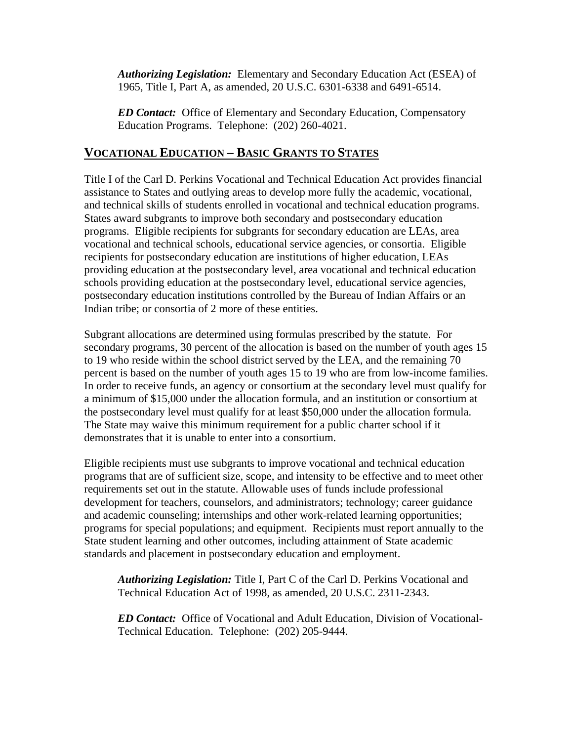*Authorizing Legislation:* Elementary and Secondary Education Act (ESEA) of 1965, Title I, Part A, as amended, 20 U.S.C. 6301-6338 and 6491-6514.

*ED Contact:* Office of Elementary and Secondary Education, Compensatory Education Programs. Telephone: (202) 260-4021.

#### **VOCATIONAL EDUCATION – BASIC GRANTS TO STATES**

Title I of the Carl D. Perkins Vocational and Technical Education Act provides financial assistance to States and outlying areas to develop more fully the academic, vocational, and technical skills of students enrolled in vocational and technical education programs. States award subgrants to improve both secondary and postsecondary education programs. Eligible recipients for subgrants for secondary education are LEAs, area vocational and technical schools, educational service agencies, or consortia. Eligible recipients for postsecondary education are institutions of higher education, LEAs providing education at the postsecondary level, area vocational and technical education schools providing education at the postsecondary level, educational service agencies, postsecondary education institutions controlled by the Bureau of Indian Affairs or an Indian tribe; or consortia of 2 more of these entities.

Subgrant allocations are determined using formulas prescribed by the statute. For secondary programs, 30 percent of the allocation is based on the number of youth ages 15 to 19 who reside within the school district served by the LEA, and the remaining 70 percent is based on the number of youth ages 15 to 19 who are from low-income families. In order to receive funds, an agency or consortium at the secondary level must qualify for a minimum of \$15,000 under the allocation formula, and an institution or consortium at the postsecondary level must qualify for at least \$50,000 under the allocation formula. The State may waive this minimum requirement for a public charter school if it demonstrates that it is unable to enter into a consortium.

Eligible recipients must use subgrants to improve vocational and technical education programs that are of sufficient size, scope, and intensity to be effective and to meet other requirements set out in the statute. Allowable uses of funds include professional development for teachers, counselors, and administrators; technology; career guidance and academic counseling; internships and other work-related learning opportunities; programs for special populations; and equipment. Recipients must report annually to the State student learning and other outcomes, including attainment of State academic standards and placement in postsecondary education and employment.

*Authorizing Legislation:* Title I, Part C of the Carl D. Perkins Vocational and Technical Education Act of 1998, as amended, 20 U.S.C. 2311-2343.

*ED Contact:* Office of Vocational and Adult Education, Division of Vocational-Technical Education. Telephone: (202) 205-9444.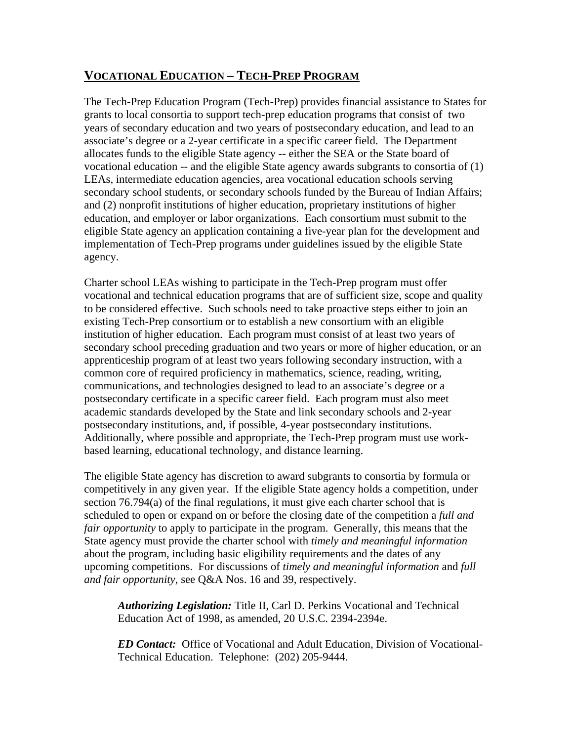#### **VOCATIONAL EDUCATION – TECH-PREP PROGRAM**

The Tech-Prep Education Program (Tech-Prep) provides financial assistance to States for grants to local consortia to support tech-prep education programs that consist of two years of secondary education and two years of postsecondary education, and lead to an associate's degree or a 2-year certificate in a specific career field. The Department allocates funds to the eligible State agency -- either the SEA or the State board of vocational education -- and the eligible State agency awards subgrants to consortia of (1) LEAs, intermediate education agencies, area vocational education schools serving secondary school students, or secondary schools funded by the Bureau of Indian Affairs; and (2) nonprofit institutions of higher education, proprietary institutions of higher education, and employer or labor organizations. Each consortium must submit to the eligible State agency an application containing a five-year plan for the development and implementation of Tech-Prep programs under guidelines issued by the eligible State agency.

Charter school LEAs wishing to participate in the Tech-Prep program must offer vocational and technical education programs that are of sufficient size, scope and quality to be considered effective. Such schools need to take proactive steps either to join an existing Tech-Prep consortium or to establish a new consortium with an eligible institution of higher education. Each program must consist of at least two years of secondary school preceding graduation and two years or more of higher education, or an apprenticeship program of at least two years following secondary instruction, with a common core of required proficiency in mathematics, science, reading, writing, communications, and technologies designed to lead to an associate's degree or a postsecondary certificate in a specific career field. Each program must also meet academic standards developed by the State and link secondary schools and 2-year postsecondary institutions, and, if possible, 4-year postsecondary institutions. Additionally, where possible and appropriate, the Tech-Prep program must use workbased learning, educational technology, and distance learning.

The eligible State agency has discretion to award subgrants to consortia by formula or competitively in any given year. If the eligible State agency holds a competition, under section 76.794(a) of the final regulations, it must give each charter school that is scheduled to open or expand on or before the closing date of the competition a *full and fair opportunity* to apply to participate in the program. Generally, this means that the State agency must provide the charter school with *timely and meaningful information* about the program, including basic eligibility requirements and the dates of any upcoming competitions. For discussions of *timely and meaningful information* and *full and fair opportunity*, see Q&A Nos. 16 and 39, respectively.

*Authorizing Legislation:* Title II, Carl D. Perkins Vocational and Technical Education Act of 1998, as amended, 20 U.S.C. 2394-2394e.

*ED Contact:* Office of Vocational and Adult Education, Division of Vocational-Technical Education. Telephone: (202) 205-9444.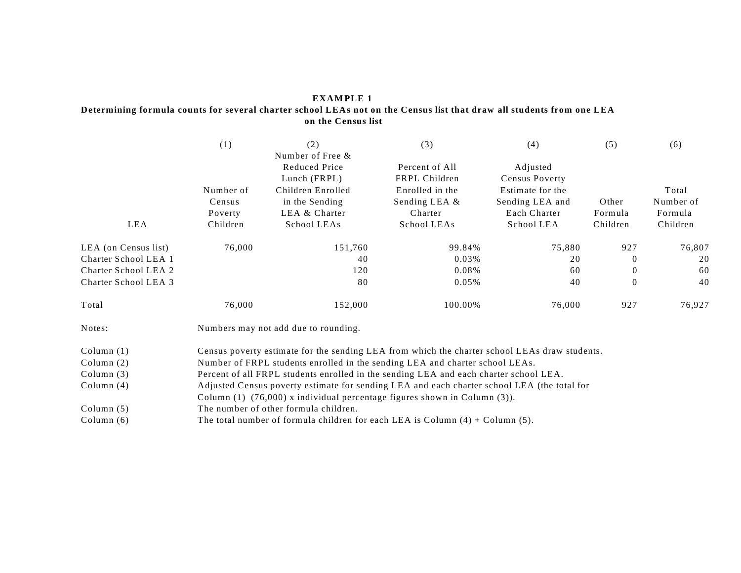#### **EXAM PLE 1**

#### **Determining formula counts for several charter school LEAs not on the Census list that draw all students from one LEA on the Census list**

|                      | (1)                                                                                         | (2)<br>Number of Free &                                                                       | (3)                             | (4)                        | (5)            | (6)       |  |  |
|----------------------|---------------------------------------------------------------------------------------------|-----------------------------------------------------------------------------------------------|---------------------------------|----------------------------|----------------|-----------|--|--|
|                      |                                                                                             | Reduced Price<br>Lunch (FRPL)                                                                 | Percent of All<br>FRPL Children | Adjusted<br>Census Poverty |                |           |  |  |
|                      | Number of                                                                                   | Children Enrolled                                                                             | Enrolled in the                 | Estimate for the           |                | Total     |  |  |
|                      | Census                                                                                      | in the Sending                                                                                | Sending LEA &                   | Sending LEA and            | Other          | Number of |  |  |
|                      | Poverty                                                                                     | LEA & Charter                                                                                 | Charter                         | Each Charter               | Formula        | Formula   |  |  |
| LEA                  | Children                                                                                    | School LEAs                                                                                   | School LEAs                     | School LEA                 | Children       | Children  |  |  |
| LEA (on Census list) | 76,000                                                                                      | 151,760                                                                                       | 99.84%                          | 75,880                     | 927            | 76,807    |  |  |
| Charter School LEA 1 |                                                                                             | 40                                                                                            | 0.03%                           | 20                         | $\Omega$       | 20        |  |  |
| Charter School LEA 2 |                                                                                             | 120                                                                                           | 0.08%                           | 60                         | $\overline{0}$ | 60        |  |  |
| Charter School LEA 3 |                                                                                             | 80                                                                                            | 0.05%                           | 40                         | $\mathbf{0}$   | 40        |  |  |
| Total                | 76,000                                                                                      | 152,000                                                                                       | 100.00%                         | 76,000                     | 927            | 76,927    |  |  |
| Notes:               | Numbers may not add due to rounding.                                                        |                                                                                               |                                 |                            |                |           |  |  |
| Column $(1)$         |                                                                                             | Census poverty estimate for the sending LEA from which the charter school LEAs draw students. |                                 |                            |                |           |  |  |
| Column $(2)$         | Number of FRPL students enrolled in the sending LEA and charter school LEAs.                |                                                                                               |                                 |                            |                |           |  |  |
| Column $(3)$         | Percent of all FRPL students enrolled in the sending LEA and each charter school LEA.       |                                                                                               |                                 |                            |                |           |  |  |
| Column $(4)$         | Adjusted Census poverty estimate for sending LEA and each charter school LEA (the total for |                                                                                               |                                 |                            |                |           |  |  |

Column (1) (76,000) x individual percentage figures shown in Column (3)).

Column (5) The number of other formula children.

Column (6) The total number of formula children for each LEA is Column (4) + Column (5).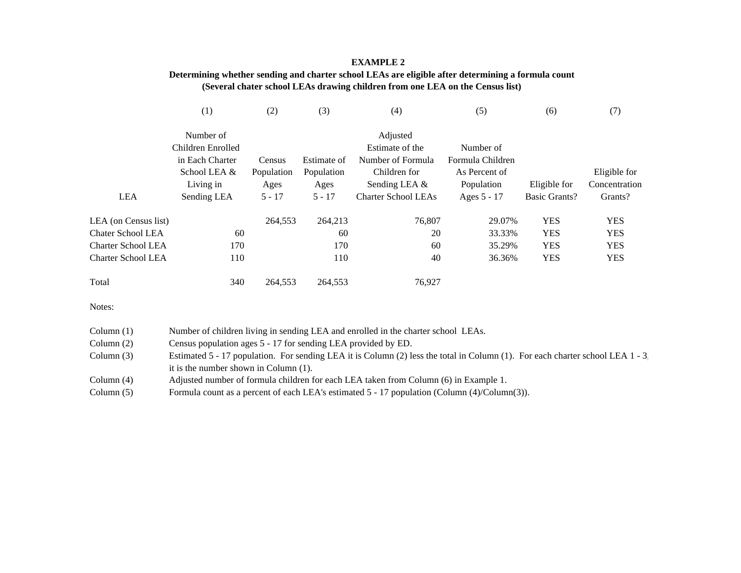#### **EXAMPLE 2**

#### **Determining whether sending and charter school LEAs are eligible after determining a formula count (Several chater school LEAs drawing children from one LEA on the Census list)**

|                           | (1)                            | $\rm(2)$   | (3)         | (4)                         | (5)              | (6)           | (7)           |
|---------------------------|--------------------------------|------------|-------------|-----------------------------|------------------|---------------|---------------|
|                           | Number of<br>Children Enrolled |            |             | Adjusted<br>Estimate of the | Number of        |               |               |
|                           | in Each Charter                | Census     | Estimate of | Number of Formula           | Formula Children |               |               |
|                           | School LEA &                   | Population | Population  | Children for                | As Percent of    |               | Eligible for  |
|                           | Living in                      | Ages       | Ages        | Sending LEA &               | Population       | Eligible for  | Concentration |
| <b>LEA</b>                | Sending LEA                    | $5 - 17$   | $5 - 17$    | <b>Charter School LEAs</b>  | Ages 5 - 17      | Basic Grants? | Grants?       |
| LEA (on Census list)      |                                | 264,553    | 264,213     | 76,807                      | 29.07%           | <b>YES</b>    | <b>YES</b>    |
| <b>Chater School LEA</b>  | 60                             |            | 60          | 20                          | 33.33%           | <b>YES</b>    | <b>YES</b>    |
| <b>Charter School LEA</b> | 170                            |            | 170         | 60                          | 35.29%           | <b>YES</b>    | <b>YES</b>    |
| <b>Charter School LEA</b> | 110                            |            | 110         | 40                          | 36.36%           | <b>YES</b>    | <b>YES</b>    |
| Total                     | 340                            | 264,553    | 264,553     | 76,927                      |                  |               |               |

Notes:

| Column $(1)$ | Number of children living in sending LEA and enrolled in the charter school LEAs.                                              |
|--------------|--------------------------------------------------------------------------------------------------------------------------------|
| Column $(2)$ | Census population ages 5 - 17 for sending LEA provided by ED.                                                                  |
| Column $(3)$ | Estimated 5 - 17 population. For sending LEA it is Column (2) less the total in Column (1). For each charter school LEA 1 - 3. |
|              | it is the number shown in Column (1).                                                                                          |
| Column $(4)$ | Adjusted number of formula children for each LEA taken from Column (6) in Example 1.                                           |
| Column $(5)$ | Formula count as a percent of each LEA's estimated 5 - 17 population (Column (4)/Column(3)).                                   |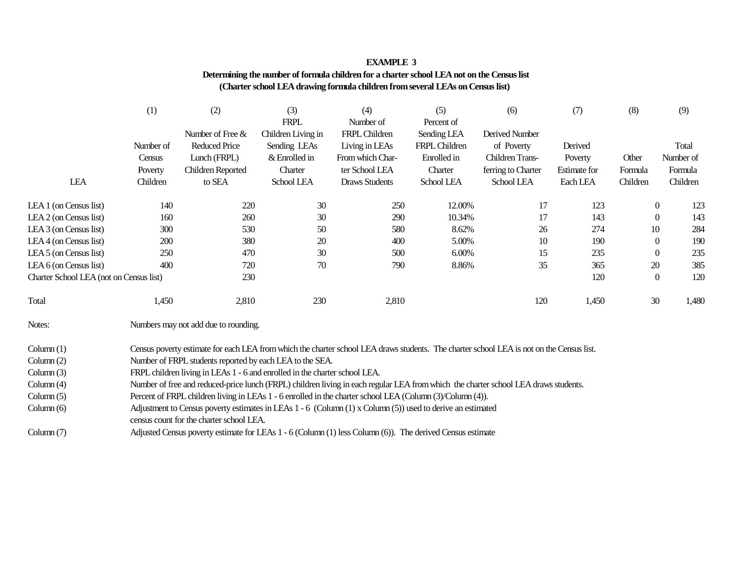# **EXAMPLE 3 Determining the number of formula children for a charter school LEA not on the Census list (Charter school LEA drawing formula children from several LEAs on Census list)**

|                                         | (1)       | (2)                                                                                                                                                                                                                                                                                              | (3)                | (4)              | (5)           | (6)                    | (7)                 | (8)      | (9)                 |
|-----------------------------------------|-----------|--------------------------------------------------------------------------------------------------------------------------------------------------------------------------------------------------------------------------------------------------------------------------------------------------|--------------------|------------------|---------------|------------------------|---------------------|----------|---------------------|
|                                         |           |                                                                                                                                                                                                                                                                                                  | <b>FRPL</b>        | Number of        | Percent of    |                        |                     |          |                     |
|                                         |           | Number of Free &                                                                                                                                                                                                                                                                                 | Children Living in | FRPL Children    | Sending LEA   | Derived Number         |                     |          |                     |
|                                         | Number of | <b>Reduced Price</b>                                                                                                                                                                                                                                                                             | Sending LEAs       | Living in LEAs   | FRPL Children | of Poverty             | Derived             |          | Total               |
|                                         | Census    | Lunch (FRPL)                                                                                                                                                                                                                                                                                     | & Enrolled in      | From which Char- | Enrolled in   | <b>Children Trans-</b> | Poverty             | Other    | Number of           |
|                                         | Poverty   | Children Reported                                                                                                                                                                                                                                                                                | Charter            | ter School LEA   | Charter       | ferring to Charter     | <b>Estimate</b> for | Formula  | Formula             |
| LEA                                     | Children  | to SEA                                                                                                                                                                                                                                                                                           | School LEA         | Draws Students   | School LEA    | School LEA             | Each LEA            | Children | Children            |
| LEA 1 (on Census list)                  | 140       | 220                                                                                                                                                                                                                                                                                              | 30                 | 250              | 12.00%        | 17                     | 123                 |          | $\Omega$<br>123     |
| LEA 2 (on Census list)                  | 160       | 260                                                                                                                                                                                                                                                                                              | 30                 | 290              | 10.34%        | 17                     | 143                 |          | 143<br>$\Omega$     |
| LEA 3 (on Census list)                  | 300       | 530                                                                                                                                                                                                                                                                                              | 50                 | 580              | 8.62%         | 26                     | 274                 | 10       | 284                 |
| LEA 4 (on Census list)                  | 200       | 380                                                                                                                                                                                                                                                                                              | 20                 | 400              | 5.00%         | 10                     | 190                 |          | 190<br>$\Omega$     |
| LEA 5 (on Census list)                  | 250       | 470                                                                                                                                                                                                                                                                                              | 30                 | 500              | 6.00%         | 15                     | 235                 |          | 235<br>$\Omega$     |
| LEA 6 (on Census list)                  | 400       | 720                                                                                                                                                                                                                                                                                              | 70                 | 790              | 8.86%         | 35                     | 365                 | 20       | 385                 |
| Charter School LEA (not on Census list) |           | 230                                                                                                                                                                                                                                                                                              |                    |                  |               |                        | 120                 |          | 120<br>$\mathbf{0}$ |
| Total                                   | 1,450     | 2,810                                                                                                                                                                                                                                                                                            | 230                | 2,810            |               | 120                    | 1,450               | 30       | 1,480               |
| $\mathbf{r}$                            |           | $\mathbf{M}$ and $\mathbf{M}$ and $\mathbf{M}$ and $\mathbf{M}$ are $\mathbf{M}$ and $\mathbf{M}$ are $\mathbf{M}$ and $\mathbf{M}$ are $\mathbf{M}$ and $\mathbf{M}$ are $\mathbf{M}$ and $\mathbf{M}$ are $\mathbf{M}$ and $\mathbf{M}$ are $\mathbf{M}$ and $\mathbf{M}$ are $\mathbf{M}$ and |                    |                  |               |                        |                     |          |                     |

Notes:Numbers may not add due to rounding.

| Column(1) |  |  | Census poverty estimate for each LEA from which the charter school LEA draws students. The charter school LEA is not on the Census list. |  |
|-----------|--|--|------------------------------------------------------------------------------------------------------------------------------------------|--|
|           |  |  |                                                                                                                                          |  |

- Column (2) Number of FRPL students reported by each LEA to the SEA.
- Column (3) FRPL children living in LEAs 1 - 6 and enrolled in the charter school LEA.
- Column (4) Number of free and reduced-price lunch (FRPL) children living in each regular LEA from which the charter school LEA draws students.
- Column (5) (5) Percent of FRPL children living in LEAs 1 - 6 enrolled in the charter school LEA (Column (3)/Column (4)).
- Column (6) Adjustment to Census poverty estimates in LEAs  $1 - 6$  (Column  $(1)$  x Column  $(5)$ ) used to derive an estimated
	- census count for the charter school LEA.
- Column (7) (7) Adjusted Census poverty estimate for LEAs 1 - 6 (Column (1) less Column (6)). The derived Census estimate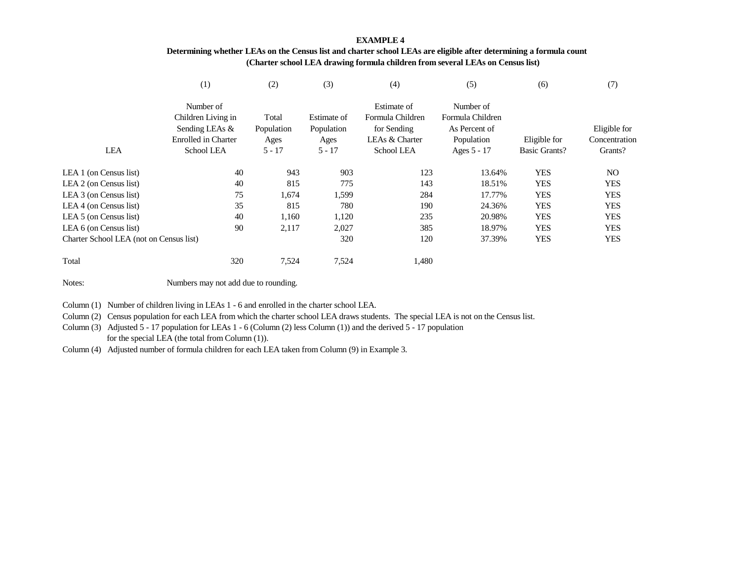## **EXAMPLE 4 Determining whether LEAs on the Census list and charter school LEAs are eligible after determining a formula count (Charter school LEA drawing formula children from several LEAs on Census list)**

|                                         | (1)                 | (2)        | (3)         | (4)               | (5)              | (6)                  | (7)           |
|-----------------------------------------|---------------------|------------|-------------|-------------------|------------------|----------------------|---------------|
|                                         | Number of           |            |             | Estimate of       | Number of        |                      |               |
|                                         | Children Living in  | Total      | Estimate of | Formula Children  | Formula Children |                      |               |
|                                         | Sending LEAs &      | Population | Population  | for Sending       | As Percent of    |                      | Eligible for  |
|                                         | Enrolled in Charter | Ages       | Ages        | LEAs & Charter    | Population       | Eligible for         | Concentration |
| LEA                                     | School LEA          | $5 - 17$   | $5 - 17$    | <b>School LEA</b> | Ages 5 - 17      | <b>Basic Grants?</b> | Grants?       |
| LEA 1 (on Census list)                  | 40                  | 943        | 903         | 123               | 13.64%           | <b>YES</b>           | NO.           |
| LEA 2 (on Census list)                  | 40                  | 815        | 775         | 143               | 18.51%           | <b>YES</b>           | <b>YES</b>    |
| LEA 3 (on Census list)                  | 75                  | 1,674      | 1,599       | 284               | 17.77%           | <b>YES</b>           | <b>YES</b>    |
| LEA 4 (on Census list)                  | 35                  | 815        | 780         | 190               | 24.36%           | <b>YES</b>           | <b>YES</b>    |
| LEA 5 (on Census list)                  | 40                  | 1,160      | 1,120       | 235               | 20.98%           | YES                  | <b>YES</b>    |
| LEA $6$ (on Census list)                | 90                  | 2,117      | 2,027       | 385               | 18.97%           | <b>YES</b>           | <b>YES</b>    |
| Charter School LEA (not on Census list) |                     |            | 320         | 120               | 37.39%           | <b>YES</b>           | <b>YES</b>    |
| Total                                   | 320                 | 7,524      | 7,524       | 1,480             |                  |                      |               |

Notes:Numbers may not add due to rounding.

Column (1) Number of children living in LEAs 1 - 6 and enrolled in the charter school LEA.

Column (2) Census population for each LEA from which the charter school LEA draws students. The special LEA is not on the Census list.

Column (3) Adjusted 5 - 17 population for LEAs 1 - 6 (Column (2) less Column (1)) and the derived 5 - 17 population for the special LEA (the total from Column (1)).

Column (4) Adjusted number of formula children for each LEA taken from Column (9) in Example 3.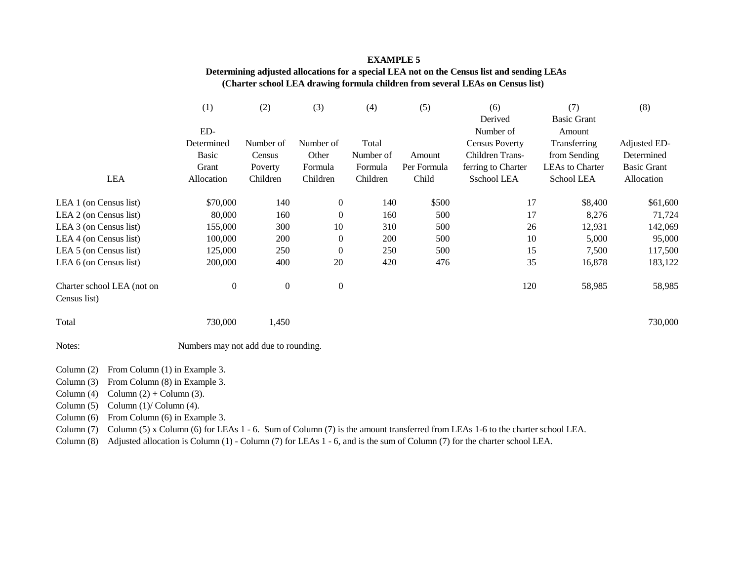### **EXAMPLE 5**

# **Determining adjusted allocations for a special LEA not on the Census list and sending LEAs (Charter school LEA drawing formula children from several LEAs on Census list)**

|                                               | (1)                                  | (2)              | (3)              | (4)       | (5)         | (6)                   | (7)                    | (8)                |
|-----------------------------------------------|--------------------------------------|------------------|------------------|-----------|-------------|-----------------------|------------------------|--------------------|
|                                               |                                      |                  |                  |           |             | Derived               | <b>Basic Grant</b>     |                    |
|                                               | ED-                                  |                  |                  |           |             | Number of             | Amount                 |                    |
|                                               | Determined                           | Number of        | Number of        | Total     |             | <b>Census Poverty</b> | Transferring           | Adjusted ED-       |
|                                               | <b>Basic</b>                         | Census           | Other            | Number of | Amount      | Children Trans-       | from Sending           | Determined         |
|                                               | Grant                                | Poverty          | Formula          | Formula   | Per Formula | ferring to Charter    | <b>LEAs to Charter</b> | <b>Basic Grant</b> |
| LEA                                           | Allocation                           | Children         | Children         | Children  | Child       | Sschool LEA           | School LEA             | Allocation         |
| LEA 1 (on Census list)                        | \$70,000                             | 140              | $\boldsymbol{0}$ | 140       | \$500       | 17                    | \$8,400                | \$61,600           |
| LEA 2 (on Census list)                        | 80,000                               | 160              | $\boldsymbol{0}$ | 160       | 500         | 17                    | 8,276                  | 71,724             |
| LEA 3 (on Census list)                        | 155,000                              | 300              | 10               | 310       | 500         | 26                    | 12,931                 | 142,069            |
| LEA 4 (on Census list)                        | 100,000                              | 200              | $\boldsymbol{0}$ | 200       | 500         | 10                    | 5,000                  | 95,000             |
| LEA 5 (on Census list)                        | 125,000                              | 250              | $\boldsymbol{0}$ | 250       | 500         | 15                    | 7,500                  | 117,500            |
| LEA 6 (on Census list)                        | 200,000                              | 400              | 20               | 420       | 476         | 35                    | 16,878                 | 183,122            |
| Charter school LEA (not on<br>Census list)    | $\boldsymbol{0}$                     | $\boldsymbol{0}$ | $\boldsymbol{0}$ |           |             | 120                   | 58,985                 | 58,985             |
| Total                                         | 730,000                              | 1,450            |                  |           |             |                       |                        | 730,000            |
| Notes:                                        | Numbers may not add due to rounding. |                  |                  |           |             |                       |                        |                    |
| From Column (1) in Example 3.<br>Column (2)   |                                      |                  |                  |           |             |                       |                        |                    |
| From Column (8) in Example 3.<br>Column $(3)$ |                                      |                  |                  |           |             |                       |                        |                    |
| Column $(2)$ + Column $(3)$ .<br>Column $(4)$ |                                      |                  |                  |           |             |                       |                        |                    |

Column (5) Column (1)/ Column (4).

Column (6) From Column (6) in Example 3.

Column (7) Column (5) x Column (6) for LEAs 1 - 6. Sum of Column (7) is the amount transferred from LEAs 1-6 to the charter school LEA.

Column (8) Adjusted allocation is Column (1) - Column (7) for LEAs 1 - 6, and is the sum of Column (7) for the charter school LEA.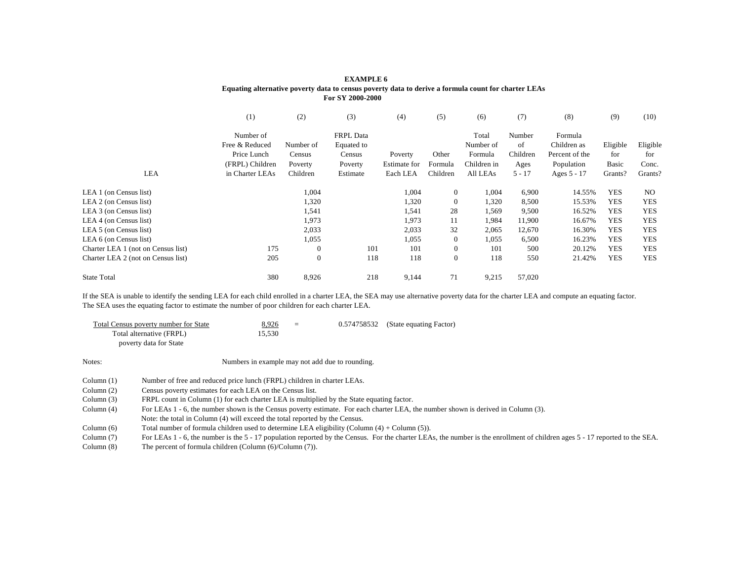|                                    |                 |                  | For SY 2000-2000 |              |                  |             |          |                |            |            |
|------------------------------------|-----------------|------------------|------------------|--------------|------------------|-------------|----------|----------------|------------|------------|
|                                    | (1)             | (2)              | (3)              | (4)          | (5)              | (6)         | (7)      | (8)            | (9)        | (10)       |
|                                    | Number of       |                  | <b>FRPL</b> Data |              |                  | Total       | Number   | Formula        |            |            |
|                                    | Free & Reduced  | Number of        | Equated to       |              |                  | Number of   | of       | Children as    | Eligible   | Eligible   |
|                                    | Price Lunch     | Census           | Census           | Poverty      | Other            | Formula     | Children | Percent of the | for        | for        |
|                                    | (FRPL) Children | Poverty          | Poverty          | Estimate for | Formula          | Children in | Ages     | Population     | Basic      | Conc.      |
| <b>LEA</b>                         | in Charter LEAs | Children         | Estimate         | Each LEA     | Children         | All LEAs    | $5 - 17$ | Ages 5 - 17    | Grants?    | Grants?    |
| LEA 1 (on Census list)             |                 | 1,004            |                  | 1,004        | $\boldsymbol{0}$ | 1,004       | 6,900    | 14.55%         | <b>YES</b> | NO.        |
| LEA 2 (on Census list)             |                 | 1,320            |                  | 1,320        | $\boldsymbol{0}$ | 1,320       | 8,500    | 15.53%         | <b>YES</b> | <b>YES</b> |
| LEA 3 (on Census list)             |                 | 1,541            |                  | 1,541        | 28               | 1,569       | 9,500    | 16.52%         | <b>YES</b> | <b>YES</b> |
| LEA 4 (on Census list)             |                 | 1,973            |                  | 1,973        | 11               | 1,984       | 11,900   | 16.67%         | <b>YES</b> | <b>YES</b> |
| LEA 5 (on Census list)             |                 | 2,033            |                  | 2,033        | 32               | 2,065       | 12,670   | 16.30%         | <b>YES</b> | <b>YES</b> |
| LEA 6 (on Census list)             |                 | 1,055            |                  | 1,055        | $\boldsymbol{0}$ | 1,055       | 6,500    | 16.23%         | <b>YES</b> | <b>YES</b> |
| Charter LEA 1 (not on Census list) | 175             | $\boldsymbol{0}$ | 101              | 101          | $\boldsymbol{0}$ | 101         | 500      | 20.12%         | <b>YES</b> | <b>YES</b> |
| Charter LEA 2 (not on Census list) | 205             | $\boldsymbol{0}$ | 118              | 118          | $\mathbf{0}$     | 118         | 550      | 21.42%         | <b>YES</b> | <b>YES</b> |
| <b>State Total</b>                 | 380             | 8,926            | 218              | 9,144        | 71               | 9,215       | 57,020   |                |            |            |

If the SEA is unable to identify the sending LEA for each child enrolled in a charter LEA, the SEA may use alternative poverty data for the charter LEA and compute an equating factor. The SEA uses the equating factor to estimate the number of poor children for each charter LEA.

| Total Census poverty number for State<br>Total alternative (FRPL)<br>poverty data for State | 8,926<br>15,530 | $=$ | 0.574758532 | (State equating Factor)                                                                                                                                                                                                                                                                                                                                                                                                                                                                                                                                                                                                                                                    |
|---------------------------------------------------------------------------------------------|-----------------|-----|-------------|----------------------------------------------------------------------------------------------------------------------------------------------------------------------------------------------------------------------------------------------------------------------------------------------------------------------------------------------------------------------------------------------------------------------------------------------------------------------------------------------------------------------------------------------------------------------------------------------------------------------------------------------------------------------------|
|                                                                                             |                 |     |             |                                                                                                                                                                                                                                                                                                                                                                                                                                                                                                                                                                                                                                                                            |
|                                                                                             |                 |     |             |                                                                                                                                                                                                                                                                                                                                                                                                                                                                                                                                                                                                                                                                            |
|                                                                                             |                 |     |             |                                                                                                                                                                                                                                                                                                                                                                                                                                                                                                                                                                                                                                                                            |
|                                                                                             |                 |     |             |                                                                                                                                                                                                                                                                                                                                                                                                                                                                                                                                                                                                                                                                            |
|                                                                                             |                 |     |             |                                                                                                                                                                                                                                                                                                                                                                                                                                                                                                                                                                                                                                                                            |
|                                                                                             |                 |     |             |                                                                                                                                                                                                                                                                                                                                                                                                                                                                                                                                                                                                                                                                            |
|                                                                                             |                 |     |             |                                                                                                                                                                                                                                                                                                                                                                                                                                                                                                                                                                                                                                                                            |
|                                                                                             |                 |     |             | For LEAs 1 - 6, the number is the 5 - 17 population reported by the Census. For the charter LEAs, the number is the enrollment of children ages 5 - 17 reported to the SEA                                                                                                                                                                                                                                                                                                                                                                                                                                                                                                 |
|                                                                                             |                 |     |             |                                                                                                                                                                                                                                                                                                                                                                                                                                                                                                                                                                                                                                                                            |
|                                                                                             |                 |     |             | Numbers in example may not add due to rounding.<br>Number of free and reduced price lunch (FRPL) children in charter LEAs.<br>Census poverty estimates for each LEA on the Census list.<br>FRPL count in Column (1) for each charter LEA is multiplied by the State equating factor.<br>For LEAs 1 - 6, the number shown is the Census poverty estimate. For each charter LEA, the number shown is derived in Column (3).<br>Note: the total in Column (4) will exceed the total reported by the Census.<br>Total number of formula children used to determine LEA eligibility (Column $(4) +$ Column $(5)$ ).<br>The percent of formula children (Column (6)/Column (7)). |

#### **EXAMPLE 6 Equating alternative poverty data to census poverty data to derive a formula count for charter LEAs For SY 2000-2000**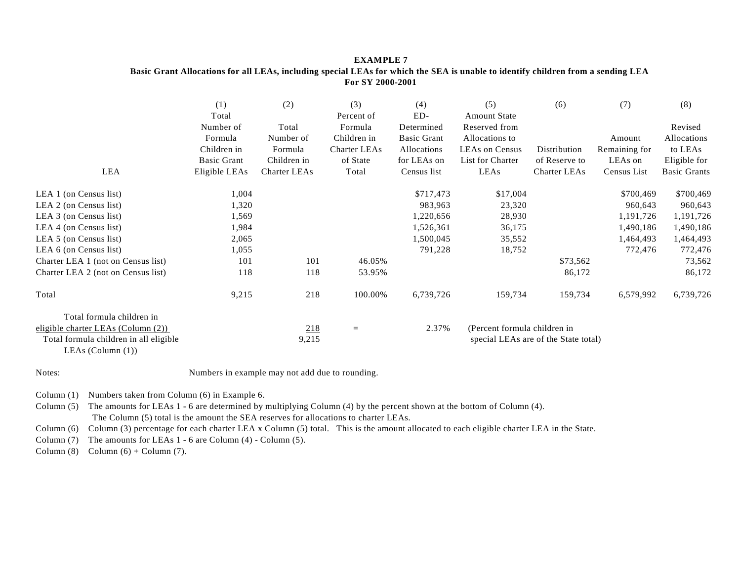## **EXAMPLE 7 Basic Grant Allocations for all LEAs, including special LEAs for which the SEA is unable to identify children from a sending LEA For SY 2000-2001**

|                                                                | (1)                | (2)          | (3)                 | (4)                | (5)                          | (6)                                  | (7)           | (8)                 |
|----------------------------------------------------------------|--------------------|--------------|---------------------|--------------------|------------------------------|--------------------------------------|---------------|---------------------|
|                                                                | Total              |              | Percent of          | ED-                | <b>Amount State</b>          |                                      |               |                     |
|                                                                | Number of          | Total        | Formula             | Determined         | Reserved from                |                                      |               | Revised             |
|                                                                | Formula            | Number of    | Children in         | <b>Basic Grant</b> | Allocations to               |                                      | Amount        | Allocations         |
|                                                                | Children in        | Formula      | <b>Charter LEAs</b> | Allocations        | <b>LEAs on Census</b>        | Distribution                         | Remaining for | to LEAs             |
|                                                                | <b>Basic Grant</b> | Children in  | of State            | for LEAs on        | List for Charter             | of Reserve to                        | LEAs on       | Eligible for        |
| LEA                                                            | Eligible LEAs      | Charter LEAs | Total               | Census list        | LEAs                         | <b>Charter LEAs</b>                  | Census List   | <b>Basic Grants</b> |
| LEA 1 (on Census list)                                         | 1,004              |              |                     | \$717,473          | \$17,004                     |                                      | \$700,469     | \$700,469           |
| LEA 2 (on Census list)                                         | 1,320              |              |                     | 983,963            | 23,320                       |                                      | 960,643       | 960,643             |
| LEA 3 (on Census list)                                         | 1,569              |              |                     | 1,220,656          | 28,930                       |                                      | 1,191,726     | 1,191,726           |
| LEA 4 (on Census list)                                         | 1,984              |              |                     | 1,526,361          | 36,175                       |                                      | 1,490,186     | 1,490,186           |
| LEA 5 (on Census list)                                         | 2,065              |              |                     | 1,500,045          | 35,552                       |                                      | 1,464,493     | 1,464,493           |
| LEA 6 (on Census list)                                         | 1,055              |              |                     | 791,228            | 18,752                       |                                      | 772,476       | 772,476             |
| Charter LEA 1 (not on Census list)                             | 101                | 101          | 46.05%              |                    |                              | \$73,562                             |               | 73,562              |
| Charter LEA 2 (not on Census list)                             | 118                | 118          | 53.95%              |                    |                              | 86,172                               |               | 86,172              |
| Total                                                          | 9,215              | 218          | 100.00%             | 6,739,726          | 159,734                      | 159,734                              | 6,579,992     | 6,739,726           |
| Total formula children in                                      |                    |              |                     |                    |                              |                                      |               |                     |
| eligible charter LEAs (Column $(2)$ )                          |                    | 218          | $=$                 | 2.37%              | (Percent formula children in |                                      |               |                     |
| Total formula children in all eligible<br>LEAs (Column $(1)$ ) |                    | 9,215        |                     |                    |                              | special LEAs are of the State total) |               |                     |

Notes:

Numbers in example may not add due to rounding.

Column (1) Numbers taken from Column (6) in Example 6.

Column (5) The amounts for LEAs 1 - 6 are determined by multiplying Column (4) by the percent shown at the bottom of Column (4). The Column (5) total is the amount the SEA reserves for allocations to charter LEAs.

Column (6) Column (3) percentage for each charter LEA x Column (5) total. This is the amount allocated to each eligible charter LEA in the State.

Column (7) The amounts for LEAs 1 - 6 are Column (4) - Column (5).

Column  $(8)$  Column  $(6)$  + Column  $(7)$ .